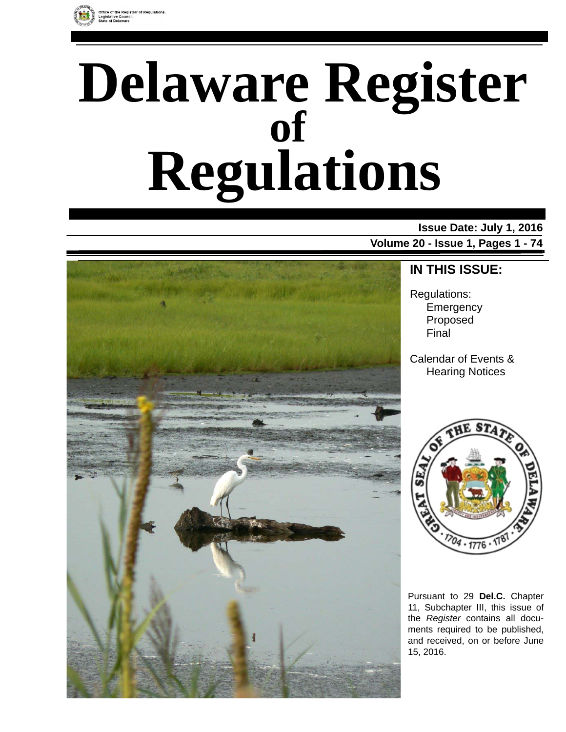

# **Delaware Register Regulations of**

### **Issue Date: July 1, 2016**

**Volume 20 - Issue 1, Pages 1 - 74**



### **IN THIS ISSUE:**

Regulations: **Emergency** Proposed Final

Calendar of Events & Hearing Notices



Pursuant to 29 **Del.C.** Chapter 11, Subchapter III, this issue of the *Register* contains all documents required to be published, and received, on or before June 15, 2016.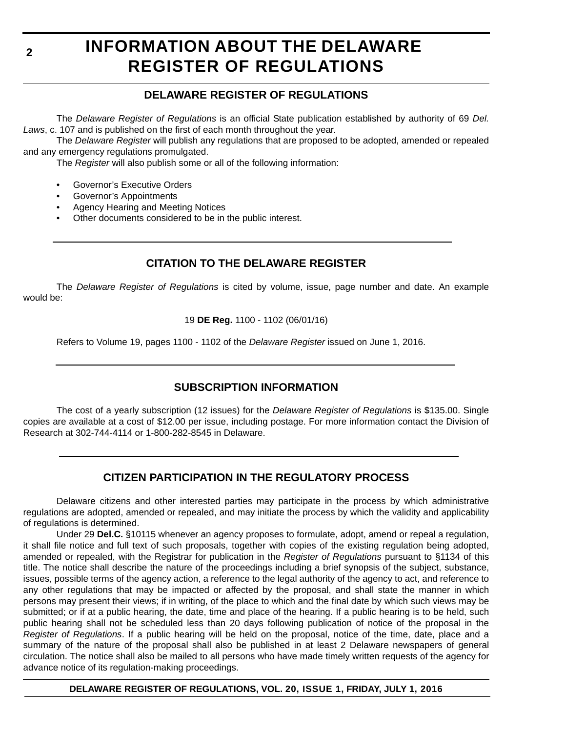# **INFORMATION ABOUT THE DELAWARE REGISTER OF REGULATIONS**

### **DELAWARE REGISTER OF REGULATIONS**

The *Delaware Register of Regulations* is an official State publication established by authority of 69 *Del. Laws*, c. 107 and is published on the first of each month throughout the year.

The *Delaware Register* will publish any regulations that are proposed to be adopted, amended or repealed and any emergency regulations promulgated.

The *Register* will also publish some or all of the following information:

- Governor's Executive Orders
- Governor's Appointments
- Agency Hearing and Meeting Notices
- Other documents considered to be in the public interest.

### **CITATION TO THE DELAWARE REGISTER**

The *Delaware Register of Regulations* is cited by volume, issue, page number and date. An example would be:

19 **DE Reg.** 1100 - 1102 (06/01/16)

Refers to Volume 19, pages 1100 - 1102 of the *Delaware Register* issued on June 1, 2016.

### **SUBSCRIPTION INFORMATION**

The cost of a yearly subscription (12 issues) for the *Delaware Register of Regulations* is \$135.00. Single copies are available at a cost of \$12.00 per issue, including postage. For more information contact the Division of Research at 302-744-4114 or 1-800-282-8545 in Delaware.

### **CITIZEN PARTICIPATION IN THE REGULATORY PROCESS**

Delaware citizens and other interested parties may participate in the process by which administrative regulations are adopted, amended or repealed, and may initiate the process by which the validity and applicability of regulations is determined.

Under 29 **Del.C.** §10115 whenever an agency proposes to formulate, adopt, amend or repeal a regulation, it shall file notice and full text of such proposals, together with copies of the existing regulation being adopted, amended or repealed, with the Registrar for publication in the *Register of Regulations* pursuant to §1134 of this title. The notice shall describe the nature of the proceedings including a brief synopsis of the subject, substance, issues, possible terms of the agency action, a reference to the legal authority of the agency to act, and reference to any other regulations that may be impacted or affected by the proposal, and shall state the manner in which persons may present their views; if in writing, of the place to which and the final date by which such views may be submitted; or if at a public hearing, the date, time and place of the hearing. If a public hearing is to be held, such public hearing shall not be scheduled less than 20 days following publication of notice of the proposal in the *Register of Regulations*. If a public hearing will be held on the proposal, notice of the time, date, place and a summary of the nature of the proposal shall also be published in at least 2 Delaware newspapers of general circulation. The notice shall also be mailed to all persons who have made timely written requests of the agency for advance notice of its regulation-making proceedings.

#### **DELAWARE REGISTER OF REGULATIONS, VOL. 20, ISSUE 1, FRIDAY, JULY 1, 2016**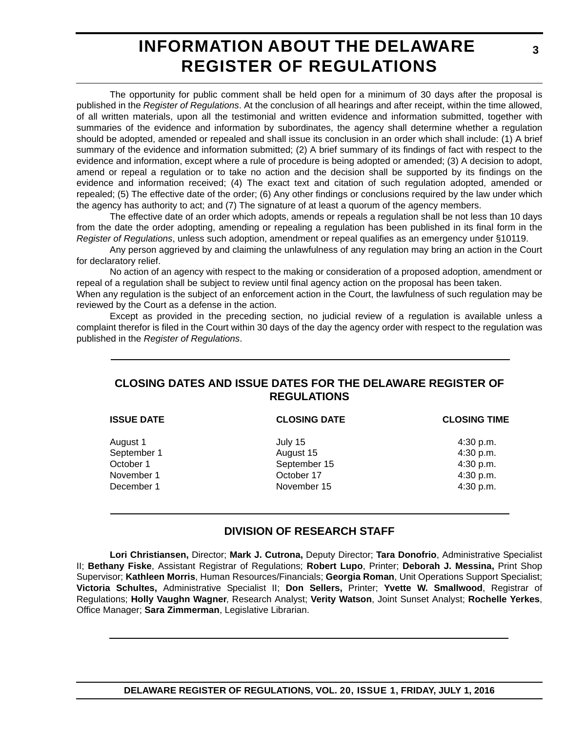# **INFORMATION ABOUT THE DELAWARE REGISTER OF REGULATIONS**

The opportunity for public comment shall be held open for a minimum of 30 days after the proposal is published in the *Register of Regulations*. At the conclusion of all hearings and after receipt, within the time allowed, of all written materials, upon all the testimonial and written evidence and information submitted, together with summaries of the evidence and information by subordinates, the agency shall determine whether a regulation should be adopted, amended or repealed and shall issue its conclusion in an order which shall include: (1) A brief summary of the evidence and information submitted; (2) A brief summary of its findings of fact with respect to the evidence and information, except where a rule of procedure is being adopted or amended; (3) A decision to adopt, amend or repeal a regulation or to take no action and the decision shall be supported by its findings on the evidence and information received; (4) The exact text and citation of such regulation adopted, amended or repealed; (5) The effective date of the order; (6) Any other findings or conclusions required by the law under which the agency has authority to act; and (7) The signature of at least a quorum of the agency members.

The effective date of an order which adopts, amends or repeals a regulation shall be not less than 10 days from the date the order adopting, amending or repealing a regulation has been published in its final form in the *Register of Regulations*, unless such adoption, amendment or repeal qualifies as an emergency under §10119.

Any person aggrieved by and claiming the unlawfulness of any regulation may bring an action in the Court for declaratory relief.

No action of an agency with respect to the making or consideration of a proposed adoption, amendment or repeal of a regulation shall be subject to review until final agency action on the proposal has been taken.

When any regulation is the subject of an enforcement action in the Court, the lawfulness of such regulation may be reviewed by the Court as a defense in the action.

Except as provided in the preceding section, no judicial review of a regulation is available unless a complaint therefor is filed in the Court within 30 days of the day the agency order with respect to the regulation was published in the *Register of Regulations*.

### **CLOSING DATES AND ISSUE DATES FOR THE DELAWARE REGISTER OF REGULATIONS**

| <b>ISSUE DATE</b> | <b>CLOSING DATE</b> | <b>CLOSING TIME</b> |
|-------------------|---------------------|---------------------|
| August 1          | July 15             | 4:30 p.m.           |
| September 1       | August 15           | 4:30 p.m.           |
| October 1         | September 15        | 4:30 p.m.           |
| November 1        | October 17          | 4:30 p.m.           |
| December 1        | November 15         | 4:30 p.m.           |

### **DIVISION OF RESEARCH STAFF**

**Lori Christiansen,** Director; **Mark J. Cutrona,** Deputy Director; **Tara Donofrio**, Administrative Specialist II; **Bethany Fiske**, Assistant Registrar of Regulations; **Robert Lupo**, Printer; **Deborah J. Messina,** Print Shop Supervisor; **Kathleen Morris**, Human Resources/Financials; **Georgia Roman**, Unit Operations Support Specialist; **Victoria Schultes,** Administrative Specialist II; **Don Sellers,** Printer; **Yvette W. Smallwood**, Registrar of Regulations; **Holly Vaughn Wagner**, Research Analyst; **Verity Watson**, Joint Sunset Analyst; **Rochelle Yerkes**, Office Manager; **Sara Zimmerman**, Legislative Librarian.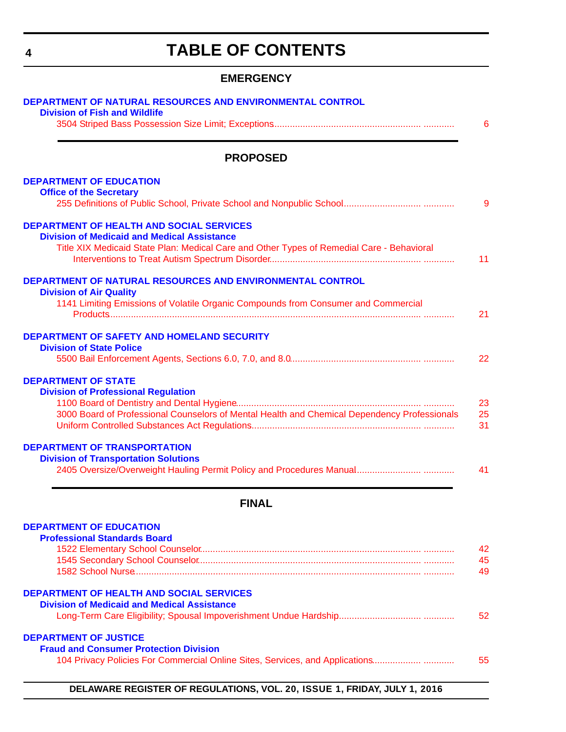# **TABLE OF CONTENTS**

### **EMERGENCY**

<span id="page-3-0"></span>

|                                | <b>PROPOSED</b>                                                                                                               |
|--------------------------------|-------------------------------------------------------------------------------------------------------------------------------|
|                                | <b>DEPARTMENT OF EDUCATION</b>                                                                                                |
| <b>Office of the Secretary</b> |                                                                                                                               |
|                                | <b>DEPARTMENT OF HEALTH AND SOCIAL SERVICES</b>                                                                               |
|                                | <b>Division of Medicaid and Medical Assistance</b>                                                                            |
|                                | Title XIX Medicaid State Plan: Medical Care and Other Types of Remedial Care - Behavioral                                     |
|                                | DEPARTMENT OF NATURAL RESOURCES AND ENVIRONMENTAL CONTROL                                                                     |
| <b>Division of Air Quality</b> | 1141 Limiting Emissions of Volatile Organic Compounds from Consumer and Commercial                                            |
|                                |                                                                                                                               |
|                                | <b>DEPARTMENT OF SAFETY AND HOMELAND SECURITY</b>                                                                             |
|                                | <b>Division of State Police</b>                                                                                               |
| <b>DEPARTMENT OF STATE</b>     |                                                                                                                               |
|                                | <b>Division of Professional Regulation</b>                                                                                    |
|                                | 3000 Board of Professional Counselors of Mental Health and Chemical Dependency Professionals                                  |
|                                |                                                                                                                               |
|                                | <b>DEPARTMENT OF TRANSPORTATION</b>                                                                                           |
|                                | <b>Division of Transportation Solutions</b>                                                                                   |
|                                |                                                                                                                               |
|                                | <b>FINAL</b>                                                                                                                  |
|                                | <b>DEPARTMENT OF EDUCATION</b>                                                                                                |
|                                | <b>Professional Standards Board</b>                                                                                           |
|                                |                                                                                                                               |
|                                |                                                                                                                               |
|                                | <b>DEPARTMENT OF HEALTH AND SOCIAL SERVICES</b>                                                                               |
|                                | <b>Division of Medicaid and Medical Assistance</b>                                                                            |
|                                |                                                                                                                               |
|                                |                                                                                                                               |
|                                |                                                                                                                               |
| <b>DEPARTMENT OF JUSTICE</b>   | <b>Fraud and Consumer Protection Division</b><br>104 Privacy Policies For Commercial Online Sites, Services, and Applications |

**DELAWARE REGISTER OF REGULATIONS, VOL. 20, ISSUE 1, FRIDAY, JULY 1, 2016**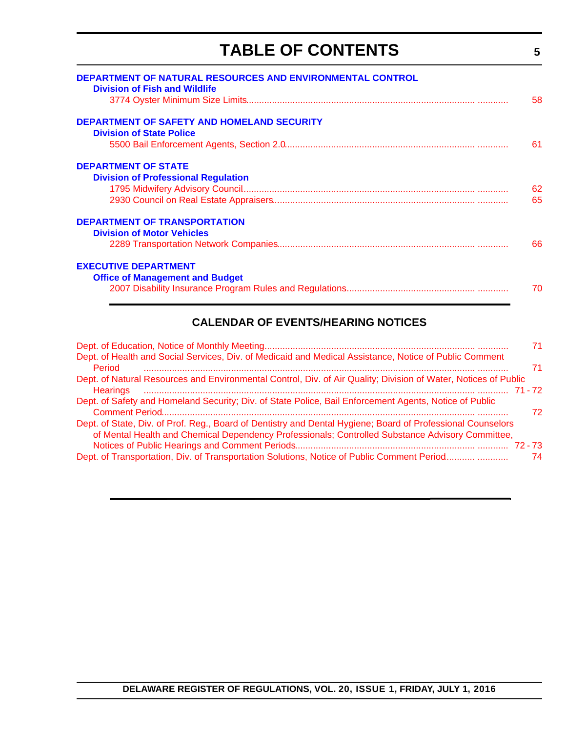# **TABLE OF CONTENTS**

**5**

| DEPARTMENT OF NATURAL RESOURCES AND ENVIRONMENTAL CONTROL<br><b>Division of Fish and Wildlife</b> | 58  |
|---------------------------------------------------------------------------------------------------|-----|
| <b>DEPARTMENT OF SAFETY AND HOMELAND SECURITY</b>                                                 |     |
| <b>Division of State Police</b>                                                                   | -61 |
| <b>DEPARTMENT OF STATE</b>                                                                        |     |
| <b>Division of Professional Regulation</b>                                                        |     |
|                                                                                                   | 62  |
|                                                                                                   | 65  |
| <b>DEPARTMENT OF TRANSPORTATION</b>                                                               |     |
| <b>Division of Motor Vehicles</b>                                                                 |     |
|                                                                                                   | 66  |
| <b>EXECUTIVE DEPARTMENT</b>                                                                       |     |
| <b>Office of Management and Budget</b>                                                            |     |
|                                                                                                   | 70  |

### **CALENDAR OF EVENTS/HEARING NOTICES**

|                                                                                                                                                                                                                 | 71 |
|-----------------------------------------------------------------------------------------------------------------------------------------------------------------------------------------------------------------|----|
| Dept. of Health and Social Services, Div. of Medicaid and Medical Assistance, Notice of Public Comment<br>Period                                                                                                | 71 |
| Dept. of Natural Resources and Environmental Control, Div. of Air Quality; Division of Water, Notices of Public<br>71 - 72                                                                                      |    |
| Dept. of Safety and Homeland Security; Div. of State Police, Bail Enforcement Agents, Notice of Public                                                                                                          | 72 |
| Dept. of State, Div. of Prof. Reg., Board of Dentistry and Dental Hygiene; Board of Professional Counselors<br>of Mental Health and Chemical Dependency Professionals; Controlled Substance Advisory Committee, |    |
| Dept. of Transportation, Div. of Transportation Solutions, Notice of Public Comment Period                                                                                                                      | 74 |
|                                                                                                                                                                                                                 |    |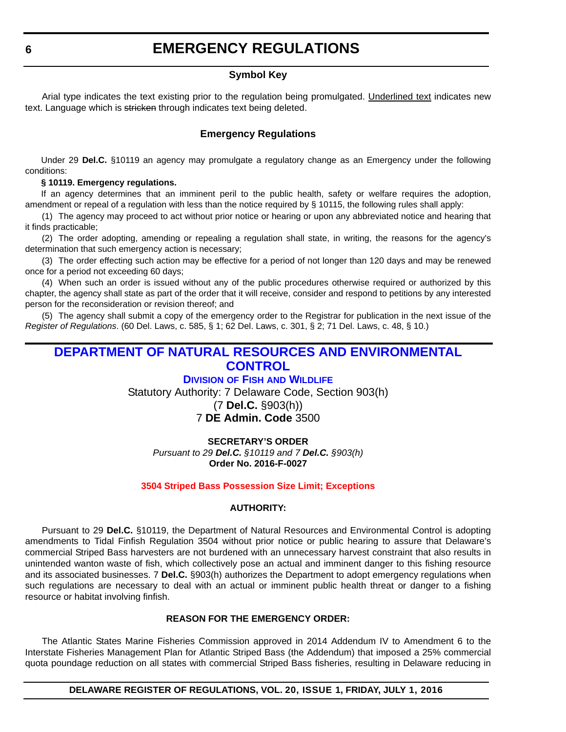### **EMERGENCY REGULATIONS**

#### **Symbol Key**

<span id="page-5-0"></span>Arial type indicates the text existing prior to the regulation being promulgated. Underlined text indicates new text. Language which is stricken through indicates text being deleted.

#### **Emergency Regulations**

Under 29 **Del.C.** §10119 an agency may promulgate a regulatory change as an Emergency under the following conditions:

#### **§ 10119. Emergency regulations.**

If an agency determines that an imminent peril to the public health, safety or welfare requires the adoption, amendment or repeal of a regulation with less than the notice required by § 10115, the following rules shall apply:

(1) The agency may proceed to act without prior notice or hearing or upon any abbreviated notice and hearing that it finds practicable;

(2) The order adopting, amending or repealing a regulation shall state, in writing, the reasons for the agency's determination that such emergency action is necessary;

(3) The order effecting such action may be effective for a period of not longer than 120 days and may be renewed once for a period not exceeding 60 days;

(4) When such an order is issued without any of the public procedures otherwise required or authorized by this chapter, the agency shall state as part of the order that it will receive, consider and respond to petitions by any interested person for the reconsideration or revision thereof; and

(5) The agency shall submit a copy of the emergency order to the Registrar for publication in the next issue of the *Register of Regulations*. (60 Del. Laws, c. 585, § 1; 62 Del. Laws, c. 301, § 2; 71 Del. Laws, c. 48, § 10.)

### **[DEPARTMENT OF NATURAL RESOURCES AND ENVIRONMENTAL](http://www.dnrec.delaware.gov/fw/Pages/DFW-Portal.aspx)  CONTROL**

#### **DIVISION OF FISH AND WILDLIFE**

Statutory Authority: 7 Delaware Code, Section 903(h)

(7 **Del.C.** §903(h))

### 7 **DE Admin. Code** 3500

#### **SECRETARY'S ORDER**

*Pursuant to 29 Del.C. §10119 and 7 Del.C. §903(h)* **Order No. 2016-F-0027**

#### **[3504 Striped Bass Possession Size Limit; Exceptions](#page-3-0)**

#### **AUTHORITY:**

Pursuant to 29 **Del.C.** §10119, the Department of Natural Resources and Environmental Control is adopting amendments to Tidal Finfish Regulation 3504 without prior notice or public hearing to assure that Delaware's commercial Striped Bass harvesters are not burdened with an unnecessary harvest constraint that also results in unintended wanton waste of fish, which collectively pose an actual and imminent danger to this fishing resource and its associated businesses. 7 **Del.C.** §903(h) authorizes the Department to adopt emergency regulations when such regulations are necessary to deal with an actual or imminent public health threat or danger to a fishing resource or habitat involving finfish.

#### **REASON FOR THE EMERGENCY ORDER:**

The Atlantic States Marine Fisheries Commission approved in 2014 Addendum IV to Amendment 6 to the Interstate Fisheries Management Plan for Atlantic Striped Bass (the Addendum) that imposed a 25% commercial quota poundage reduction on all states with commercial Striped Bass fisheries, resulting in Delaware reducing in

#### **DELAWARE REGISTER OF REGULATIONS, VOL. 20, ISSUE 1, FRIDAY, JULY 1, 2016**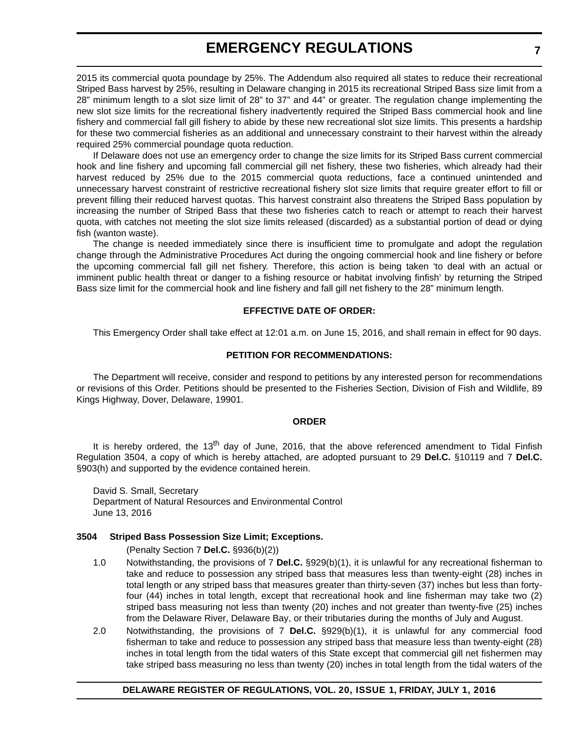### **EMERGENCY REGULATIONS**

2015 its commercial quota poundage by 25%. The Addendum also required all states to reduce their recreational Striped Bass harvest by 25%, resulting in Delaware changing in 2015 its recreational Striped Bass size limit from a 28" minimum length to a slot size limit of 28" to 37" and 44" or greater. The regulation change implementing the new slot size limits for the recreational fishery inadvertently required the Striped Bass commercial hook and line fishery and commercial fall gill fishery to abide by these new recreational slot size limits. This presents a hardship for these two commercial fisheries as an additional and unnecessary constraint to their harvest within the already required 25% commercial poundage quota reduction.

If Delaware does not use an emergency order to change the size limits for its Striped Bass current commercial hook and line fishery and upcoming fall commercial gill net fishery, these two fisheries, which already had their harvest reduced by 25% due to the 2015 commercial quota reductions, face a continued unintended and unnecessary harvest constraint of restrictive recreational fishery slot size limits that require greater effort to fill or prevent filling their reduced harvest quotas. This harvest constraint also threatens the Striped Bass population by increasing the number of Striped Bass that these two fisheries catch to reach or attempt to reach their harvest quota, with catches not meeting the slot size limits released (discarded) as a substantial portion of dead or dying fish (wanton waste).

The change is needed immediately since there is insufficient time to promulgate and adopt the regulation change through the Administrative Procedures Act during the ongoing commercial hook and line fishery or before the upcoming commercial fall gill net fishery. Therefore, this action is being taken 'to deal with an actual or imminent public health threat or danger to a fishing resource or habitat involving finfish' by returning the Striped Bass size limit for the commercial hook and line fishery and fall gill net fishery to the 28" minimum length.

#### **EFFECTIVE DATE OF ORDER:**

This Emergency Order shall take effect at 12:01 a.m. on June 15, 2016, and shall remain in effect for 90 days.

#### **PETITION FOR RECOMMENDATIONS:**

The Department will receive, consider and respond to petitions by any interested person for recommendations or revisions of this Order. Petitions should be presented to the Fisheries Section, Division of Fish and Wildlife, 89 Kings Highway, Dover, Delaware, 19901.

#### **ORDER**

It is hereby ordered, the 13<sup>th</sup> day of June, 2016, that the above referenced amendment to Tidal Finfish Regulation 3504, a copy of which is hereby attached, are adopted pursuant to 29 **Del.C.** §10119 and 7 **Del.C.** §903(h) and supported by the evidence contained herein.

David S. Small, Secretary Department of Natural Resources and Environmental Control June 13, 2016

#### **3504 Striped Bass Possession Size Limit; Exceptions.**

(Penalty Section 7 **Del.C.** §936(b)(2))

- 1.0 Notwithstanding, the provisions of 7 **Del.C.** §929(b)(1), it is unlawful for any recreational fisherman to take and reduce to possession any striped bass that measures less than twenty-eight (28) inches in total length or any striped bass that measures greater than thirty-seven (37) inches but less than fortyfour (44) inches in total length, except that recreational hook and line fisherman may take two (2) striped bass measuring not less than twenty (20) inches and not greater than twenty-five (25) inches from the Delaware River, Delaware Bay, or their tributaries during the months of July and August.
- 2.0 Notwithstanding, the provisions of 7 **Del.C.** §929(b)(1), it is unlawful for any commercial food fisherman to take and reduce to possession any striped bass that measure less than twenty-eight (28) inches in total length from the tidal waters of this State except that commercial gill net fishermen may take striped bass measuring no less than twenty (20) inches in total length from the tidal waters of the

#### **DELAWARE REGISTER OF REGULATIONS, VOL. 20, ISSUE 1, FRIDAY, JULY 1, 2016**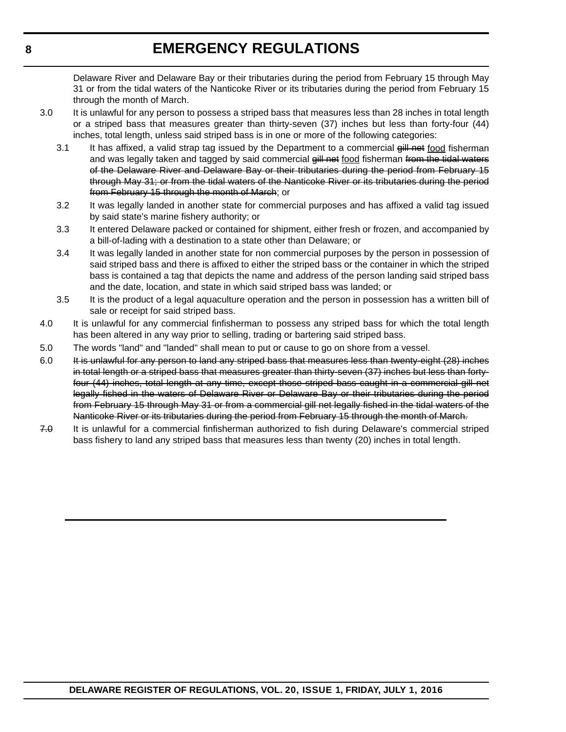### **EMERGENCY REGULATIONS**

Delaware River and Delaware Bay or their tributaries during the period from February 15 through May 31 or from the tidal waters of the Nanticoke River or its tributaries during the period from February 15 through the month of March.

- 3.0 It is unlawful for any person to possess a striped bass that measures less than 28 inches in total length or a striped bass that measures greater than thirty-seven (37) inches but less than forty-four (44) inches, total length, unless said striped bass is in one or more of the following categories:
	- 3.1 It has affixed, a valid strap tag issued by the Department to a commercial gill net food fisherman and was legally taken and tagged by said commercial gill net food fisherman from the tidal waters of the Delaware River and Delaware Bay or their tributaries during the period from February 15 through May 31; or from the tidal waters of the Nanticoke River or its tributaries during the period from February 15 through the month of March; or
	- 3.2 It was legally landed in another state for commercial purposes and has affixed a valid tag issued by said state's marine fishery authority; or
	- 3.3 It entered Delaware packed or contained for shipment, either fresh or frozen, and accompanied by a bill-of-lading with a destination to a state other than Delaware; or
	- 3.4 It was legally landed in another state for non commercial purposes by the person in possession of said striped bass and there is affixed to either the striped bass or the container in which the striped bass is contained a tag that depicts the name and address of the person landing said striped bass and the date, location, and state in which said striped bass was landed; or
	- 3.5 It is the product of a legal aquaculture operation and the person in possession has a written bill of sale or receipt for said striped bass.
- 4.0 It is unlawful for any commercial finfisherman to possess any striped bass for which the total length has been altered in any way prior to selling, trading or bartering said striped bass.
- 5.0 The words "land" and "landed" shall mean to put or cause to go on shore from a vessel.
- 6.0 It is unlawful for any person to land any striped bass that measures less than twenty-eight (28) inches in total length or a striped bass that measures greater than thirty-seven (37) inches but less than fortyfour (44) inches, total length at any time, except those striped bass caught in a commercial gill net legally fished in the waters of Delaware River or Delaware Bay or their tributaries during the period from February 15 through May 31 or from a commercial gill net legally fished in the tidal waters of the Nanticoke River or its tributaries during the period from February 15 through the month of March.
- 7.0 It is unlawful for a commercial finfisherman authorized to fish during Delaware's commercial striped bass fishery to land any striped bass that measures less than twenty (20) inches in total length.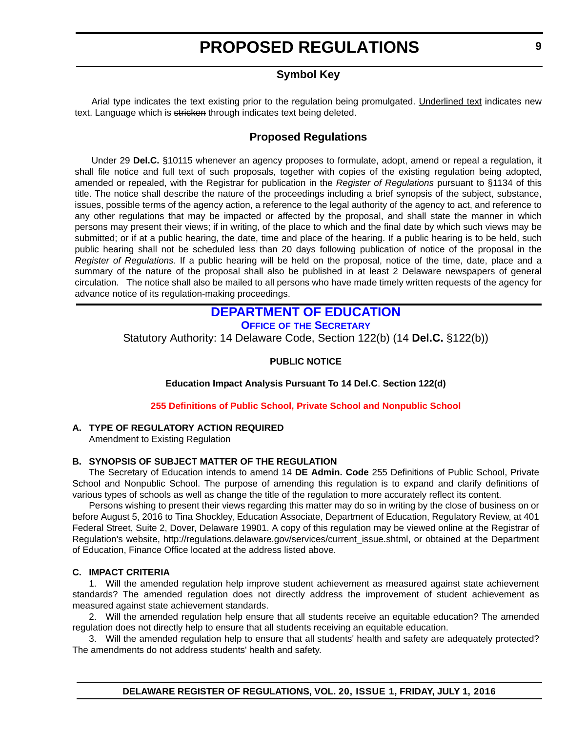### **Symbol Key**

<span id="page-8-0"></span>Arial type indicates the text existing prior to the regulation being promulgated. Underlined text indicates new text. Language which is stricken through indicates text being deleted.

### **Proposed Regulations**

Under 29 **Del.C.** §10115 whenever an agency proposes to formulate, adopt, amend or repeal a regulation, it shall file notice and full text of such proposals, together with copies of the existing regulation being adopted, amended or repealed, with the Registrar for publication in the *Register of Regulations* pursuant to §1134 of this title. The notice shall describe the nature of the proceedings including a brief synopsis of the subject, substance, issues, possible terms of the agency action, a reference to the legal authority of the agency to act, and reference to any other regulations that may be impacted or affected by the proposal, and shall state the manner in which persons may present their views; if in writing, of the place to which and the final date by which such views may be submitted; or if at a public hearing, the date, time and place of the hearing. If a public hearing is to be held, such public hearing shall not be scheduled less than 20 days following publication of notice of the proposal in the *Register of Regulations*. If a public hearing will be held on the proposal, notice of the time, date, place and a summary of the nature of the proposal shall also be published in at least 2 Delaware newspapers of general circulation. The notice shall also be mailed to all persons who have made timely written requests of the agency for advance notice of its regulation-making proceedings.

### **[DEPARTMENT OF EDUCATION](http://www.doe.k12.de.us/)**

**OFFICE OF [THE SECRETARY](https://pubapps.doe.k12.de.us/EducationalDirectoryPublic/pages/DDOE/Branches.aspx?page=branches&BID=1)**

Statutory Authority: 14 Delaware Code, Section 122(b) (14 **Del.C.** §122(b))

#### **PUBLIC NOTICE**

**Education Impact Analysis Pursuant To 14 Del.C**. **Section 122(d)**

**[255 Definitions of Public School, Private School and Nonpublic School](#page-3-0)**

#### **A. TYPE OF REGULATORY ACTION REQUIRED**

Amendment to Existing Regulation

#### **B. SYNOPSIS OF SUBJECT MATTER OF THE REGULATION**

The Secretary of Education intends to amend 14 **DE Admin. Code** 255 Definitions of Public School, Private School and Nonpublic School. The purpose of amending this regulation is to expand and clarify definitions of various types of schools as well as change the title of the regulation to more accurately reflect its content.

Persons wishing to present their views regarding this matter may do so in writing by the close of business on or before August 5, 2016 to Tina Shockley, Education Associate, Department of Education, Regulatory Review, at 401 Federal Street, Suite 2, Dover, Delaware 19901. A copy of this regulation may be viewed online at the Registrar of Regulation's website, http://regulations.delaware.gov/services/current\_issue.shtml, or obtained at the Department of Education, Finance Office located at the address listed above.

#### **C. IMPACT CRITERIA**

1. Will the amended regulation help improve student achievement as measured against state achievement standards? The amended regulation does not directly address the improvement of student achievement as measured against state achievement standards.

2. Will the amended regulation help ensure that all students receive an equitable education? The amended regulation does not directly help to ensure that all students receiving an equitable education.

3. Will the amended regulation help to ensure that all students' health and safety are adequately protected? The amendments do not address students' health and safety.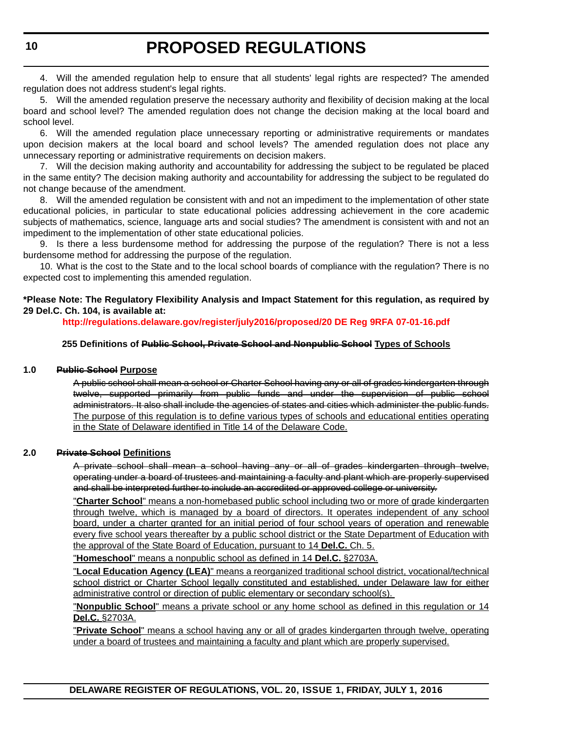4. Will the amended regulation help to ensure that all students' legal rights are respected? The amended regulation does not address student's legal rights.

5. Will the amended regulation preserve the necessary authority and flexibility of decision making at the local board and school level? The amended regulation does not change the decision making at the local board and school level.

6. Will the amended regulation place unnecessary reporting or administrative requirements or mandates upon decision makers at the local board and school levels? The amended regulation does not place any unnecessary reporting or administrative requirements on decision makers.

7. Will the decision making authority and accountability for addressing the subject to be regulated be placed in the same entity? The decision making authority and accountability for addressing the subject to be regulated do not change because of the amendment.

8. Will the amended regulation be consistent with and not an impediment to the implementation of other state educational policies, in particular to state educational policies addressing achievement in the core academic subjects of mathematics, science, language arts and social studies? The amendment is consistent with and not an impediment to the implementation of other state educational policies.

9. Is there a less burdensome method for addressing the purpose of the regulation? There is not a less burdensome method for addressing the purpose of the regulation.

10. What is the cost to the State and to the local school boards of compliance with the regulation? There is no expected cost to implementing this amended regulation.

#### **\*Please Note: The Regulatory Flexibility Analysis and Impact Statement for this regulation, as required by 29 Del.C. Ch. 104, is available at:**

**<http://regulations.delaware.gov/register/july2016/proposed/20 DE Reg 9RFA 07-01-16.pdf>**

#### **255 Definitions of Public School, Private School and Nonpublic School Types of Schools**

#### **1.0 Public School Purpose**

A public school shall mean a school or Charter School having any or all of grades kindergarten through twelve, supported primarily from public funds and under the supervision of public school administrators. It also shall include the agencies of states and cities which administer the public funds. The purpose of this regulation is to define various types of schools and educational entities operating in the State of Delaware identified in Title 14 of the Delaware Code.

#### **2.0 Private School Definitions**

A private school shall mean a school having any or all of grades kindergarten through twelve, operating under a board of trustees and maintaining a faculty and plant which are properly supervised and shall be interpreted further to include an accredited or approved college or university.

"**Charter School**" means a non-homebased public school including two or more of grade kindergarten through twelve, which is managed by a board of directors. It operates independent of any school board, under a charter granted for an initial period of four school years of operation and renewable every five school years thereafter by a public school district or the State Department of Education with the approval of the State Board of Education, pursuant to 14 **Del.C.** Ch. 5.

"**Homeschool**" means a nonpublic school as defined in 14 **Del.C.** §2703A.

"**Local Education Agency (LEA)**" means a reorganized traditional school district, vocational/technical school district or Charter School legally constituted and established, under Delaware law for either administrative control or direction of public elementary or secondary school(s).

"**Nonpublic School**" means a private school or any home school as defined in this regulation or 14 **Del.C.** §2703A.

"**Private School**" means a school having any or all of grades kindergarten through twelve, operating under a board of trustees and maintaining a faculty and plant which are properly supervised.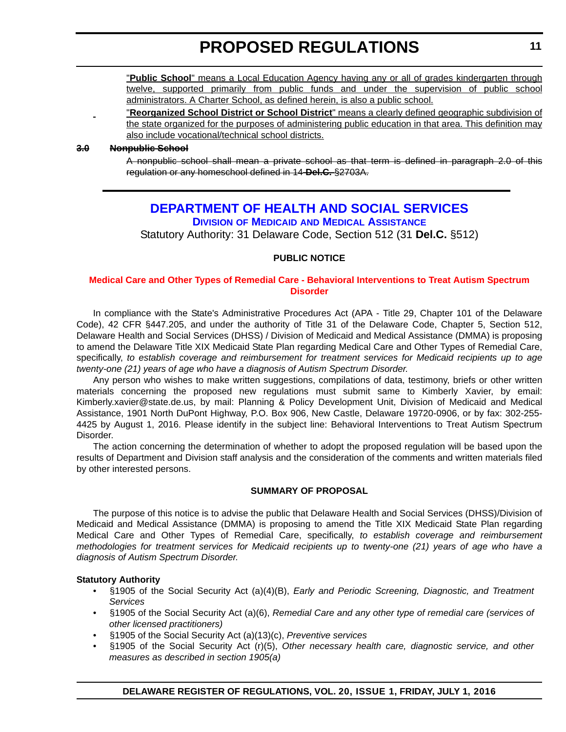<span id="page-10-0"></span>"**Public School**" means a Local Education Agency having any or all of grades kindergarten through twelve, supported primarily from public funds and under the supervision of public school administrators. A Charter School, as defined herein, is also a public school.

"**Reorganized School District or School District**" means a clearly defined geographic subdivision of the state organized for the purposes of administering public education in that area. This definition may also include vocational/technical school districts.

#### **3.0 Nonpublic School**

A nonpublic school shall mean a private school as that term is defined in paragraph 2.0 of this regulation or any homeschool defined in 14 **Del.C.** §2703A.

### **[DEPARTMENT OF HEALTH AND SOCIAL SERVICES](http://www.dhss.delaware.gov/dhss/dmma/) DIVISION OF MEDICAID AND MEDICAL ASSISTANCE**

Statutory Authority: 31 Delaware Code, Section 512 (31 **Del.C.** §512)

#### **PUBLIC NOTICE**

#### **[Medical Care and Other Types of Remedial Care - Behavioral Interventions to Treat Autism Spectrum](#page-3-0)  Disorder**

In compliance with the State's Administrative Procedures Act (APA - Title 29, Chapter 101 of the Delaware Code), 42 CFR §447.205, and under the authority of Title 31 of the Delaware Code, Chapter 5, Section 512, Delaware Health and Social Services (DHSS) / Division of Medicaid and Medical Assistance (DMMA) is proposing to amend the Delaware Title XIX Medicaid State Plan regarding Medical Care and Other Types of Remedial Care, specifically, *to establish coverage and reimbursement for treatment services for Medicaid recipients up to age twenty-one (21) years of age who have a diagnosis of Autism Spectrum Disorder.*

Any person who wishes to make written suggestions, compilations of data, testimony, briefs or other written materials concerning the proposed new regulations must submit same to Kimberly Xavier, by email: Kimberly.xavier@state.de.us, by mail: Planning & Policy Development Unit, Division of Medicaid and Medical Assistance, 1901 North DuPont Highway, P.O. Box 906, New Castle, Delaware 19720-0906, or by fax: 302-255- 4425 by August 1, 2016. Please identify in the subject line: Behavioral Interventions to Treat Autism Spectrum Disorder.

The action concerning the determination of whether to adopt the proposed regulation will be based upon the results of Department and Division staff analysis and the consideration of the comments and written materials filed by other interested persons.

#### **SUMMARY OF PROPOSAL**

The purpose of this notice is to advise the public that Delaware Health and Social Services (DHSS)/Division of Medicaid and Medical Assistance (DMMA) is proposing to amend the Title XIX Medicaid State Plan regarding Medical Care and Other Types of Remedial Care, specifically, *to establish coverage and reimbursement methodologies for treatment services for Medicaid recipients up to twenty-one (21) years of age who have a diagnosis of Autism Spectrum Disorder.*

#### **Statutory Authority**

- §1905 of the Social Security Act (a)(4)(B), *Early and Periodic Screening, Diagnostic, and Treatment Services*
- §1905 of the Social Security Act (a)(6), *Remedial Care and any other type of remedial care (services of other licensed practitioners)*
- §1905 of the Social Security Act (a)(13)(c), *Preventive services*
- §1905 of the Social Security Act (r)(5), *Other necessary health care, diagnostic service, and other measures as described in section 1905(a)*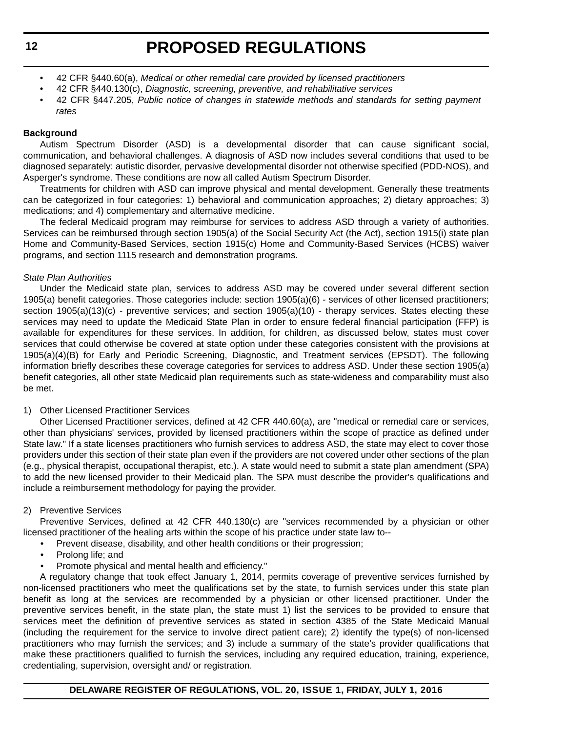- 42 CFR §440.60(a), *Medical or other remedial care provided by licensed practitioners*
- 42 CFR §440.130(c), *Diagnostic, screening, preventive, and rehabilitative services*
- 42 CFR §447.205, *Public notice of changes in statewide methods and standards for setting payment rates*

#### **Background**

Autism Spectrum Disorder (ASD) is a developmental disorder that can cause significant social, communication, and behavioral challenges. A diagnosis of ASD now includes several conditions that used to be diagnosed separately: autistic disorder, pervasive developmental disorder not otherwise specified (PDD-NOS), and Asperger's syndrome. These conditions are now all called Autism Spectrum Disorder.

Treatments for children with ASD can improve physical and mental development. Generally these treatments can be categorized in four categories: 1) behavioral and communication approaches; 2) dietary approaches; 3) medications; and 4) complementary and alternative medicine.

The federal Medicaid program may reimburse for services to address ASD through a variety of authorities. Services can be reimbursed through section 1905(a) of the Social Security Act (the Act), section 1915(i) state plan Home and Community-Based Services, section 1915(c) Home and Community-Based Services (HCBS) waiver programs, and section 1115 research and demonstration programs.

#### *State Plan Authorities*

Under the Medicaid state plan, services to address ASD may be covered under several different section 1905(a) benefit categories. Those categories include: section 1905(a)(6) - services of other licensed practitioners; section 1905(a)(13)(c) - preventive services; and section 1905(a)(10) - therapy services. States electing these services may need to update the Medicaid State Plan in order to ensure federal financial participation (FFP) is available for expenditures for these services. In addition, for children, as discussed below, states must cover services that could otherwise be covered at state option under these categories consistent with the provisions at 1905(a)(4)(B) for Early and Periodic Screening, Diagnostic, and Treatment services (EPSDT). The following information briefly describes these coverage categories for services to address ASD. Under these section 1905(a) benefit categories, all other state Medicaid plan requirements such as state-wideness and comparability must also be met.

#### 1) Other Licensed Practitioner Services

Other Licensed Practitioner services, defined at 42 CFR 440.60(a), are "medical or remedial care or services, other than physicians' services, provided by licensed practitioners within the scope of practice as defined under State law." If a state licenses practitioners who furnish services to address ASD, the state may elect to cover those providers under this section of their state plan even if the providers are not covered under other sections of the plan (e.g., physical therapist, occupational therapist, etc.). A state would need to submit a state plan amendment (SPA) to add the new licensed provider to their Medicaid plan. The SPA must describe the provider's qualifications and include a reimbursement methodology for paying the provider.

#### 2) Preventive Services

Preventive Services, defined at 42 CFR 440.130(c) are "services recommended by a physician or other licensed practitioner of the healing arts within the scope of his practice under state law to--

- Prevent disease, disability, and other health conditions or their progression;
	- Prolong life; and
	- Promote physical and mental health and efficiency."

A regulatory change that took effect January 1, 2014, permits coverage of preventive services furnished by non-licensed practitioners who meet the qualifications set by the state, to furnish services under this state plan benefit as long at the services are recommended by a physician or other licensed practitioner. Under the preventive services benefit, in the state plan, the state must 1) list the services to be provided to ensure that services meet the definition of preventive services as stated in section 4385 of the State Medicaid Manual (including the requirement for the service to involve direct patient care); 2) identify the type(s) of non-licensed practitioners who may furnish the services; and 3) include a summary of the state's provider qualifications that make these practitioners qualified to furnish the services, including any required education, training, experience, credentialing, supervision, oversight and/ or registration.

#### **DELAWARE REGISTER OF REGULATIONS, VOL. 20, ISSUE 1, FRIDAY, JULY 1, 2016**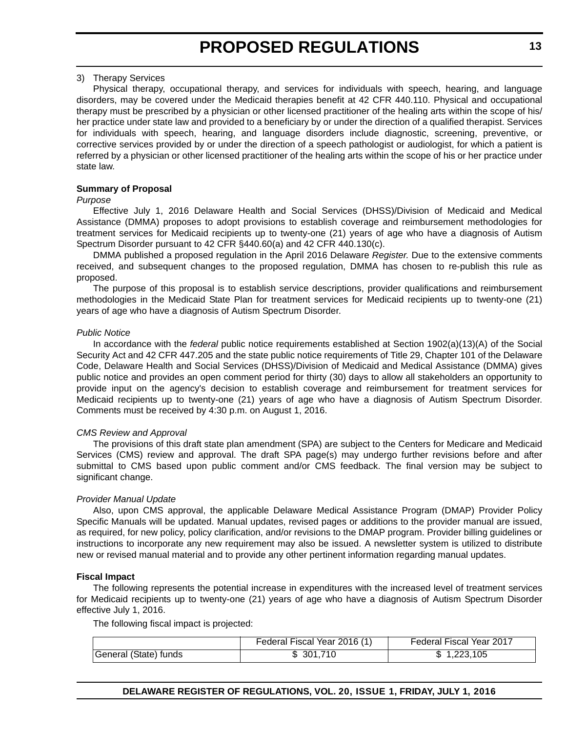#### 3) Therapy Services

Physical therapy, occupational therapy, and services for individuals with speech, hearing, and language disorders, may be covered under the Medicaid therapies benefit at 42 CFR 440.110. Physical and occupational therapy must be prescribed by a physician or other licensed practitioner of the healing arts within the scope of his/ her practice under state law and provided to a beneficiary by or under the direction of a qualified therapist. Services for individuals with speech, hearing, and language disorders include diagnostic, screening, preventive, or corrective services provided by or under the direction of a speech pathologist or audiologist, for which a patient is referred by a physician or other licensed practitioner of the healing arts within the scope of his or her practice under state law.

#### **Summary of Proposal**

#### *Purpose*

Effective July 1, 2016 Delaware Health and Social Services (DHSS)/Division of Medicaid and Medical Assistance (DMMA) proposes to adopt provisions to establish coverage and reimbursement methodologies for treatment services for Medicaid recipients up to twenty-one (21) years of age who have a diagnosis of Autism Spectrum Disorder pursuant to 42 CFR §440.60(a) and 42 CFR 440.130(c).

DMMA published a proposed regulation in the April 2016 Delaware *Register.* Due to the extensive comments received, and subsequent changes to the proposed regulation, DMMA has chosen to re-publish this rule as proposed.

The purpose of this proposal is to establish service descriptions, provider qualifications and reimbursement methodologies in the Medicaid State Plan for treatment services for Medicaid recipients up to twenty-one (21) years of age who have a diagnosis of Autism Spectrum Disorder.

#### *Public Notice*

In accordance with the *federal* public notice requirements established at Section 1902(a)(13)(A) of the Social Security Act and 42 CFR 447.205 and the state public notice requirements of Title 29, Chapter 101 of the Delaware Code, Delaware Health and Social Services (DHSS)/Division of Medicaid and Medical Assistance (DMMA) gives public notice and provides an open comment period for thirty (30) days to allow all stakeholders an opportunity to provide input on the agency's decision to establish coverage and reimbursement for treatment services for Medicaid recipients up to twenty-one (21) years of age who have a diagnosis of Autism Spectrum Disorder. Comments must be received by 4:30 p.m. on August 1, 2016.

#### *CMS Review and Approval*

The provisions of this draft state plan amendment (SPA) are subject to the Centers for Medicare and Medicaid Services (CMS) review and approval. The draft SPA page(s) may undergo further revisions before and after submittal to CMS based upon public comment and/or CMS feedback. The final version may be subject to significant change.

#### *Provider Manual Update*

Also, upon CMS approval, the applicable Delaware Medical Assistance Program (DMAP) Provider Policy Specific Manuals will be updated. Manual updates, revised pages or additions to the provider manual are issued, as required, for new policy, policy clarification, and/or revisions to the DMAP program. Provider billing guidelines or instructions to incorporate any new requirement may also be issued. A newsletter system is utilized to distribute new or revised manual material and to provide any other pertinent information regarding manual updates.

#### **Fiscal Impact**

The following represents the potential increase in expenditures with the increased level of treatment services for Medicaid recipients up to twenty-one (21) years of age who have a diagnosis of Autism Spectrum Disorder effective July 1, 2016.

The following fiscal impact is projected:

|                       | Federal Fiscal Year 2016 (1) | Federal Fiscal Year 2017 |
|-----------------------|------------------------------|--------------------------|
| General (State) funds | 301,710                      | 1,223,105                |

**DELAWARE REGISTER OF REGULATIONS, VOL. 20, ISSUE 1, FRIDAY, JULY 1, 2016**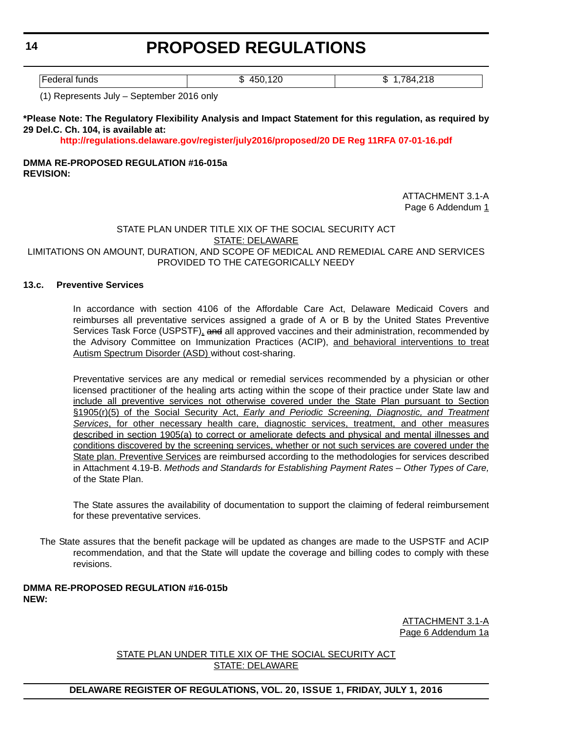Federal funds **but a set of the set of the set of the set of the set of the set of the set of the set of the set of the set of the set of the set of the set of the set of the set of the set of the set of the set of the set** 

(1) Represents July – September 2016 only

#### **\*Please Note: The Regulatory Flexibility Analysis and Impact Statement for this regulation, as required by 29 Del.C. Ch. 104, is available at:**

**<http://regulations.delaware.gov/register/july2016/proposed/20 DE Reg 11RFA 07-01-16.pdf>**

#### **DMMA RE-PROPOSED REGULATION #16-015a REVISION:**

ATTACHMENT 3.1-A Page 6 Addendum 1

#### STATE PLAN UNDER TITLE XIX OF THE SOCIAL SECURITY ACT STATE: DELAWARE

#### LIMITATIONS ON AMOUNT, DURATION, AND SCOPE OF MEDICAL AND REMEDIAL CARE AND SERVICES PROVIDED TO THE CATEGORICALLY NEEDY

#### **13.c. Preventive Services**

In accordance with section 4106 of the Affordable Care Act, Delaware Medicaid Covers and reimburses all preventative services assigned a grade of A or B by the United States Preventive Services Task Force (USPSTF), and all approved vaccines and their administration, recommended by the Advisory Committee on Immunization Practices (ACIP), and behavioral interventions to treat Autism Spectrum Disorder (ASD) without cost-sharing.

Preventative services are any medical or remedial services recommended by a physician or other licensed practitioner of the healing arts acting within the scope of their practice under State law and include all preventive services not otherwise covered under the State Plan pursuant to Section §1905(r)(5) of the Social Security Act, *Early and Periodic Screening, Diagnostic, and Treatment Services*, for other necessary health care, diagnostic services, treatment, and other measures described in section 1905(a) to correct or ameliorate defects and physical and mental illnesses and conditions discovered by the screening services, whether or not such services are covered under the State plan. Preventive Services are reimbursed according to the methodologies for services described in Attachment 4.19-B. *Methods and Standards for Establishing Payment Rates – Other Types of Care,* of the State Plan.

The State assures the availability of documentation to support the claiming of federal reimbursement for these preventative services.

The State assures that the benefit package will be updated as changes are made to the USPSTF and ACIP recommendation, and that the State will update the coverage and billing codes to comply with these revisions.

#### **DMMA RE-PROPOSED REGULATION #16-015b NEW:**

ATTACHMENT 3.1-A Page 6 Addendum 1a

STATE PLAN UNDER TITLE XIX OF THE SOCIAL SECURITY ACT STATE: DELAWARE

#### **DELAWARE REGISTER OF REGULATIONS, VOL. 20, ISSUE 1, FRIDAY, JULY 1, 2016**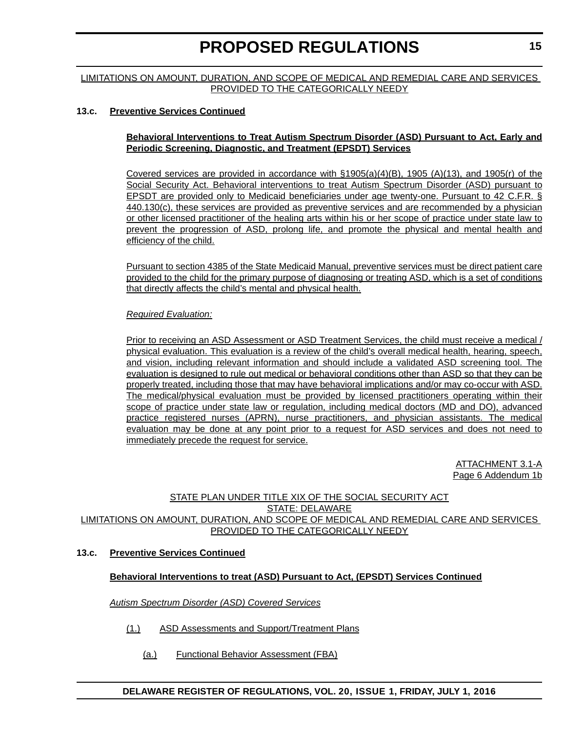#### LIMITATIONS ON AMOUNT, DURATION, AND SCOPE OF MEDICAL AND REMEDIAL CARE AND SERVICES PROVIDED TO THE CATEGORICALLY NEEDY

#### **13.c. Preventive Services Continued**

#### **Behavioral Interventions to Treat Autism Spectrum Disorder (ASD) Pursuant to Act, Early and Periodic Screening, Diagnostic, and Treatment (EPSDT) Services**

Covered services are provided in accordance with §1905(a)(4)(B), 1905 (A)(13), and 1905(r) of the Social Security Act. Behavioral interventions to treat Autism Spectrum Disorder (ASD) pursuant to EPSDT are provided only to Medicaid beneficiaries under age twenty-one. Pursuant to 42 C.F.R. § 440.130(c), these services are provided as preventive services and are recommended by a physician or other licensed practitioner of the healing arts within his or her scope of practice under state law to prevent the progression of ASD, prolong life, and promote the physical and mental health and efficiency of the child.

Pursuant to section 4385 of the State Medicaid Manual, preventive services must be direct patient care provided to the child for the primary purpose of diagnosing or treating ASD, which is a set of conditions that directly affects the child's mental and physical health.

#### *Required Evaluation:*

Prior to receiving an ASD Assessment or ASD Treatment Services, the child must receive a medical / physical evaluation. This evaluation is a review of the child's overall medical health, hearing, speech, and vision, including relevant information and should include a validated ASD screening tool. The evaluation is designed to rule out medical or behavioral conditions other than ASD so that they can be properly treated, including those that may have behavioral implications and/or may co-occur with ASD. The medical/physical evaluation must be provided by licensed practitioners operating within their scope of practice under state law or regulation, including medical doctors (MD and DO), advanced practice registered nurses (APRN), nurse practitioners, and physician assistants. The medical evaluation may be done at any point prior to a request for ASD services and does not need to immediately precede the request for service.

> ATTACHMENT 3.1-A Page 6 Addendum 1b

#### STATE PLAN UNDER TITLE XIX OF THE SOCIAL SECURITY ACT STATE: DELAWARE LIMITATIONS ON AMOUNT, DURATION, AND SCOPE OF MEDICAL AND REMEDIAL CARE AND SERVICES PROVIDED TO THE CATEGORICALLY NEEDY

#### **13.c. Preventive Services Continued**

#### **Behavioral Interventions to treat (ASD) Pursuant to Act, (EPSDT) Services Continued**

*Autism Spectrum Disorder (ASD) Covered Services*

- (1.) ASD Assessments and Support/Treatment Plans
	- (a.) Functional Behavior Assessment (FBA)

**15**

#### **DELAWARE REGISTER OF REGULATIONS, VOL. 20, ISSUE 1, FRIDAY, JULY 1, 2016**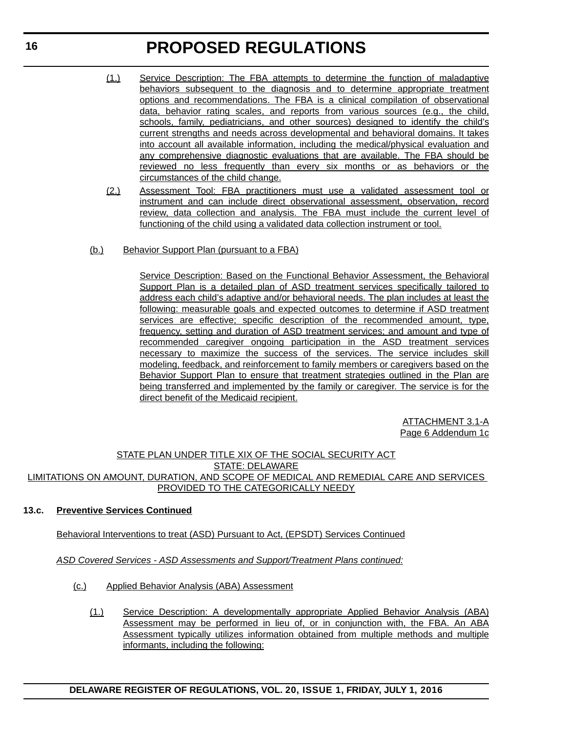- (1.) Service Description: The FBA attempts to determine the function of maladaptive behaviors subsequent to the diagnosis and to determine appropriate treatment options and recommendations. The FBA is a clinical compilation of observational data, behavior rating scales, and reports from various sources (e.g., the child, schools, family, pediatricians, and other sources) designed to identify the child's current strengths and needs across developmental and behavioral domains. It takes into account all available information, including the medical/physical evaluation and any comprehensive diagnostic evaluations that are available. The FBA should be reviewed no less frequently than every six months or as behaviors or the circumstances of the child change.
- (2.) Assessment Tool: FBA practitioners must use a validated assessment tool or instrument and can include direct observational assessment, observation, record review, data collection and analysis. The FBA must include the current level of functioning of the child using a validated data collection instrument or tool.
- (b.) Behavior Support Plan (pursuant to a FBA)

Service Description: Based on the Functional Behavior Assessment, the Behavioral Support Plan is a detailed plan of ASD treatment services specifically tailored to address each child's adaptive and/or behavioral needs. The plan includes at least the following: measurable goals and expected outcomes to determine if ASD treatment services are effective; specific description of the recommended amount, type, frequency, setting and duration of ASD treatment services; and amount and type of recommended caregiver ongoing participation in the ASD treatment services necessary to maximize the success of the services. The service includes skill modeling, feedback, and reinforcement to family members or caregivers based on the Behavior Support Plan to ensure that treatment strategies outlined in the Plan are being transferred and implemented by the family or caregiver. The service is for the direct benefit of the Medicaid recipient.

> ATTACHMENT 3.1-A Page 6 Addendum 1c

#### STATE PLAN UNDER TITLE XIX OF THE SOCIAL SECURITY ACT STATE: DELAWARE LIMITATIONS ON AMOUNT, DURATION, AND SCOPE OF MEDICAL AND REMEDIAL CARE AND SERVICES PROVIDED TO THE CATEGORICALLY NEEDY

#### **13.c. Preventive Services Continued**

#### Behavioral Interventions to treat (ASD) Pursuant to Act, (EPSDT) Services Continued

*ASD Covered Services - ASD Assessments and Support/Treatment Plans continued:*

- (c.) Applied Behavior Analysis (ABA) Assessment
	- (1.) Service Description: A developmentally appropriate Applied Behavior Analysis (ABA) Assessment may be performed in lieu of, or in conjunction with, the FBA. An ABA Assessment typically utilizes information obtained from multiple methods and multiple informants, including the following: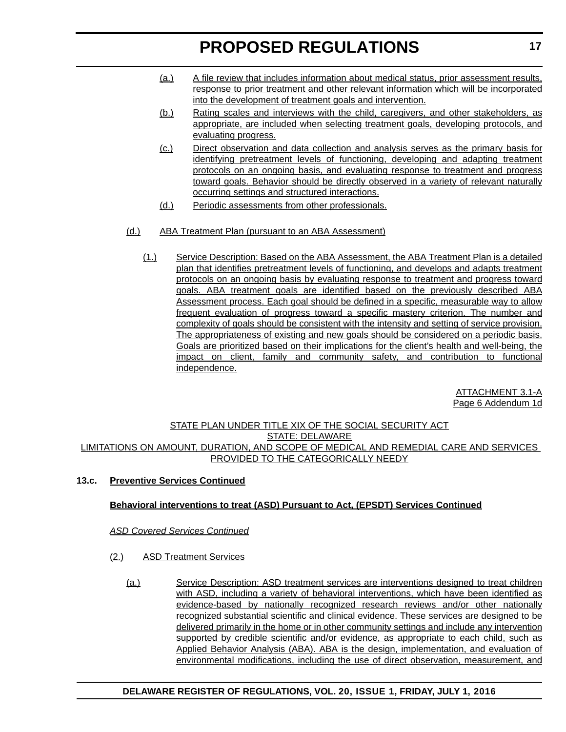- (a.) A file review that includes information about medical status, prior assessment results, response to prior treatment and other relevant information which will be incorporated into the development of treatment goals and intervention.
- (b.) Rating scales and interviews with the child, caregivers, and other stakeholders, as appropriate, are included when selecting treatment goals, developing protocols, and evaluating progress.
- (c.) Direct observation and data collection and analysis serves as the primary basis for identifying pretreatment levels of functioning, developing and adapting treatment protocols on an ongoing basis, and evaluating response to treatment and progress toward goals. Behavior should be directly observed in a variety of relevant naturally occurring settings and structured interactions.
- (d.) Periodic assessments from other professionals.
- (d.) ABA Treatment Plan (pursuant to an ABA Assessment)
	- (1.) Service Description: Based on the ABA Assessment, the ABA Treatment Plan is a detailed plan that identifies pretreatment levels of functioning, and develops and adapts treatment protocols on an ongoing basis by evaluating response to treatment and progress toward goals. ABA treatment goals are identified based on the previously described ABA Assessment process. Each goal should be defined in a specific, measurable way to allow frequent evaluation of progress toward a specific mastery criterion. The number and complexity of goals should be consistent with the intensity and setting of service provision. The appropriateness of existing and new goals should be considered on a periodic basis. Goals are prioritized based on their implications for the client's health and well-being, the impact on client, family and community safety, and contribution to functional independence.

ATTACHMENT 3.1-A Page 6 Addendum 1d

#### STATE PLAN UNDER TITLE XIX OF THE SOCIAL SECURITY ACT STATE: DELAWARE LIMITATIONS ON AMOUNT, DURATION, AND SCOPE OF MEDICAL AND REMEDIAL CARE AND SERVICES PROVIDED TO THE CATEGORICALLY NEEDY

#### **13.c. Preventive Services Continued**

#### **Behavioral interventions to treat (ASD) Pursuant to Act, (EPSDT) Services Continued**

#### *ASD Covered Services Continued*

- (2.) ASD Treatment Services
	- (a.) Service Description: ASD treatment services are interventions designed to treat children with ASD, including a variety of behavioral interventions, which have been identified as evidence-based by nationally recognized research reviews and/or other nationally recognized substantial scientific and clinical evidence. These services are designed to be delivered primarily in the home or in other community settings and include any intervention supported by credible scientific and/or evidence, as appropriate to each child, such as Applied Behavior Analysis (ABA). ABA is the design, implementation, and evaluation of environmental modifications, including the use of direct observation, measurement, and

#### **DELAWARE REGISTER OF REGULATIONS, VOL. 20, ISSUE 1, FRIDAY, JULY 1, 2016**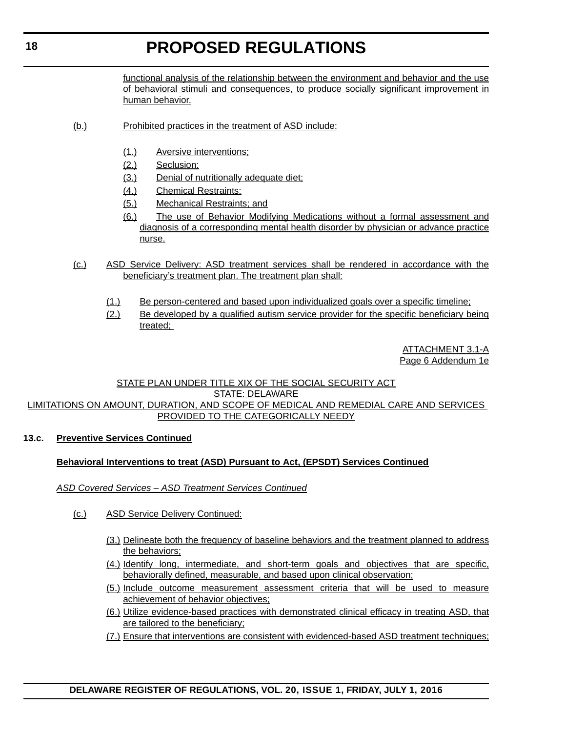functional analysis of the relationship between the environment and behavior and the use of behavioral stimuli and consequences, to produce socially significant improvement in human behavior.

- (b.) Prohibited practices in the treatment of ASD include:
	- (1.) Aversive interventions;
	- (2.) Seclusion;
	- (3.) Denial of nutritionally adequate diet;
	- (4.) Chemical Restraints;
	- (5.) Mechanical Restraints; and
	- (6.) The use of Behavior Modifying Medications without a formal assessment and diagnosis of a corresponding mental health disorder by physician or advance practice nurse.
- (c.) ASD Service Delivery: ASD treatment services shall be rendered in accordance with the beneficiary's treatment plan. The treatment plan shall:
	- (1.) Be person-centered and based upon individualized goals over a specific timeline;
	- (2.) Be developed by a qualified autism service provider for the specific beneficiary being treated;

ATTACHMENT 3.1-A Page 6 Addendum 1e

#### STATE PLAN UNDER TITLE XIX OF THE SOCIAL SECURITY ACT STATE: DELAWARE

#### LIMITATIONS ON AMOUNT, DURATION, AND SCOPE OF MEDICAL AND REMEDIAL CARE AND SERVICES PROVIDED TO THE CATEGORICALLY NEEDY

#### **13.c. Preventive Services Continued**

#### **Behavioral Interventions to treat (ASD) Pursuant to Act, (EPSDT) Services Continued**

- *ASD Covered Services ASD Treatment Services Continued*
	- (c.) ASD Service Delivery Continued:
		- (3.) Delineate both the frequency of baseline behaviors and the treatment planned to address the behaviors;
		- (4.) Identify long, intermediate, and short-term goals and objectives that are specific, behaviorally defined, measurable, and based upon clinical observation;
		- (5.) Include outcome measurement assessment criteria that will be used to measure achievement of behavior objectives;
		- (6.) Utilize evidence-based practices with demonstrated clinical efficacy in treating ASD, that are tailored to the beneficiary;
		- (7.) Ensure that interventions are consistent with evidenced-based ASD treatment techniques;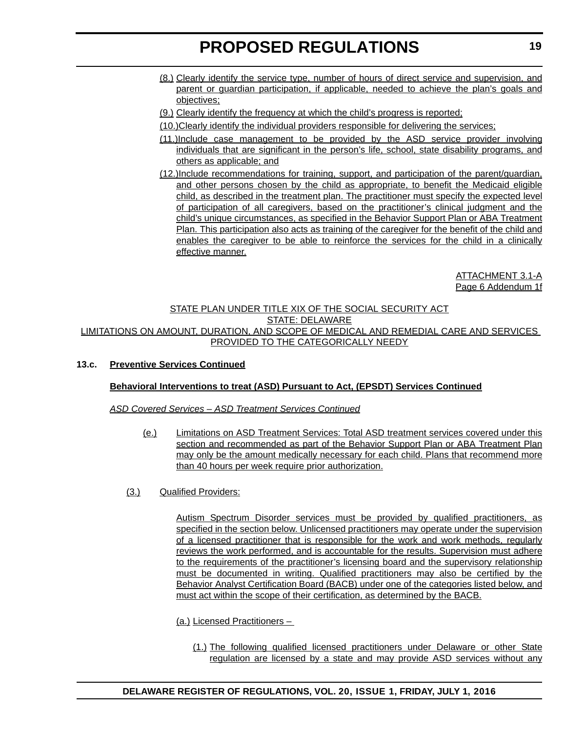- (8.) Clearly identify the service type, number of hours of direct service and supervision, and parent or guardian participation, if applicable, needed to achieve the plan's goals and objectives;
- (9.) Clearly identify the frequency at which the child's progress is reported;
- (10.)Clearly identify the individual providers responsible for delivering the services;
- (11.)Include case management to be provided by the ASD service provider involving individuals that are significant in the person's life, school, state disability programs, and others as applicable; and
- (12.)Include recommendations for training, support, and participation of the parent/guardian, and other persons chosen by the child as appropriate, to benefit the Medicaid eligible child, as described in the treatment plan. The practitioner must specify the expected level of participation of all caregivers, based on the practitioner's clinical judgment and the child's unique circumstances, as specified in the Behavior Support Plan or ABA Treatment Plan. This participation also acts as training of the caregiver for the benefit of the child and enables the caregiver to be able to reinforce the services for the child in a clinically effective manner.

ATTACHMENT 3.1-A Page 6 Addendum 1f

#### STATE PLAN UNDER TITLE XIX OF THE SOCIAL SECURITY ACT STATE: DELAWARE LIMITATIONS ON AMOUNT, DURATION, AND SCOPE OF MEDICAL AND REMEDIAL CARE AND SERVICES PROVIDED TO THE CATEGORICALLY NEEDY

#### **13.c. Preventive Services Continued**

#### **Behavioral Interventions to treat (ASD) Pursuant to Act, (EPSDT) Services Continued**

*ASD Covered Services – ASD Treatment Services Continued*

- (e.) Limitations on ASD Treatment Services: Total ASD treatment services covered under this section and recommended as part of the Behavior Support Plan or ABA Treatment Plan may only be the amount medically necessary for each child. Plans that recommend more than 40 hours per week require prior authorization.
- (3.) Qualified Providers:

Autism Spectrum Disorder services must be provided by qualified practitioners, as specified in the section below. Unlicensed practitioners may operate under the supervision of a licensed practitioner that is responsible for the work and work methods, regularly reviews the work performed, and is accountable for the results. Supervision must adhere to the requirements of the practitioner's licensing board and the supervisory relationship must be documented in writing. Qualified practitioners may also be certified by the Behavior Analyst Certification Board (BACB) under one of the categories listed below, and must act within the scope of their certification, as determined by the BACB.

- (a.) Licensed Practitioners
	- (1.) The following qualified licensed practitioners under Delaware or other State regulation are licensed by a state and may provide ASD services without any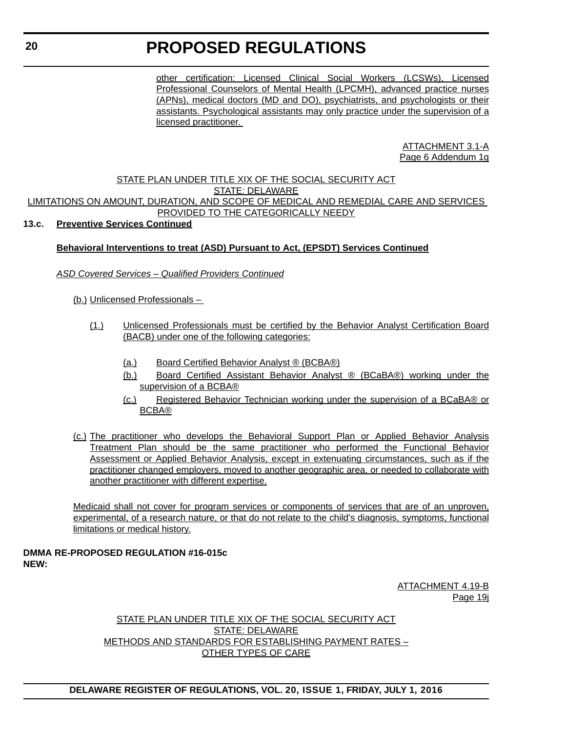other certification: Licensed Clinical Social Workers (LCSWs), Licensed Professional Counselors of Mental Health (LPCMH), advanced practice nurses (APNs), medical doctors (MD and DO), psychiatrists, and psychologists or their assistants. Psychological assistants may only practice under the supervision of a licensed practitioner.

> ATTACHMENT 3.1-A Page 6 Addendum 1g

#### STATE PLAN UNDER TITLE XIX OF THE SOCIAL SECURITY ACT STATE: DELAWARE LIMITATIONS ON AMOUNT, DURATION, AND SCOPE OF MEDICAL AND REMEDIAL CARE AND SERVICES PROVIDED TO THE CATEGORICALLY NEEDY

#### **13.c. Preventive Services Continued**

#### **Behavioral Interventions to treat (ASD) Pursuant to Act, (EPSDT) Services Continued**

#### *ASD Covered Services – Qualified Providers Continued*

(b.) Unlicensed Professionals –

- (1.) Unlicensed Professionals must be certified by the Behavior Analyst Certification Board (BACB) under one of the following categories:
	- (a.) Board Certified Behavior Analyst ® (BCBA®)
	- (b.) Board Certified Assistant Behavior Analyst ® (BCaBA®) working under the supervision of a BCBA®
	- (c.) Registered Behavior Technician working under the supervision of a BCaBA® or BCBA®
- (c.) The practitioner who develops the Behavioral Support Plan or Applied Behavior Analysis Treatment Plan should be the same practitioner who performed the Functional Behavior Assessment or Applied Behavior Analysis, except in extenuating circumstances, such as if the practitioner changed employers, moved to another geographic area, or needed to collaborate with another practitioner with different expertise.

Medicaid shall not cover for program services or components of services that are of an unproven, experimental, of a research nature, or that do not relate to the child's diagnosis, symptoms, functional limitations or medical history.

#### **DMMA RE-PROPOSED REGULATION #16-015c NEW:**

ATTACHMENT 4.19-B Page 19j

#### STATE PLAN UNDER TITLE XIX OF THE SOCIAL SECURITY ACT STATE: DELAWARE METHODS AND STANDARDS FOR ESTABLISHING PAYMENT RATES – OTHER TYPES OF CARE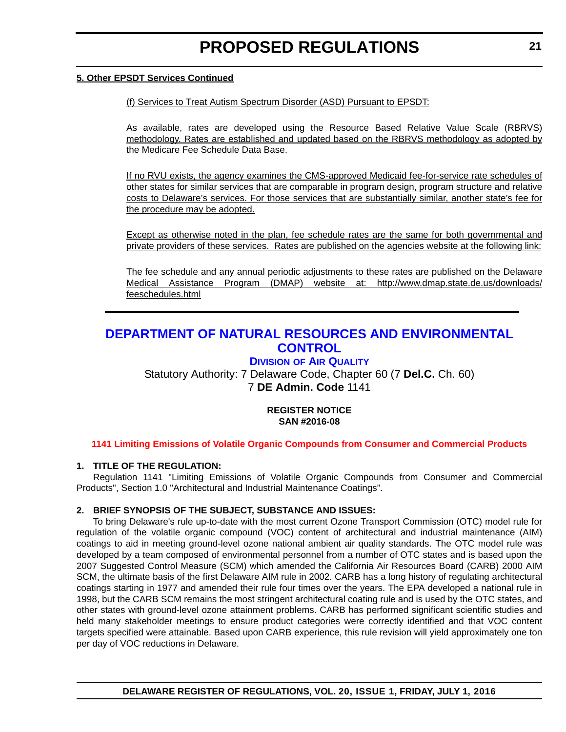#### <span id="page-20-0"></span>**5. Other EPSDT Services Continued**

(f) Services to Treat Autism Spectrum Disorder (ASD) Pursuant to EPSDT:

As available, rates are developed using the Resource Based Relative Value Scale (RBRVS) methodology. Rates are established and updated based on the RBRVS methodology as adopted by the Medicare Fee Schedule Data Base.

If no RVU exists, the agency examines the CMS-approved Medicaid fee-for-service rate schedules of other states for similar services that are comparable in program design, program structure and relative costs to Delaware's services. For those services that are substantially similar, another state's fee for the procedure may be adopted.

Except as otherwise noted in the plan, fee schedule rates are the same for both governmental and private providers of these services. Rates are published on the agencies website at the following link:

[The fee schedule and any annual periodic adjustments to these rates are published on the Delaware](http://www.dmap.state.de.us/downloads/feeschedules.html) Medical Assistance Program (DMAP) website at: http://www.dmap.state.de.us/downloads/ feeschedules.html

### **[DEPARTMENT OF NATURAL RESOURCES AND ENVIRONMENTAL](http://www.dnrec.delaware.gov/Pages/Portal.aspx)  CONTROL**

#### **DIVISION [OF AIR QUALITY](http://www.dnrec.delaware.gov/air/Pages/Default.aspx)**

Statutory Authority: 7 Delaware Code, Chapter 60 (7 **Del.C.** Ch. 60) 7 **DE Admin. Code** 1141

#### **REGISTER NOTICE SAN #2016-08**

**[1141 Limiting Emissions of Volatile Organic Compounds from Consumer and Commercial Products](#page-3-0)**

#### **1. TITLE OF THE REGULATION:**

Regulation 1141 "Limiting Emissions of Volatile Organic Compounds from Consumer and Commercial Products", Section 1.0 "Architectural and Industrial Maintenance Coatings".

#### **2. BRIEF SYNOPSIS OF THE SUBJECT, SUBSTANCE AND ISSUES:**

To bring Delaware's rule up-to-date with the most current Ozone Transport Commission (OTC) model rule for regulation of the volatile organic compound (VOC) content of architectural and industrial maintenance (AIM) coatings to aid in meeting ground-level ozone national ambient air quality standards. The OTC model rule was developed by a team composed of environmental personnel from a number of OTC states and is based upon the 2007 Suggested Control Measure (SCM) which amended the California Air Resources Board (CARB) 2000 AIM SCM, the ultimate basis of the first Delaware AIM rule in 2002. CARB has a long history of regulating architectural coatings starting in 1977 and amended their rule four times over the years. The EPA developed a national rule in 1998, but the CARB SCM remains the most stringent architectural coating rule and is used by the OTC states, and other states with ground-level ozone attainment problems. CARB has performed significant scientific studies and held many stakeholder meetings to ensure product categories were correctly identified and that VOC content targets specified were attainable. Based upon CARB experience, this rule revision will yield approximately one ton per day of VOC reductions in Delaware.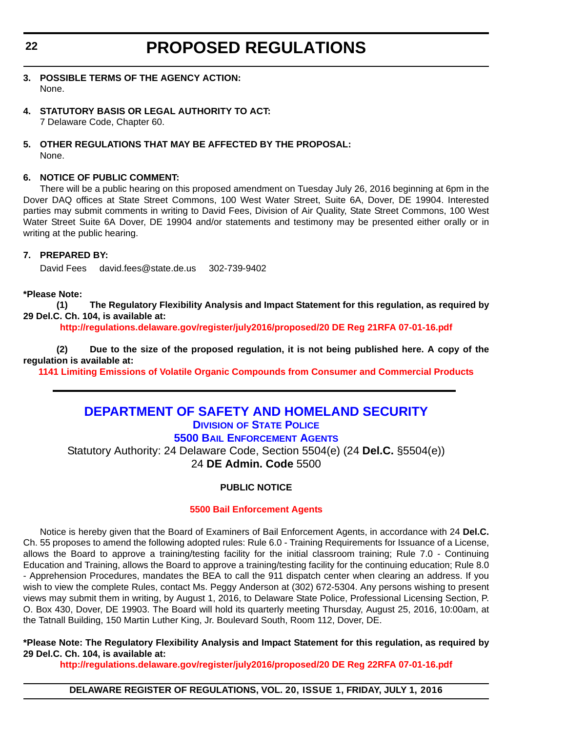- <span id="page-21-0"></span>**3. POSSIBLE TERMS OF THE AGENCY ACTION:** None.
- **4. STATUTORY BASIS OR LEGAL AUTHORITY TO ACT:** 7 Delaware Code, Chapter 60.
- **5. OTHER REGULATIONS THAT MAY BE AFFECTED BY THE PROPOSAL:** None.

#### **6. NOTICE OF PUBLIC COMMENT:**

There will be a public hearing on this proposed amendment on Tuesday July 26, 2016 beginning at 6pm in the Dover DAQ offices at State Street Commons, 100 West Water Street, Suite 6A, Dover, DE 19904. Interested parties may submit comments in writing to David Fees, Division of Air Quality, State Street Commons, 100 West Water Street Suite 6A Dover, DE 19904 and/or statements and testimony may be presented either orally or in writing at the public hearing.

#### **7. PREPARED BY:**

David Fees david.fees@state.de.us 302-739-9402

#### **\*Please Note:**

**(1) The Regulatory Flexibility Analysis and Impact Statement for this regulation, as required by 29 Del.C. Ch. 104, is available at:**

**[http://regulations.delaware.gov/register/july2016/proposed/20 DE Reg 21RFA 07-01-16.pdf](http://regulations.delaware.gov/register/july2016/proposed/20 DE Reg 21 07-01-16.htm)**

**(2) Due to the size of the proposed regulation, it is not being published here. A copy of the regulation is available at:**

**[1141 Limiting Emissions of Volatile Organic Compounds from Consumer and Commercial Products](http://regulations.delaware.gov/register/july2016/proposed/20 DE Reg 21 07-01-16.htm)**

### **[DEPARTMENT OF SAFETY AND HOMELAND SECURITY](http://dshs.delaware.gov/)**

### **DIVISION [OF STATE POLICE](http://dsp.delaware.gov/)**

**[5500 BAIL ENFORCEMENT AGENTS](http://dsp.delaware.gov/bail_enforcement_agents.shtml )**

Statutory Authority: 24 Delaware Code, Section 5504(e) (24 **Del.C.** §5504(e)) 24 **DE Admin. Code** 5500

#### **PUBLIC NOTICE**

#### **[5500 Bail Enforcement Agents](#page-3-0)**

Notice is hereby given that the Board of Examiners of Bail Enforcement Agents, in accordance with 24 **Del.C.** Ch. 55 proposes to amend the following adopted rules: Rule 6.0 - Training Requirements for Issuance of a License, allows the Board to approve a training/testing facility for the initial classroom training; Rule 7.0 - Continuing Education and Training, allows the Board to approve a training/testing facility for the continuing education; Rule 8.0 - Apprehension Procedures, mandates the BEA to call the 911 dispatch center when clearing an address. If you wish to view the complete Rules, contact Ms. Peggy Anderson at (302) 672-5304. Any persons wishing to present views may submit them in writing, by August 1, 2016, to Delaware State Police, Professional Licensing Section, P. O. Box 430, Dover, DE 19903. The Board will hold its quarterly meeting Thursday, August 25, 2016, 10:00am, at the Tatnall Building, 150 Martin Luther King, Jr. Boulevard South, Room 112, Dover, DE.

**\*Please Note: The Regulatory Flexibility Analysis and Impact Statement for this regulation, as required by 29 Del.C. Ch. 104, is available at:**

**[http://regulations.delaware.gov/register/july2016/proposed/20 DE Reg 22RFA 07-01-16.pdf](http://regulations.delaware.gov/register/july2016/proposed/20 DE Reg 22 07-01-16.htm)**

**DELAWARE REGISTER OF REGULATIONS, VOL. 20, ISSUE 1, FRIDAY, JULY 1, 2016**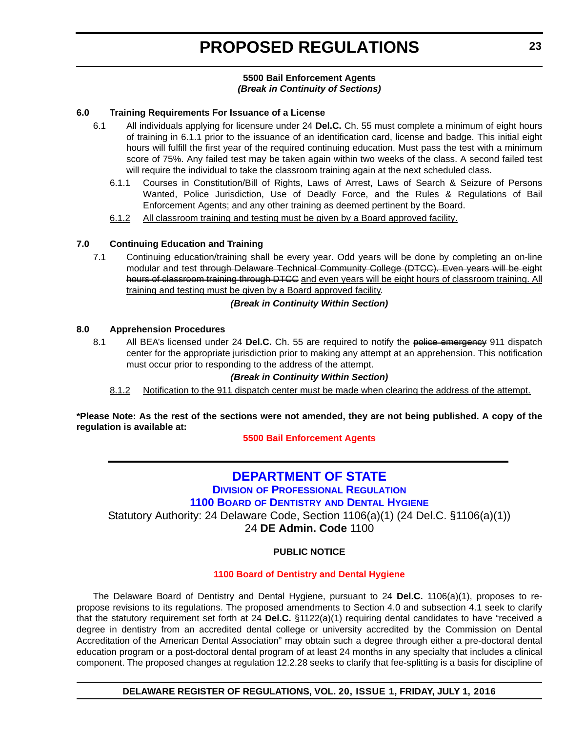#### **5500 Bail Enforcement Agents** *(Break in Continuity of Sections)*

#### <span id="page-22-0"></span>**6.0 Training Requirements For Issuance of a License**

- 6.1 All individuals applying for licensure under 24 **Del.C.** Ch. 55 must complete a minimum of eight hours of training in 6.1.1 prior to the issuance of an identification card, license and badge. This initial eight hours will fulfill the first year of the required continuing education. Must pass the test with a minimum score of 75%. Any failed test may be taken again within two weeks of the class. A second failed test will require the individual to take the classroom training again at the next scheduled class.
	- 6.1.1 Courses in Constitution/Bill of Rights, Laws of Arrest, Laws of Search & Seizure of Persons Wanted, Police Jurisdiction, Use of Deadly Force, and the Rules & Regulations of Bail Enforcement Agents; and any other training as deemed pertinent by the Board.
	- 6.1.2 All classroom training and testing must be given by a Board approved facility.

#### **7.0 Continuing Education and Training**

7.1 Continuing education/training shall be every year. Odd years will be done by completing an on-line modular and test through Delaware Technical Community College (DTCC). Even years will be eight hours of classroom training through DTCC and even years will be eight hours of classroom training. All training and testing must be given by a Board approved facility.

#### *(Break in Continuity Within Section)*

#### **8.0 Apprehension Procedures**

8.1 All BEA's licensed under 24 **Del.C.** Ch. 55 are required to notify the police emergency 911 dispatch center for the appropriate jurisdiction prior to making any attempt at an apprehension. This notification must occur prior to responding to the address of the attempt.

#### *(Break in Continuity Within Section)*

8.1.2 Notification to the 911 dispatch center must be made when clearing the address of the attempt.

**\*Please Note: As the rest of the sections were not amended, they are not being published. A copy of the regulation is available at:**

**[5500 Bail Enforcement Agents](http://regulations.delaware.gov/register/july2016/proposed/20 DE Reg 22 07-01-16.htm)**

### **[DEPARTMENT OF STATE](http://sos.delaware.gov/) DIVISION [OF PROFESSIONAL REGULATION](http://dpr.delaware.gov/) 1100 BOARD OF DENTISTRY [AND DENTAL HYGIENE](http://dpr.delaware.gov/boards/dental/index.shtml)**

Statutory Authority: 24 Delaware Code, Section 1106(a)(1) (24 Del.C. §1106(a)(1))

24 **DE Admin. Code** 1100

#### **PUBLIC NOTICE**

#### **[1100 Board of Dentistry and Dental Hygiene](#page-3-0)**

The Delaware Board of Dentistry and Dental Hygiene, pursuant to 24 **Del.C.** 1106(a)(1), proposes to repropose revisions to its regulations. The proposed amendments to Section 4.0 and subsection 4.1 seek to clarify that the statutory requirement set forth at 24 **Del.C.** §1122(a)(1) requiring dental candidates to have "received a degree in dentistry from an accredited dental college or university accredited by the Commission on Dental Accreditation of the American Dental Association" may obtain such a degree through either a pre-doctoral dental education program or a post-doctoral dental program of at least 24 months in any specialty that includes a clinical component. The proposed changes at regulation 12.2.28 seeks to clarify that fee-splitting is a basis for discipline of

#### **DELAWARE REGISTER OF REGULATIONS, VOL. 20, ISSUE 1, FRIDAY, JULY 1, 2016**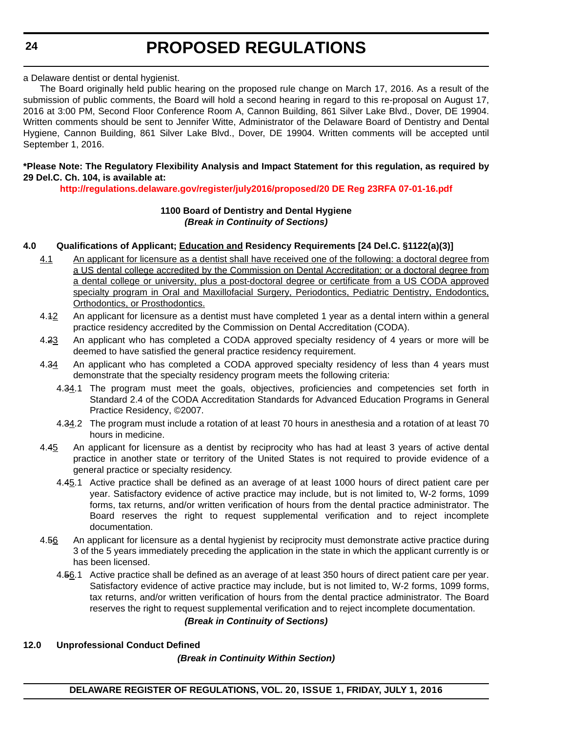#### a Delaware dentist or dental hygienist.

The Board originally held public hearing on the proposed rule change on March 17, 2016. As a result of the submission of public comments, the Board will hold a second hearing in regard to this re-proposal on August 17, 2016 at 3:00 PM, Second Floor Conference Room A, Cannon Building, 861 Silver Lake Blvd., Dover, DE 19904. Written comments should be sent to Jennifer Witte, Administrator of the Delaware Board of Dentistry and Dental Hygiene, Cannon Building, 861 Silver Lake Blvd., Dover, DE 19904. Written comments will be accepted until September 1, 2016.

#### **\*Please Note: The Regulatory Flexibility Analysis and Impact Statement for this regulation, as required by 29 Del.C. Ch. 104, is available at:**

**<http://regulations.delaware.gov/register/july2016/proposed/20 DE Reg 23RFA 07-01-16.pdf>**

#### **1100 Board of Dentistry and Dental Hygiene** *(Break in Continuity of Sections)*

#### **4.0 Qualifications of Applicant; Education and Residency Requirements [24 Del.C. §1122(a)(3)]**

- 4.1 An applicant for licensure as a dentist shall have received one of the following: a doctoral degree from a US dental college accredited by the Commission on Dental Accreditation; or a doctoral degree from a dental college or university, plus a post-doctoral degree or certificate from a US CODA approved specialty program in Oral and Maxillofacial Surgery, Periodontics, Pediatric Dentistry, Endodontics, Orthodontics, or Prosthodontics.
- 4.12 An applicant for licensure as a dentist must have completed 1 year as a dental intern within a general practice residency accredited by the Commission on Dental Accreditation (CODA).
- 4.23 An applicant who has completed a CODA approved specialty residency of 4 years or more will be deemed to have satisfied the general practice residency requirement.
- 4.34 An applicant who has completed a CODA approved specialty residency of less than 4 years must demonstrate that the specialty residency program meets the following criteria:
	- 4.34.1 The program must meet the goals, objectives, proficiencies and competencies set forth in Standard 2.4 of the CODA Accreditation Standards for Advanced Education Programs in General Practice Residency, ©2007.
	- 4.34.2 The program must include a rotation of at least 70 hours in anesthesia and a rotation of at least 70 hours in medicine.
- 4.45 An applicant for licensure as a dentist by reciprocity who has had at least 3 years of active dental practice in another state or territory of the United States is not required to provide evidence of a general practice or specialty residency.
	- 4.45.1 Active practice shall be defined as an average of at least 1000 hours of direct patient care per year. Satisfactory evidence of active practice may include, but is not limited to, W-2 forms, 1099 forms, tax returns, and/or written verification of hours from the dental practice administrator. The Board reserves the right to request supplemental verification and to reject incomplete documentation.
- 4.56 An applicant for licensure as a dental hygienist by reciprocity must demonstrate active practice during 3 of the 5 years immediately preceding the application in the state in which the applicant currently is or has been licensed.
	- 4.56.1 Active practice shall be defined as an average of at least 350 hours of direct patient care per year. Satisfactory evidence of active practice may include, but is not limited to, W-2 forms, 1099 forms, tax returns, and/or written verification of hours from the dental practice administrator. The Board reserves the right to request supplemental verification and to reject incomplete documentation.

*(Break in Continuity of Sections)*

#### **12.0 Unprofessional Conduct Defined**

*(Break in Continuity Within Section)*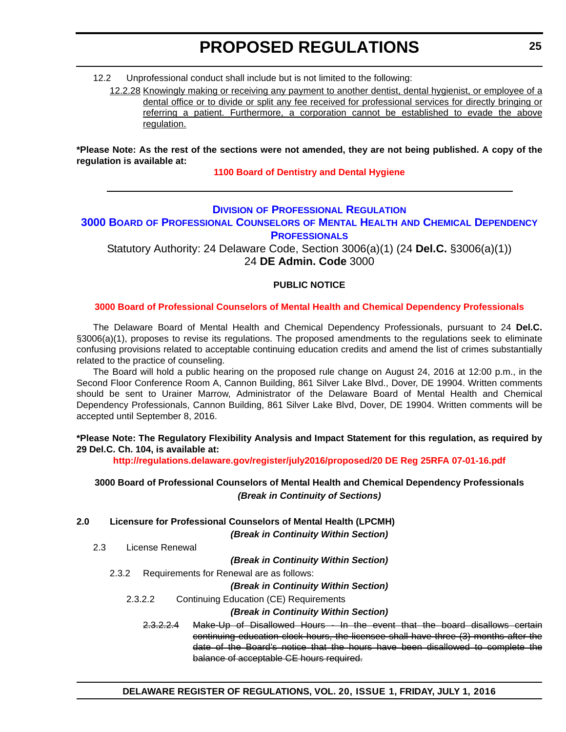<span id="page-24-0"></span>12.2 Unprofessional conduct shall include but is not limited to the following:

12.2.28 Knowingly making or receiving any payment to another dentist, dental hygienist, or employee of a dental office or to divide or split any fee received for professional services for directly bringing or referring a patient. Furthermore, a corporation cannot be established to evade the above regulation.

**\*Please Note: As the rest of the sections were not amended, they are not being published. A copy of the regulation is available at:**

**[1100 Board of Dentistry and Dental Hygiene](http://regulations.delaware.gov/register/july2016/proposed/20 DE Reg 23 07-01-16.htm)**

#### **DIVISION [OF PROFESSIONAL REGULATION](http://dpr.delaware.gov/)**

### **3000 BOARD [OF PROFESSIONAL COUNSELORS](http://dpr.delaware.gov/boards/profcounselors/index.shtml) OF MENTAL HEALTH AND CHEMICAL DEPENDENCY PROFESSIONALS**

Statutory Authority: 24 Delaware Code, Section 3006(a)(1) (24 **Del.C.** §3006(a)(1)) 24 **DE Admin. Code** 3000

#### **PUBLIC NOTICE**

#### **[3000 Board of Professional Counselors of Mental Health and Chemical Dependency Professionals](#page-3-0)**

The Delaware Board of Mental Health and Chemical Dependency Professionals, pursuant to 24 **Del.C.** §3006(a)(1), proposes to revise its regulations. The proposed amendments to the regulations seek to eliminate confusing provisions related to acceptable continuing education credits and amend the list of crimes substantially related to the practice of counseling.

The Board will hold a public hearing on the proposed rule change on August 24, 2016 at 12:00 p.m., in the Second Floor Conference Room A, Cannon Building, 861 Silver Lake Blvd., Dover, DE 19904. Written comments should be sent to Urainer Marrow, Administrator of the Delaware Board of Mental Health and Chemical Dependency Professionals, Cannon Building, 861 Silver Lake Blvd, Dover, DE 19904. Written comments will be accepted until September 8, 2016.

**\*Please Note: The Regulatory Flexibility Analysis and Impact Statement for this regulation, as required by 29 Del.C. Ch. 104, is available at:**

**<http://regulations.delaware.gov/register/july2016/proposed/20 DE Reg 25RFA 07-01-16.pdf>**

#### **3000 Board of Professional Counselors of Mental Health and Chemical Dependency Professionals** *(Break in Continuity of Sections)*

**2.0 Licensure for Professional Counselors of Mental Health (LPCMH)**

*(Break in Continuity Within Section)*

2.3 License Renewal

*(Break in Continuity Within Section)*

2.3.2 Requirements for Renewal are as follows:

#### *(Break in Continuity Within Section)*

2.3.2.2 Continuing Education (CE) Requirements

#### *(Break in Continuity Within Section)*

2.3.2.2.4 Make-Up of Disallowed Hours - In the event that the board disallows certain continuing education clock hours, the licensee shall have three (3) months after the date of the Board's notice that the hours have been disallowed to complete the balance of acceptable CE hours required.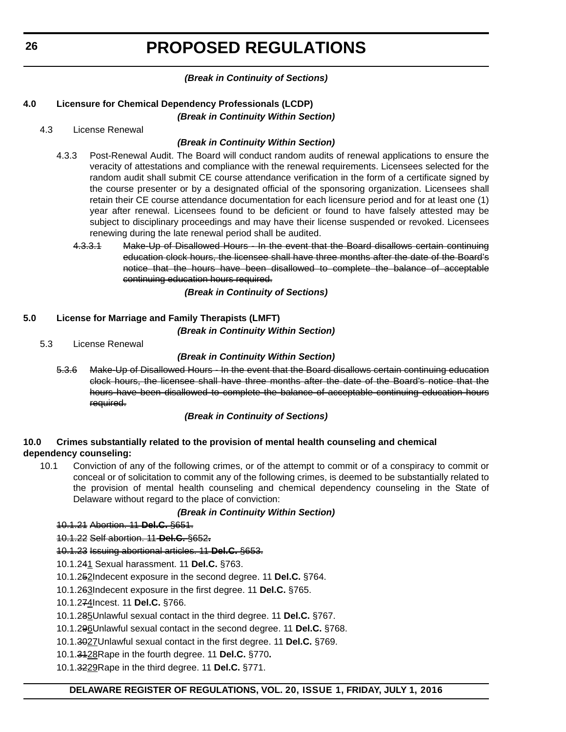#### *(Break in Continuity of Sections)*

#### **4.0 Licensure for Chemical Dependency Professionals (LCDP)**

*(Break in Continuity Within Section)*

#### 4.3 License Renewal

#### *(Break in Continuity Within Section)*

- 4.3.3 Post-Renewal Audit. The Board will conduct random audits of renewal applications to ensure the veracity of attestations and compliance with the renewal requirements. Licensees selected for the random audit shall submit CE course attendance verification in the form of a certificate signed by the course presenter or by a designated official of the sponsoring organization. Licensees shall retain their CE course attendance documentation for each licensure period and for at least one (1) year after renewal. Licensees found to be deficient or found to have falsely attested may be subject to disciplinary proceedings and may have their license suspended or revoked. Licensees renewing during the late renewal period shall be audited.
	- 4.3.3.1 Make-Up of Disallowed Hours In the event that the Board disallows certain continuing education clock hours, the licensee shall have three months after the date of the Board's notice that the hours have been disallowed to complete the balance of acceptable continuing education hours required.

*(Break in Continuity of Sections)*

#### **5.0 License for Marriage and Family Therapists (LMFT)**

*(Break in Continuity Within Section)*

5.3 License Renewal

#### *(Break in Continuity Within Section)*

5.3.6 Make-Up of Disallowed Hours - In the event that the Board disallows certain continuing education clock hours, the licensee shall have three months after the date of the Board's notice that the hours have been disallowed to complete the balance of acceptable continuing education hours required.

#### *(Break in Continuity of Sections)*

#### **10.0 Crimes substantially related to the provision of mental health counseling and chemical dependency counseling:**

10.1 Conviction of any of the following crimes, or of the attempt to commit or of a conspiracy to commit or conceal or of solicitation to commit any of the following crimes, is deemed to be substantially related to the provision of mental health counseling and chemical dependency counseling in the State of Delaware without regard to the place of conviction:

### *(Break in Continuity Within Section)*

10.1.21 Abortion. 11 **Del.C.** §651.

10.1.22 Self abortion. 11 **Del.C.** §652**.**

### 10.1.23 Issuing abortional articles. 11 **Del.C.** §653.

- 10.1.241 Sexual harassment. 11 **Del.C.** §763.
- 10.1.252Indecent exposure in the second degree. 11 **Del.C.** §764.
- 10.1.263Indecent exposure in the first degree. 11 **Del.C.** §765.
- 10.1.274Incest. 11 **Del.C.** §766.
- 10.1.285Unlawful sexual contact in the third degree. 11 **Del.C.** §767.
- 10.1.296Unlawful sexual contact in the second degree. 11 **Del.C.** §768.
- 10.1.3027Unlawful sexual contact in the first degree. 11 **Del.C.** §769.
- 10.1.3128Rape in the fourth degree. 11 **Del.C.** §770**.**
- 10.1.3229Rape in the third degree. 11 **Del.C.** §771.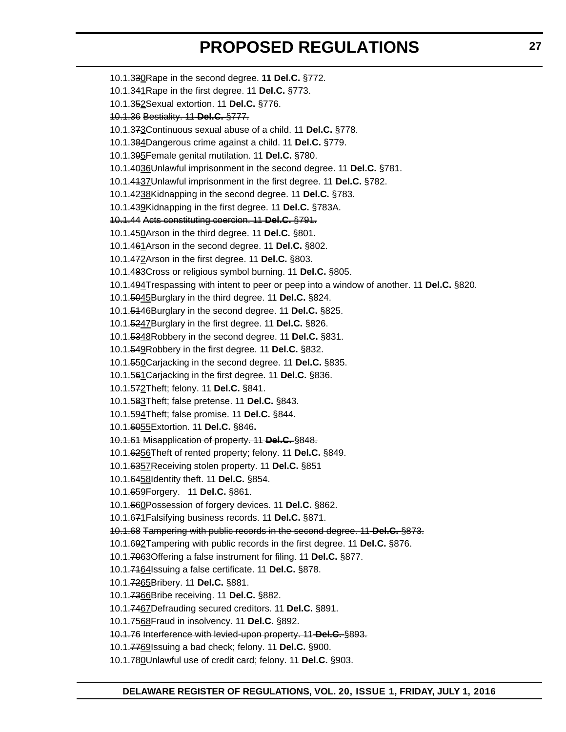10.1.330Rape in the second degree. **11 Del.C.** §772. 10.1.341Rape in the first degree. 11 **Del.C.** §773. 10.1.352Sexual extortion. 11 **Del.C.** §776. 10.1.36 Bestiality. 11 **Del.C.** §777. 10.1.373Continuous sexual abuse of a child. 11 **Del.C.** §778. 10.1.384Dangerous crime against a child. 11 **Del.C.** §779. 10.1.395Female genital mutilation. 11 **Del.C.** §780. 10.1.4036Unlawful imprisonment in the second degree. 11 **Del.C.** §781. 10.1.4137Unlawful imprisonment in the first degree. 11 **Del.C.** §782. 10.1.4238Kidnapping in the second degree. 11 **Del.C.** §783. 10.1.439Kidnapping in the first degree. 11 **Del.C.** §783A. 10.1.44 Acts constituting coercion. 11 **Del.C.** §791**.** 10.1.450Arson in the third degree. 11 **Del.C.** §801. 10.1.461Arson in the second degree. 11 **Del.C.** §802. 10.1.472Arson in the first degree. 11 **Del.C.** §803. 10.1.483Cross or religious symbol burning. 11 **Del.C.** §805. 10.1.494Trespassing with intent to peer or peep into a window of another. 11 **Del.C.** §820. 10.1.5045Burglary in the third degree. 11 **Del.C.** §824. 10.1.5146Burglary in the second degree. 11 **Del.C.** §825. 10.1.5247Burglary in the first degree. 11 **Del.C.** §826. 10.1.5348Robbery in the second degree. 11 **Del.C.** §831. 10.1.549Robbery in the first degree. 11 **Del.C.** §832. 10.1.550Carjacking in the second degree. 11 **Del.C.** §835. 10.1.561Carjacking in the first degree. 11 **Del.C.** §836. 10.1.572Theft; felony. 11 **Del.C.** §841. 10.1.583Theft; false pretense. 11 **Del.C.** §843. 10.1.594Theft; false promise. 11 **Del.C.** §844. 10.1.6055Extortion. 11 **Del.C.** §846**.** 10.1.61 Misapplication of property. 11 **Del.C.** §848. 10.1.6256Theft of rented property; felony. 11 **Del.C.** §849. 10.1.6357Receiving stolen property. 11 **Del.C.** §851 10.1.6458Identity theft. 11 **Del.C.** §854. 10.1.659Forgery. 11 **Del.C.** §861. 10.1.660Possession of forgery devices. 11 **Del.C.** §862. 10.1.671Falsifying business records. 11 **Del.C.** §871. 10.1.68 Tampering with public records in the second degree. 11 **Del.C.** §873. 10.1.692Tampering with public records in the first degree. 11 **Del.C.** §876. 10.1.7063Offering a false instrument for filing. 11 **Del.C.** §877. 10.1.7164Issuing a false certificate. 11 **Del.C.** §878. 10.1.7265Bribery. 11 **Del.C.** §881. 10.1.7366Bribe receiving. 11 **Del.C.** §882. 10.1.7467Defrauding secured creditors. 11 **Del.C.** §891. 10.1.7568Fraud in insolvency. 11 **Del.C.** §892. 10.1.76 Interference with levied-upon property. 11 **Del.C.** §893. 10.1.7769Issuing a bad check; felony. 11 **Del.C.** §900. 10.1.780Unlawful use of credit card; felony. 11 **Del.C.** §903.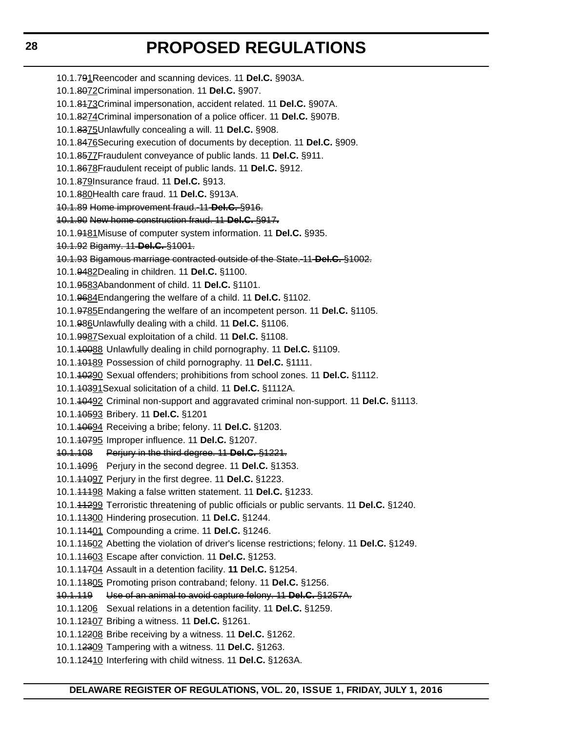10.1.791Reencoder and scanning devices. 11 **Del.C.** §903A. 10.1.8072Criminal impersonation. 11 **Del.C.** §907. 10.1.8173Criminal impersonation, accident related. 11 **Del.C.** §907A. 10.1.8274Criminal impersonation of a police officer. 11 **Del.C.** §907B. 10.1.8375Unlawfully concealing a will. 11 **Del.C.** §908. 10.1.8476Securing execution of documents by deception. 11 **Del.C.** §909. 10.1.8577Fraudulent conveyance of public lands. 11 **Del.C.** §911. 10.1.8678Fraudulent receipt of public lands. 11 **Del.C.** §912. 10.1.879Insurance fraud. 11 **Del.C.** §913. 10.1.880Health care fraud. 11 **Del.C.** §913A. 10.1.89 Home improvement fraud. 11 **Del.C.** §916. 10.1.90 New home construction fraud. 11 **Del.C.** §917**.** 10.1.9181Misuse of computer system information. 11 **Del.C.** §935. 10.1.92 Bigamy. 11 **Del.C.** §1001. 10.1.93 Bigamous marriage contracted outside of the State. 11 **Del.C.** §1002. 10.1.9482Dealing in children. 11 **Del.C.** §1100. 10.1.9583Abandonment of child. 11 **Del.C.** §1101. 10.1.9684Endangering the welfare of a child. 11 **Del.C.** §1102. 10.1.9785Endangering the welfare of an incompetent person. 11 **Del.C.** §1105. 10.1.986Unlawfully dealing with a child. 11 **Del.C.** §1106. 10.1.9987Sexual exploitation of a child. 11 **Del.C.** §1108. 10.1.10088 Unlawfully dealing in child pornography. 11 **Del.C.** §1109. 10.1.10189 Possession of child pornography. 11 **Del.C.** §1111. 10.1.10290 Sexual offenders; prohibitions from school zones. 11 **Del.C.** §1112. 10.1.10391Sexual solicitation of a child. 11 **Del.C.** §1112A. 10.1.10492 Criminal non-support and aggravated criminal non-support. 11 **Del.C.** §1113. 10.1.10593 Bribery. 11 **Del.C.** §1201 10.1.10694 Receiving a bribe; felony. 11 **Del.C.** §1203. 10.1.10795 Improper influence. 11 **Del.C.** §1207. 10.1.108 Perjury in the third degree. 11 **Del.C.** §1221. 10.1.1096 Perjury in the second degree. 11 **Del.C.** §1353. 10.1.11097 Perjury in the first degree. 11 **Del.C.** §1223. 10.1.11198 Making a false written statement. 11 **Del.C.** §1233. 10.1.11299 Terroristic threatening of public officials or public servants. 11 **Del.C.** §1240. 10.1.11300 Hindering prosecution. 11 **Del.C.** §1244. 10.1.11401 Compounding a crime. 11 **Del.C.** §1246. 10.1.11502 Abetting the violation of driver's license restrictions; felony. 11 **Del.C.** §1249. 10.1.11603 Escape after conviction. 11 **Del.C.** §1253. 10.1.11704 Assault in a detention facility. **11 Del.C.** §1254. 10.1.11805 Promoting prison contraband; felony. 11 **Del.C.** §1256. 10.1.119 Use of an animal to avoid capture felony. 11 **Del.C.** §1257A. 10.1.1206 Sexual relations in a detention facility. 11 **Del.C.** §1259. 10.1.12107 Bribing a witness. 11 **Del.C.** §1261. 10.1.12208 Bribe receiving by a witness. 11 **Del.C.** §1262. 10.1.12309 Tampering with a witness. 11 **Del.C.** §1263. 10.1.12410 Interfering with child witness. 11 **Del.C.** §1263A.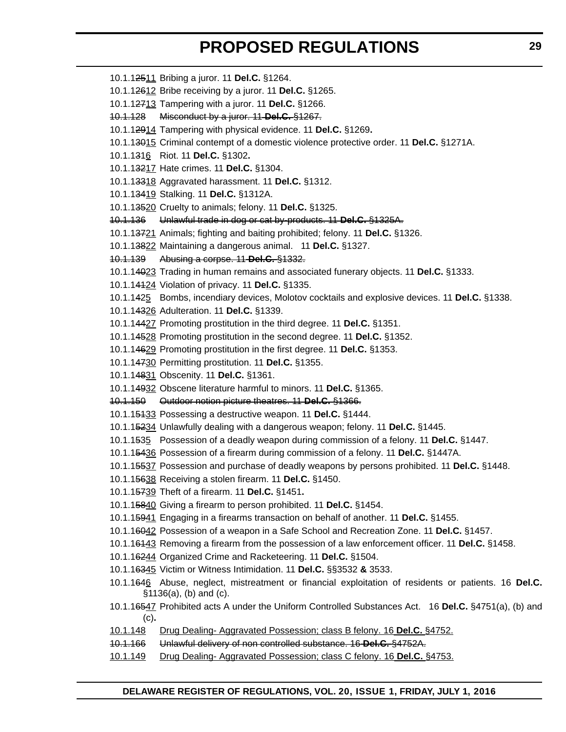| 10.1.12511 Bribing a juror. 11 Del.C. §1264.                            |                                                                                                       |
|-------------------------------------------------------------------------|-------------------------------------------------------------------------------------------------------|
| 10.1.12612 Bribe receiving by a juror. 11 Del.C. §1265.                 |                                                                                                       |
| 10.1.12713 Tampering with a juror. 11 Del.C. §1266.                     |                                                                                                       |
| Misconduct by a juror. 11 Del.C. §1267.<br><del>10.1.128</del>          |                                                                                                       |
| 10.1.12914 Tampering with physical evidence. 11 Del.C. §1269.           |                                                                                                       |
|                                                                         | 10.1.13915 Criminal contempt of a domestic violence protective order. 11 Del.C. §1271A.               |
| 10.1.1316 Riot. 11 Del.C. §1302.                                        |                                                                                                       |
| 10.1.13217 Hate crimes. 11 Del.C. §1304.                                |                                                                                                       |
| 10.1.13318 Aggravated harassment. 11 Del.C. §1312.                      |                                                                                                       |
| 10.1.13419 Stalking. 11 Del.C. §1312A.                                  |                                                                                                       |
| 10.1.13520 Cruelty to animals; felony. 11 Del.C. §1325.                 |                                                                                                       |
| 10.1.136 Unlawful trade in dog or cat by-products. 11-Del.C. §1325A.    |                                                                                                       |
|                                                                         | 10.1.13721 Animals; fighting and baiting prohibited; felony. 11 Del.C. §1326.                         |
| 10.1.13822 Maintaining a dangerous animal. 11 Del.C. §1327.             |                                                                                                       |
| Abusing a corpse. 11 Del.C. §1332.<br><u> 10.1.139</u>                  |                                                                                                       |
|                                                                         | 10.1.14023 Trading in human remains and associated funerary objects. 11 Del.C. §1333.                 |
| 10.1.14424 Violation of privacy. 11 Del.C. §1335.                       |                                                                                                       |
|                                                                         | 10.1.1425 Bombs, incendiary devices, Molotov cocktails and explosive devices. 11 Del.C. §1338.        |
| 10.1.14326 Adulteration. 11 Del.C. §1339.                               |                                                                                                       |
| 10.1.14427 Promoting prostitution in the third degree. 11 Del.C. §1351. |                                                                                                       |
|                                                                         | 10.1.14528 Promoting prostitution in the second degree. 11 Del.C. §1352.                              |
| 10.1.14629 Promoting prostitution in the first degree. 11 Del.C. §1353. |                                                                                                       |
| 10.1.14730 Permitting prostitution. 11 Del.C. §1355.                    |                                                                                                       |
| 10.1.14831 Obscenity. 11 Del.C. §1361.                                  |                                                                                                       |
| 10.1.14932 Obscene literature harmful to minors. 11 Del.C. §1365.       |                                                                                                       |
| <del>10.1.150</del>                                                     | Outdoor notion picture theatres. 11 Del.C. §1366.                                                     |
| 10.1.15433 Possessing a destructive weapon. 11 Del.C. §1444.            |                                                                                                       |
|                                                                         | 10.1.15234 Unlawfully dealing with a dangerous weapon; felony. 11 Del.C. §1445.                       |
|                                                                         | 10.1.1535 Possession of a deadly weapon during commission of a felony. 11 Del.C. §1447.               |
|                                                                         | 10.1.15436 Possession of a firearm during commission of a felony. 11 Del.C. §1447A.                   |
|                                                                         | 10.1.15537 Possession and purchase of deadly weapons by persons prohibited. 11 Del.C. §1448.          |
| 10.1.15638 Receiving a stolen firearm. 11 Del.C. §1450.                 |                                                                                                       |
| 10.1.15739 Theft of a firearm. 11 Del.C. §1451.                         |                                                                                                       |
| 10.1.15840 Giving a firearm to person prohibited. 11 Del.C. §1454.      |                                                                                                       |
|                                                                         | 10.1.1 <del>5941</del> Engaging in a firearms transaction on behalf of another. 11 Del.C. §1455.      |
|                                                                         | 10.1.16042 Possession of a weapon in a Safe School and Recreation Zone. 11 Del.C. §1457.              |
|                                                                         | 10.1.16443 Removing a firearm from the possession of a law enforcement officer. 11 Del.C. §1458.      |
| 10.1.16244 Organized Crime and Racketeering. 11 Del.C. §1504.           |                                                                                                       |
| 10.1.16345 Victim or Witness Intimidation. 11 Del.C. §§3532 & 3533.     |                                                                                                       |
| $$1136(a), (b)$ and $(c).$                                              | 10.1.1646 Abuse, neglect, mistreatment or financial exploitation of residents or patients. 16 Del.C.  |
| (c).                                                                    | 10.1.16547 Prohibited acts A under the Uniform Controlled Substances Act. 16 Del.C. §4751(a), (b) and |
| 10.1.148                                                                | Drug Dealing-Aggravated Possession; class B felony. 16 Del.C. §4752.                                  |
| 10.1.166                                                                | Unlawful delivery of non controlled substance. 16-Del.C. §4752A.                                      |
| 10.1.149                                                                | Drug Dealing-Aggravated Possession; class C felony. 16 Del.C. §4753.                                  |
|                                                                         |                                                                                                       |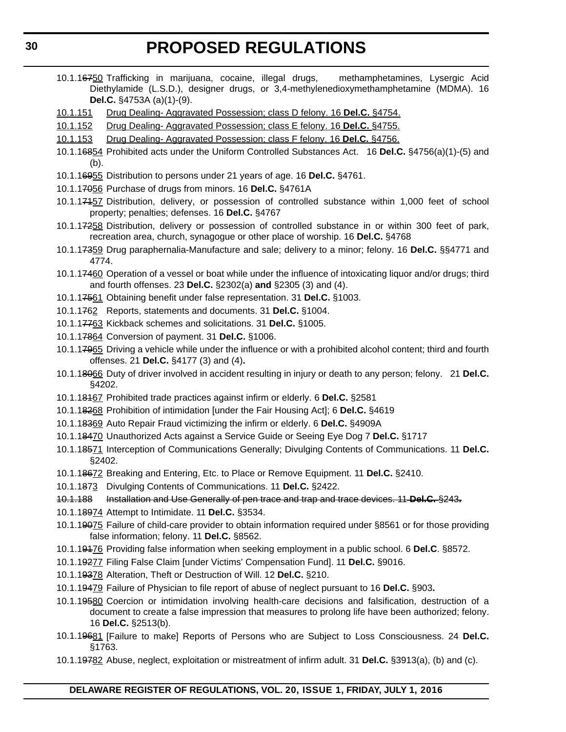- 10.1.16750 Trafficking in marijuana, cocaine, illegal drugs, methamphetamines, Lysergic Acid Diethylamide (L.S.D.), designer drugs, or 3,4-methylenedioxymethamphetamine (MDMA). 16 **Del.C.** §4753A (a)(1)-(9).
- 10.1.151 Drug Dealing- Aggravated Possession; class D felony. 16 **Del.C.** §4754.
- 10.1.152 Drug Dealing- Aggravated Possession; class E felony. 16 **Del.C.** §4755.
- 10.1.153 Drug Dealing- Aggravated Possession; class F felony. 16 **Del.C.** §4756.
- 10.1.16854 Prohibited acts under the Uniform Controlled Substances Act. 16 **Del.C.** §4756(a)(1)-(5) and (b).
- 10.1.16955 Distribution to persons under 21 years of age. 16 **Del.C.** §4761.
- 10.1.17056 Purchase of drugs from minors. 16 **Del.C.** §4761A
- 10.1.17157 Distribution, delivery, or possession of controlled substance within 1,000 feet of school property; penalties; defenses. 16 **Del.C.** §4767
- 10.1.17258 Distribution, delivery or possession of controlled substance in or within 300 feet of park, recreation area, church, synagogue or other place of worship. 16 **Del.C.** §4768
- 10.1.17359 Drug paraphernalia-Manufacture and sale; delivery to a minor; felony. 16 **Del.C.** §§4771 and 4774.
- 10.1.17460 Operation of a vessel or boat while under the influence of intoxicating liquor and/or drugs; third and fourth offenses. 23 **Del.C.** §2302(a) **and** §2305 (3) and (4).
- 10.1.17561 Obtaining benefit under false representation. 31 **Del.C.** §1003.
- 10.1.1762 Reports, statements and documents. 31 **Del.C.** §1004.
- 10.1.17763 Kickback schemes and solicitations. 31 **Del.C.** §1005.
- 10.1.17864 Conversion of payment. 31 **Del.C.** §1006.
- 10.1.17965 Driving a vehicle while under the influence or with a prohibited alcohol content; third and fourth offenses. 21 **Del.C.** §4177 (3) and (4)**.**
- 10.1.18066 Duty of driver involved in accident resulting in injury or death to any person; felony. 21 **Del.C.** §4202.
- 10.1.18167 Prohibited trade practices against infirm or elderly. 6 **Del.C.** §2581
- 10.1.18268 Prohibition of intimidation [under the Fair Housing Act]; 6 **Del.C.** §4619
- 10.1.18369 Auto Repair Fraud victimizing the infirm or elderly. 6 **Del.C.** §4909A
- 10.1.18470 Unauthorized Acts against a Service Guide or Seeing Eye Dog 7 **Del.C.** §1717
- 10.1.18571 Interception of Communications Generally; Divulging Contents of Communications. 11 **Del.C.** §2402.
- 10.1.18672 Breaking and Entering, Etc. to Place or Remove Equipment. 11 **Del.C.** §2410.
- 10.1.1873 Divulging Contents of Communications. 11 **Del.C.** §2422.
- 10.1.188 Installation and Use Generally of pen trace and trap and trace devices. 11 **Del.C.** §243**.**
- 10.1.18974 Attempt to Intimidate. 11 **Del.C.** §3534.
- 10.1.19075 Failure of child-care provider to obtain information required under §8561 or for those providing false information; felony. 11 **Del.C.** §8562.
- 10.1.19176 Providing false information when seeking employment in a public school. 6 **Del.C**. §8572.
- 10.1.19277 Filing False Claim [under Victims' Compensation Fund]. 11 **Del.C.** §9016.
- 10.1.19378 Alteration, Theft or Destruction of Will. 12 **Del.C.** §210.
- 10.1.19479 Failure of Physician to file report of abuse of neglect pursuant to 16 **Del.C.** §903**.**
- 10.1.19580 Coercion or intimidation involving health-care decisions and falsification, destruction of a document to create a false impression that measures to prolong life have been authorized; felony. 16 **Del.C.** §2513(b).
- 10.1.19681 [Failure to make] Reports of Persons who are Subject to Loss Consciousness. 24 **Del.C.** §1763.
- 10.1.19782 Abuse, neglect, exploitation or mistreatment of infirm adult. 31 **Del.C.** §3913(a), (b) and (c).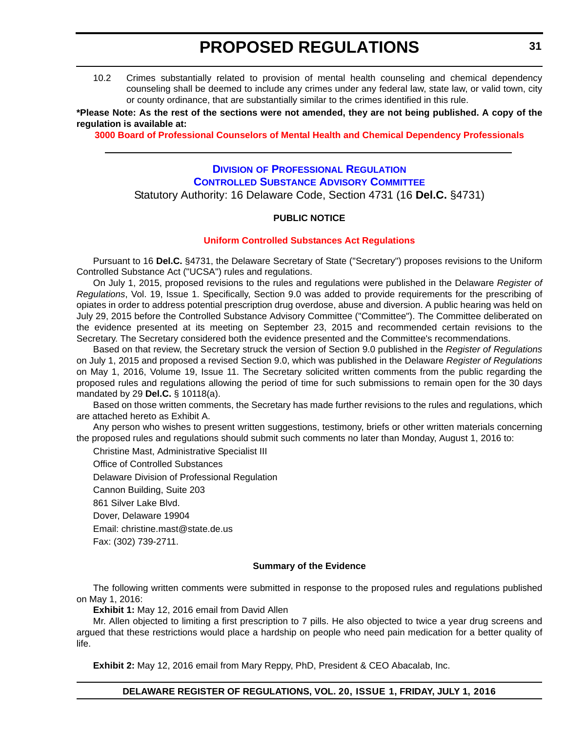<span id="page-30-0"></span>10.2 Crimes substantially related to provision of mental health counseling and chemical dependency counseling shall be deemed to include any crimes under any federal law, state law, or valid town, city or county ordinance, that are substantially similar to the crimes identified in this rule.

**\*Please Note: As the rest of the sections were not amended, they are not being published. A copy of the regulation is available at:**

**[3000 Board of Professional Counselors of Mental Health and Chemical Dependency Professionals](http://regulations.delaware.gov/register/july2016/proposed/20 DE Reg 25 07-01-16.htm)**

### **DIVISION [OF PROFESSIONAL REGULATION](http://dpr.delaware.gov/) [CONTROLLED SUBSTANCE ADVISORY COMMITTEE](http://dpr.delaware.gov/boards/controlledsubstances/index.shtml)** Statutory Authority: 16 Delaware Code, Section 4731 (16 **Del.C.** §4731)

#### **PUBLIC NOTICE**

#### **[Uniform Controlled Substances Act Regulations](#page-3-0)**

Pursuant to 16 **Del.C.** §4731, the Delaware Secretary of State ("Secretary") proposes revisions to the Uniform Controlled Substance Act ("UCSA") rules and regulations.

On July 1, 2015, proposed revisions to the rules and regulations were published in the Delaware *Register of Regulations*, Vol. 19, Issue 1. Specifically, Section 9.0 was added to provide requirements for the prescribing of opiates in order to address potential prescription drug overdose, abuse and diversion. A public hearing was held on July 29, 2015 before the Controlled Substance Advisory Committee ("Committee"). The Committee deliberated on the evidence presented at its meeting on September 23, 2015 and recommended certain revisions to the Secretary. The Secretary considered both the evidence presented and the Committee's recommendations.

Based on that review, the Secretary struck the version of Section 9.0 published in the *Register of Regulations* on July 1, 2015 and proposed a revised Section 9.0, which was published in the Delaware *Register of Regulations* on May 1, 2016, Volume 19, Issue 11. The Secretary solicited written comments from the public regarding the proposed rules and regulations allowing the period of time for such submissions to remain open for the 30 days mandated by 29 **Del.C.** § 10118(a).

Based on those written comments, the Secretary has made further revisions to the rules and regulations, which are attached hereto as Exhibit A.

Any person who wishes to present written suggestions, testimony, briefs or other written materials concerning the proposed rules and regulations should submit such comments no later than Monday, August 1, 2016 to:

Christine Mast, Administrative Specialist III Office of Controlled Substances Delaware Division of Professional Regulation Cannon Building, Suite 203 861 Silver Lake Blvd. Dover, Delaware 19904 Email: christine.mast@state.de.us Fax: (302) 739-2711.

#### **Summary of the Evidence**

The following written comments were submitted in response to the proposed rules and regulations published on May 1, 2016:

**Exhibit 1:** May 12, 2016 email from David Allen

Mr. Allen objected to limiting a first prescription to 7 pills. He also objected to twice a year drug screens and argued that these restrictions would place a hardship on people who need pain medication for a better quality of life.

**Exhibit 2:** May 12, 2016 email from Mary Reppy, PhD, President & CEO Abacalab, Inc.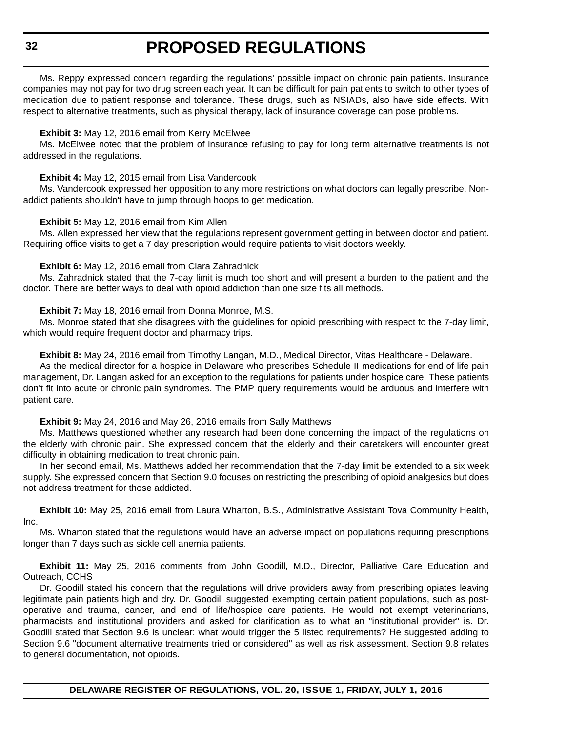Ms. Reppy expressed concern regarding the regulations' possible impact on chronic pain patients. Insurance companies may not pay for two drug screen each year. It can be difficult for pain patients to switch to other types of medication due to patient response and tolerance. These drugs, such as NSIADs, also have side effects. With respect to alternative treatments, such as physical therapy, lack of insurance coverage can pose problems.

#### **Exhibit 3:** May 12, 2016 email from Kerry McElwee

Ms. McElwee noted that the problem of insurance refusing to pay for long term alternative treatments is not addressed in the regulations.

#### **Exhibit 4:** May 12, 2015 email from Lisa Vandercook

Ms. Vandercook expressed her opposition to any more restrictions on what doctors can legally prescribe. Nonaddict patients shouldn't have to jump through hoops to get medication.

#### **Exhibit 5:** May 12, 2016 email from Kim Allen

Ms. Allen expressed her view that the regulations represent government getting in between doctor and patient. Requiring office visits to get a 7 day prescription would require patients to visit doctors weekly.

#### **Exhibit 6:** May 12, 2016 email from Clara Zahradnick

Ms. Zahradnick stated that the 7-day limit is much too short and will present a burden to the patient and the doctor. There are better ways to deal with opioid addiction than one size fits all methods.

#### **Exhibit 7:** May 18, 2016 email from Donna Monroe, M.S.

Ms. Monroe stated that she disagrees with the guidelines for opioid prescribing with respect to the 7-day limit, which would require frequent doctor and pharmacy trips.

**Exhibit 8:** May 24, 2016 email from Timothy Langan, M.D., Medical Director, Vitas Healthcare - Delaware.

As the medical director for a hospice in Delaware who prescribes Schedule II medications for end of life pain management, Dr. Langan asked for an exception to the regulations for patients under hospice care. These patients don't fit into acute or chronic pain syndromes. The PMP query requirements would be arduous and interfere with patient care.

#### **Exhibit 9:** May 24, 2016 and May 26, 2016 emails from Sally Matthews

Ms. Matthews questioned whether any research had been done concerning the impact of the regulations on the elderly with chronic pain. She expressed concern that the elderly and their caretakers will encounter great difficulty in obtaining medication to treat chronic pain.

In her second email, Ms. Matthews added her recommendation that the 7-day limit be extended to a six week supply. She expressed concern that Section 9.0 focuses on restricting the prescribing of opioid analgesics but does not address treatment for those addicted.

**Exhibit 10:** May 25, 2016 email from Laura Wharton, B.S., Administrative Assistant Tova Community Health, Inc.

Ms. Wharton stated that the regulations would have an adverse impact on populations requiring prescriptions longer than 7 days such as sickle cell anemia patients.

**Exhibit 11:** May 25, 2016 comments from John Goodill, M.D., Director, Palliative Care Education and Outreach, CCHS

Dr. Goodill stated his concern that the regulations will drive providers away from prescribing opiates leaving legitimate pain patients high and dry. Dr. Goodill suggested exempting certain patient populations, such as postoperative and trauma, cancer, and end of life/hospice care patients. He would not exempt veterinarians, pharmacists and institutional providers and asked for clarification as to what an "institutional provider" is. Dr. Goodill stated that Section 9.6 is unclear: what would trigger the 5 listed requirements? He suggested adding to Section 9.6 "document alternative treatments tried or considered" as well as risk assessment. Section 9.8 relates to general documentation, not opioids.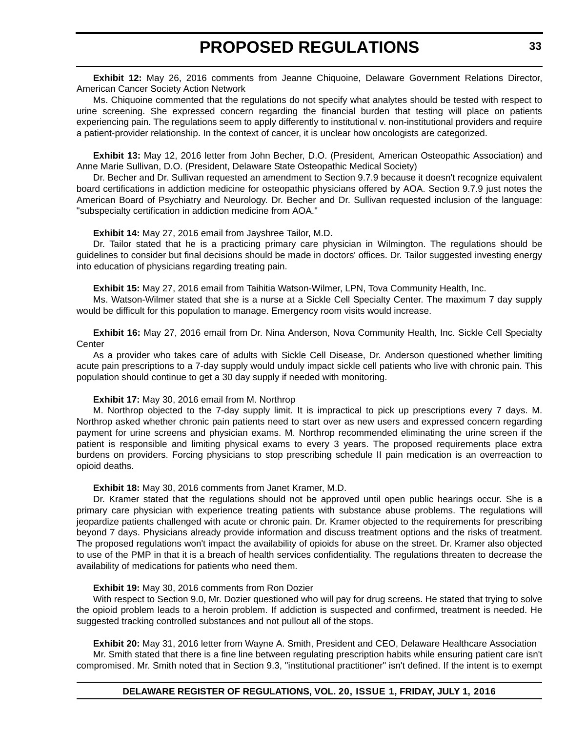**Exhibit 12:** May 26, 2016 comments from Jeanne Chiquoine, Delaware Government Relations Director, American Cancer Society Action Network

Ms. Chiquoine commented that the regulations do not specify what analytes should be tested with respect to urine screening. She expressed concern regarding the financial burden that testing will place on patients experiencing pain. The regulations seem to apply differently to institutional v. non-institutional providers and require a patient-provider relationship. In the context of cancer, it is unclear how oncologists are categorized.

**Exhibit 13:** May 12, 2016 letter from John Becher, D.O. (President, American Osteopathic Association) and Anne Marie Sullivan, D.O. (President, Delaware State Osteopathic Medical Society)

Dr. Becher and Dr. Sullivan requested an amendment to Section 9.7.9 because it doesn't recognize equivalent board certifications in addiction medicine for osteopathic physicians offered by AOA. Section 9.7.9 just notes the American Board of Psychiatry and Neurology. Dr. Becher and Dr. Sullivan requested inclusion of the language: "subspecialty certification in addiction medicine from AOA."

#### **Exhibit 14:** May 27, 2016 email from Jayshree Tailor, M.D.

Dr. Tailor stated that he is a practicing primary care physician in Wilmington. The regulations should be guidelines to consider but final decisions should be made in doctors' offices. Dr. Tailor suggested investing energy into education of physicians regarding treating pain.

**Exhibit 15:** May 27, 2016 email from Taihitia Watson-Wilmer, LPN, Tova Community Health, Inc.

Ms. Watson-Wilmer stated that she is a nurse at a Sickle Cell Specialty Center. The maximum 7 day supply would be difficult for this population to manage. Emergency room visits would increase.

**Exhibit 16:** May 27, 2016 email from Dr. Nina Anderson, Nova Community Health, Inc. Sickle Cell Specialty **Center** 

As a provider who takes care of adults with Sickle Cell Disease, Dr. Anderson questioned whether limiting acute pain prescriptions to a 7-day supply would unduly impact sickle cell patients who live with chronic pain. This population should continue to get a 30 day supply if needed with monitoring.

#### **Exhibit 17:** May 30, 2016 email from M. Northrop

M. Northrop objected to the 7-day supply limit. It is impractical to pick up prescriptions every 7 days. M. Northrop asked whether chronic pain patients need to start over as new users and expressed concern regarding payment for urine screens and physician exams. M. Northrop recommended eliminating the urine screen if the patient is responsible and limiting physical exams to every 3 years. The proposed requirements place extra burdens on providers. Forcing physicians to stop prescribing schedule II pain medication is an overreaction to opioid deaths.

#### **Exhibit 18:** May 30, 2016 comments from Janet Kramer, M.D.

Dr. Kramer stated that the regulations should not be approved until open public hearings occur. She is a primary care physician with experience treating patients with substance abuse problems. The regulations will jeopardize patients challenged with acute or chronic pain. Dr. Kramer objected to the requirements for prescribing beyond 7 days. Physicians already provide information and discuss treatment options and the risks of treatment. The proposed regulations won't impact the availability of opioids for abuse on the street. Dr. Kramer also objected to use of the PMP in that it is a breach of health services confidentiality. The regulations threaten to decrease the availability of medications for patients who need them.

#### **Exhibit 19:** May 30, 2016 comments from Ron Dozier

With respect to Section 9.0, Mr. Dozier questioned who will pay for drug screens. He stated that trying to solve the opioid problem leads to a heroin problem. If addiction is suspected and confirmed, treatment is needed. He suggested tracking controlled substances and not pullout all of the stops.

**Exhibit 20:** May 31, 2016 letter from Wayne A. Smith, President and CEO, Delaware Healthcare Association Mr. Smith stated that there is a fine line between regulating prescription habits while ensuring patient care isn't compromised. Mr. Smith noted that in Section 9.3, "institutional practitioner" isn't defined. If the intent is to exempt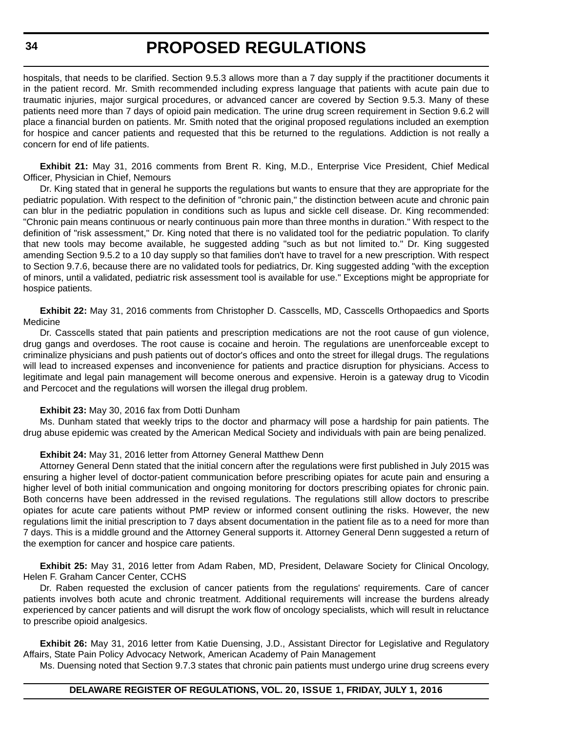hospitals, that needs to be clarified. Section 9.5.3 allows more than a 7 day supply if the practitioner documents it in the patient record. Mr. Smith recommended including express language that patients with acute pain due to traumatic injuries, major surgical procedures, or advanced cancer are covered by Section 9.5.3. Many of these patients need more than 7 days of opioid pain medication. The urine drug screen requirement in Section 9.6.2 will place a financial burden on patients. Mr. Smith noted that the original proposed regulations included an exemption for hospice and cancer patients and requested that this be returned to the regulations. Addiction is not really a concern for end of life patients.

**Exhibit 21:** May 31, 2016 comments from Brent R. King, M.D., Enterprise Vice President, Chief Medical Officer, Physician in Chief, Nemours

Dr. King stated that in general he supports the regulations but wants to ensure that they are appropriate for the pediatric population. With respect to the definition of "chronic pain," the distinction between acute and chronic pain can blur in the pediatric population in conditions such as lupus and sickle cell disease. Dr. King recommended: "Chronic pain means continuous or nearly continuous pain more than three months in duration." With respect to the definition of "risk assessment," Dr. King noted that there is no validated tool for the pediatric population. To clarify that new tools may become available, he suggested adding "such as but not limited to." Dr. King suggested amending Section 9.5.2 to a 10 day supply so that families don't have to travel for a new prescription. With respect to Section 9.7.6, because there are no validated tools for pediatrics, Dr. King suggested adding "with the exception of minors, until a validated, pediatric risk assessment tool is available for use." Exceptions might be appropriate for hospice patients.

**Exhibit 22:** May 31, 2016 comments from Christopher D. Casscells, MD, Casscells Orthopaedics and Sports Medicine

Dr. Casscells stated that pain patients and prescription medications are not the root cause of gun violence, drug gangs and overdoses. The root cause is cocaine and heroin. The regulations are unenforceable except to criminalize physicians and push patients out of doctor's offices and onto the street for illegal drugs. The regulations will lead to increased expenses and inconvenience for patients and practice disruption for physicians. Access to legitimate and legal pain management will become onerous and expensive. Heroin is a gateway drug to Vicodin and Percocet and the regulations will worsen the illegal drug problem.

#### **Exhibit 23:** May 30, 2016 fax from Dotti Dunham

Ms. Dunham stated that weekly trips to the doctor and pharmacy will pose a hardship for pain patients. The drug abuse epidemic was created by the American Medical Society and individuals with pain are being penalized.

#### **Exhibit 24:** May 31, 2016 letter from Attorney General Matthew Denn

Attorney General Denn stated that the initial concern after the regulations were first published in July 2015 was ensuring a higher level of doctor-patient communication before prescribing opiates for acute pain and ensuring a higher level of both initial communication and ongoing monitoring for doctors prescribing opiates for chronic pain. Both concerns have been addressed in the revised regulations. The regulations still allow doctors to prescribe opiates for acute care patients without PMP review or informed consent outlining the risks. However, the new regulations limit the initial prescription to 7 days absent documentation in the patient file as to a need for more than 7 days. This is a middle ground and the Attorney General supports it. Attorney General Denn suggested a return of the exemption for cancer and hospice care patients.

**Exhibit 25:** May 31, 2016 letter from Adam Raben, MD, President, Delaware Society for Clinical Oncology, Helen F. Graham Cancer Center, CCHS

Dr. Raben requested the exclusion of cancer patients from the regulations' requirements. Care of cancer patients involves both acute and chronic treatment. Additional requirements will increase the burdens already experienced by cancer patients and will disrupt the work flow of oncology specialists, which will result in reluctance to prescribe opioid analgesics.

**Exhibit 26:** May 31, 2016 letter from Katie Duensing, J.D., Assistant Director for Legislative and Regulatory Affairs, State Pain Policy Advocacy Network, American Academy of Pain Management

Ms. Duensing noted that Section 9.7.3 states that chronic pain patients must undergo urine drug screens every

#### **DELAWARE REGISTER OF REGULATIONS, VOL. 20, ISSUE 1, FRIDAY, JULY 1, 2016**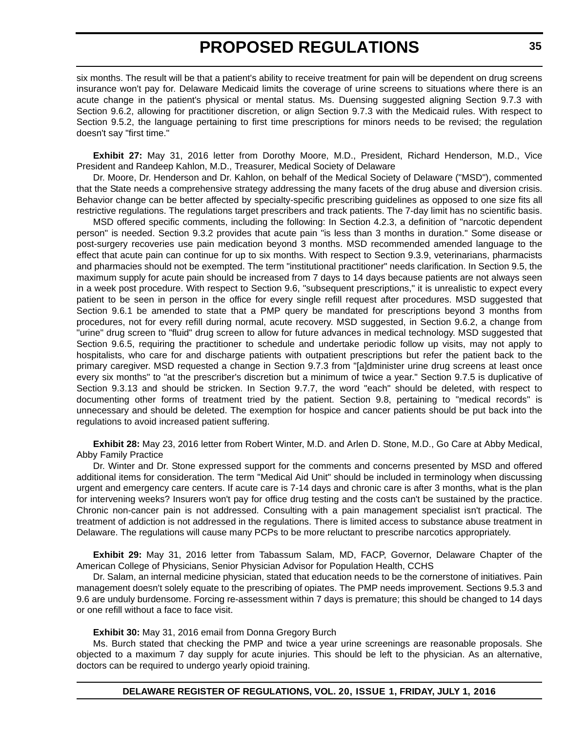six months. The result will be that a patient's ability to receive treatment for pain will be dependent on drug screens insurance won't pay for. Delaware Medicaid limits the coverage of urine screens to situations where there is an acute change in the patient's physical or mental status. Ms. Duensing suggested aligning Section 9.7.3 with Section 9.6.2, allowing for practitioner discretion, or align Section 9.7.3 with the Medicaid rules. With respect to Section 9.5.2, the language pertaining to first time prescriptions for minors needs to be revised; the regulation doesn't say "first time."

**Exhibit 27:** May 31, 2016 letter from Dorothy Moore, M.D., President, Richard Henderson, M.D., Vice President and Randeep Kahlon, M.D., Treasurer, Medical Society of Delaware

Dr. Moore, Dr. Henderson and Dr. Kahlon, on behalf of the Medical Society of Delaware ("MSD"), commented that the State needs a comprehensive strategy addressing the many facets of the drug abuse and diversion crisis. Behavior change can be better affected by specialty-specific prescribing guidelines as opposed to one size fits all restrictive regulations. The regulations target prescribers and track patients. The 7-day limit has no scientific basis.

MSD offered specific comments, including the following: In Section 4.2.3, a definition of "narcotic dependent person" is needed. Section 9.3.2 provides that acute pain "is less than 3 months in duration." Some disease or post-surgery recoveries use pain medication beyond 3 months. MSD recommended amended language to the effect that acute pain can continue for up to six months. With respect to Section 9.3.9, veterinarians, pharmacists and pharmacies should not be exempted. The term "institutional practitioner" needs clarification. In Section 9.5, the maximum supply for acute pain should be increased from 7 days to 14 days because patients are not always seen in a week post procedure. With respect to Section 9.6, "subsequent prescriptions," it is unrealistic to expect every patient to be seen in person in the office for every single refill request after procedures. MSD suggested that Section 9.6.1 be amended to state that a PMP query be mandated for prescriptions beyond 3 months from procedures, not for every refill during normal, acute recovery. MSD suggested, in Section 9.6.2, a change from "urine" drug screen to "fluid" drug screen to allow for future advances in medical technology. MSD suggested that Section 9.6.5, requiring the practitioner to schedule and undertake periodic follow up visits, may not apply to hospitalists, who care for and discharge patients with outpatient prescriptions but refer the patient back to the primary caregiver. MSD requested a change in Section 9.7.3 from "[a]dminister urine drug screens at least once every six months" to "at the prescriber's discretion but a minimum of twice a year." Section 9.7.5 is duplicative of Section 9.3.13 and should be stricken. In Section 9.7.7, the word "each" should be deleted, with respect to documenting other forms of treatment tried by the patient. Section 9.8, pertaining to "medical records" is unnecessary and should be deleted. The exemption for hospice and cancer patients should be put back into the regulations to avoid increased patient suffering.

**Exhibit 28:** May 23, 2016 letter from Robert Winter, M.D. and Arlen D. Stone, M.D., Go Care at Abby Medical, Abby Family Practice

Dr. Winter and Dr. Stone expressed support for the comments and concerns presented by MSD and offered additional items for consideration. The term "Medical Aid Unit" should be included in terminology when discussing urgent and emergency care centers. If acute care is 7-14 days and chronic care is after 3 months, what is the plan for intervening weeks? Insurers won't pay for office drug testing and the costs can't be sustained by the practice. Chronic non-cancer pain is not addressed. Consulting with a pain management specialist isn't practical. The treatment of addiction is not addressed in the regulations. There is limited access to substance abuse treatment in Delaware. The regulations will cause many PCPs to be more reluctant to prescribe narcotics appropriately.

**Exhibit 29:** May 31, 2016 letter from Tabassum Salam, MD, FACP, Governor, Delaware Chapter of the American College of Physicians, Senior Physician Advisor for Population Health, CCHS

Dr. Salam, an internal medicine physician, stated that education needs to be the cornerstone of initiatives. Pain management doesn't solely equate to the prescribing of opiates. The PMP needs improvement. Sections 9.5.3 and 9.6 are unduly burdensome. Forcing re-assessment within 7 days is premature; this should be changed to 14 days or one refill without a face to face visit.

**Exhibit 30:** May 31, 2016 email from Donna Gregory Burch

Ms. Burch stated that checking the PMP and twice a year urine screenings are reasonable proposals. She objected to a maximum 7 day supply for acute injuries. This should be left to the physician. As an alternative, doctors can be required to undergo yearly opioid training.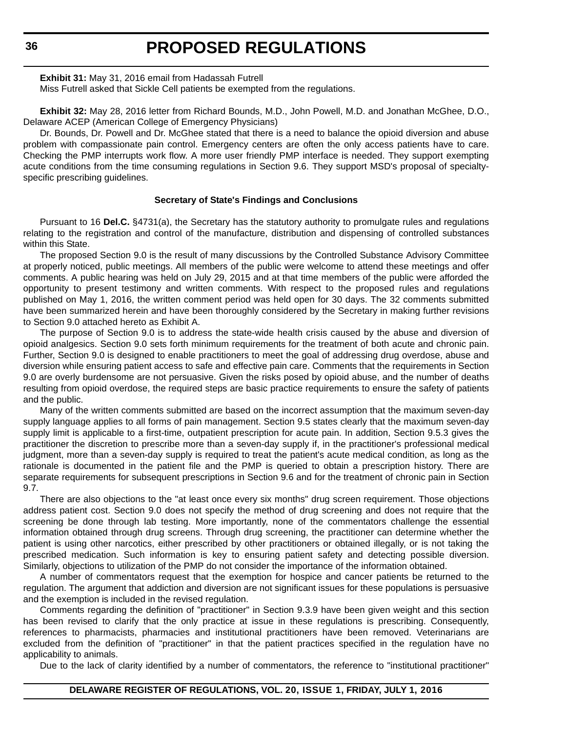**Exhibit 31:** May 31, 2016 email from Hadassah Futrell

Miss Futrell asked that Sickle Cell patients be exempted from the regulations.

**Exhibit 32:** May 28, 2016 letter from Richard Bounds, M.D., John Powell, M.D. and Jonathan McGhee, D.O., Delaware ACEP (American College of Emergency Physicians)

Dr. Bounds, Dr. Powell and Dr. McGhee stated that there is a need to balance the opioid diversion and abuse problem with compassionate pain control. Emergency centers are often the only access patients have to care. Checking the PMP interrupts work flow. A more user friendly PMP interface is needed. They support exempting acute conditions from the time consuming regulations in Section 9.6. They support MSD's proposal of specialtyspecific prescribing guidelines.

#### **Secretary of State's Findings and Conclusions**

Pursuant to 16 **Del.C.** §4731(a), the Secretary has the statutory authority to promulgate rules and regulations relating to the registration and control of the manufacture, distribution and dispensing of controlled substances within this State.

The proposed Section 9.0 is the result of many discussions by the Controlled Substance Advisory Committee at properly noticed, public meetings. All members of the public were welcome to attend these meetings and offer comments. A public hearing was held on July 29, 2015 and at that time members of the public were afforded the opportunity to present testimony and written comments. With respect to the proposed rules and regulations published on May 1, 2016, the written comment period was held open for 30 days. The 32 comments submitted have been summarized herein and have been thoroughly considered by the Secretary in making further revisions to Section 9.0 attached hereto as Exhibit A.

The purpose of Section 9.0 is to address the state-wide health crisis caused by the abuse and diversion of opioid analgesics. Section 9.0 sets forth minimum requirements for the treatment of both acute and chronic pain. Further, Section 9.0 is designed to enable practitioners to meet the goal of addressing drug overdose, abuse and diversion while ensuring patient access to safe and effective pain care. Comments that the requirements in Section 9.0 are overly burdensome are not persuasive. Given the risks posed by opioid abuse, and the number of deaths resulting from opioid overdose, the required steps are basic practice requirements to ensure the safety of patients and the public.

Many of the written comments submitted are based on the incorrect assumption that the maximum seven-day supply language applies to all forms of pain management. Section 9.5 states clearly that the maximum seven-day supply limit is applicable to a first-time, outpatient prescription for acute pain. In addition, Section 9.5.3 gives the practitioner the discretion to prescribe more than a seven-day supply if, in the practitioner's professional medical judgment, more than a seven-day supply is required to treat the patient's acute medical condition, as long as the rationale is documented in the patient file and the PMP is queried to obtain a prescription history. There are separate requirements for subsequent prescriptions in Section 9.6 and for the treatment of chronic pain in Section 9.7.

There are also objections to the "at least once every six months" drug screen requirement. Those objections address patient cost. Section 9.0 does not specify the method of drug screening and does not require that the screening be done through lab testing. More importantly, none of the commentators challenge the essential information obtained through drug screens. Through drug screening, the practitioner can determine whether the patient is using other narcotics, either prescribed by other practitioners or obtained illegally, or is not taking the prescribed medication. Such information is key to ensuring patient safety and detecting possible diversion. Similarly, objections to utilization of the PMP do not consider the importance of the information obtained.

A number of commentators request that the exemption for hospice and cancer patients be returned to the regulation. The argument that addiction and diversion are not significant issues for these populations is persuasive and the exemption is included in the revised regulation.

Comments regarding the definition of "practitioner" in Section 9.3.9 have been given weight and this section has been revised to clarify that the only practice at issue in these regulations is prescribing. Consequently, references to pharmacists, pharmacies and institutional practitioners have been removed. Veterinarians are excluded from the definition of "practitioner" in that the patient practices specified in the regulation have no applicability to animals.

Due to the lack of clarity identified by a number of commentators, the reference to "institutional practitioner"

**DELAWARE REGISTER OF REGULATIONS, VOL. 20, ISSUE 1, FRIDAY, JULY 1, 2016**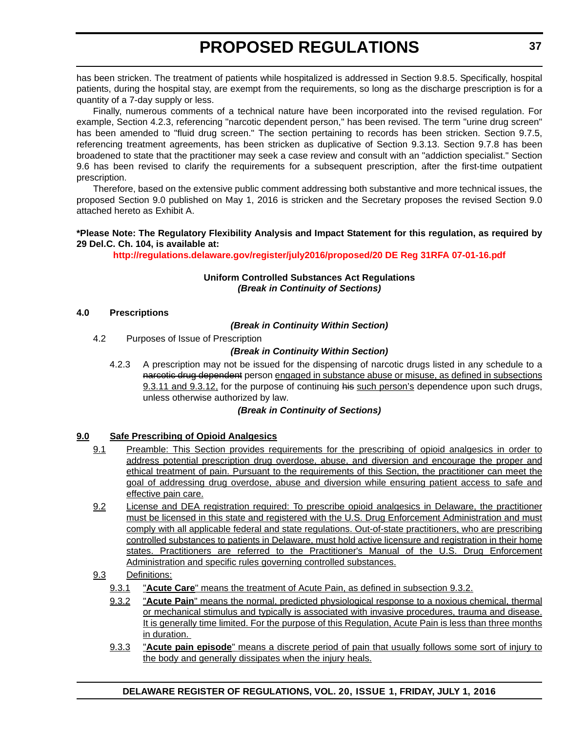has been stricken. The treatment of patients while hospitalized is addressed in Section 9.8.5. Specifically, hospital patients, during the hospital stay, are exempt from the requirements, so long as the discharge prescription is for a quantity of a 7-day supply or less.

Finally, numerous comments of a technical nature have been incorporated into the revised regulation. For example, Section 4.2.3, referencing "narcotic dependent person," has been revised. The term "urine drug screen" has been amended to "fluid drug screen." The section pertaining to records has been stricken. Section 9.7.5, referencing treatment agreements, has been stricken as duplicative of Section 9.3.13. Section 9.7.8 has been broadened to state that the practitioner may seek a case review and consult with an "addiction specialist." Section 9.6 has been revised to clarify the requirements for a subsequent prescription, after the first-time outpatient prescription.

Therefore, based on the extensive public comment addressing both substantive and more technical issues, the proposed Section 9.0 published on May 1, 2016 is stricken and the Secretary proposes the revised Section 9.0 attached hereto as Exhibit A.

#### **\*Please Note: The Regulatory Flexibility Analysis and Impact Statement for this regulation, as required by 29 Del.C. Ch. 104, is available at:**

**<http://regulations.delaware.gov/register/july2016/proposed/20 DE Reg 31RFA 07-01-16.pdf>**

### **Uniform Controlled Substances Act Regulations** *(Break in Continuity of Sections)*

#### **4.0 Prescriptions**

#### *(Break in Continuity Within Section)*

4.2 Purposes of Issue of Prescription

### *(Break in Continuity Within Section)*

4.2.3 A prescription may not be issued for the dispensing of narcotic drugs listed in any schedule to a narcotic drug dependent person engaged in substance abuse or misuse, as defined in subsections 9.3.11 and 9.3.12, for the purpose of continuing his such person's dependence upon such drugs, unless otherwise authorized by law.

#### *(Break in Continuity of Sections)*

#### **9.0 Safe Prescribing of Opioid Analgesics**

- 9.1 Preamble: This Section provides requirements for the prescribing of opioid analgesics in order to address potential prescription drug overdose, abuse, and diversion and encourage the proper and ethical treatment of pain. Pursuant to the requirements of this Section, the practitioner can meet the goal of addressing drug overdose, abuse and diversion while ensuring patient access to safe and effective pain care.
- 9.2 License and DEA registration required: To prescribe opioid analgesics in Delaware, the practitioner must be licensed in this state and registered with the U.S. Drug Enforcement Administration and must comply with all applicable federal and state regulations. Out-of-state practitioners, who are prescribing controlled substances to patients in Delaware, must hold active licensure and registration in their home states. Practitioners are referred to the Practitioner's Manual of the U.S. Drug Enforcement Administration and specific rules governing controlled substances.
- 9.3 Definitions:
	- 9.3.1 "**Acute Care**" means the treatment of Acute Pain, as defined in subsection 9.3.2.
	- 9.3.2 "**Acute Pain**" means the normal, predicted physiological response to a noxious chemical, thermal or mechanical stimulus and typically is associated with invasive procedures, trauma and disease. It is generally time limited. For the purpose of this Regulation, Acute Pain is less than three months in duration.
	- 9.3.3 "**Acute pain episode**" means a discrete period of pain that usually follows some sort of injury to the body and generally dissipates when the injury heals.

## **DELAWARE REGISTER OF REGULATIONS, VOL. 20, ISSUE 1, FRIDAY, JULY 1, 2016**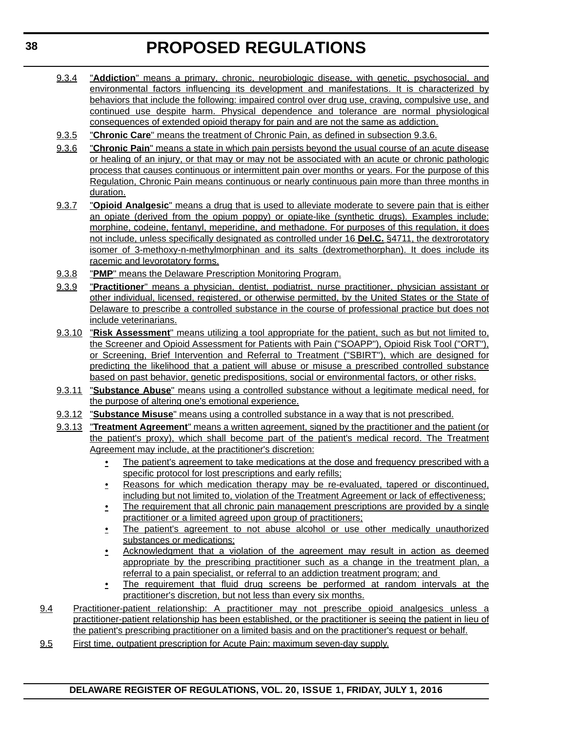- 9.3.4 "**Addiction**" means a primary, chronic, neurobiologic disease, with genetic, psychosocial, and environmental factors influencing its development and manifestations. It is characterized by behaviors that include the following: impaired control over drug use, craving, compulsive use, and continued use despite harm. Physical dependence and tolerance are normal physiological consequences of extended opioid therapy for pain and are not the same as addiction.
- 9.3.5 "**Chronic Care**" means the treatment of Chronic Pain, as defined in subsection 9.3.6.
- 9.3.6 "**Chronic Pain**" means a state in which pain persists beyond the usual course of an acute disease or healing of an injury, or that may or may not be associated with an acute or chronic pathologic process that causes continuous or intermittent pain over months or years. For the purpose of this Regulation, Chronic Pain means continuous or nearly continuous pain more than three months in duration.
- 9.3.7 "**Opioid Analgesic**" means a drug that is used to alleviate moderate to severe pain that is either an opiate (derived from the opium poppy) or opiate-like (synthetic drugs). Examples include: morphine, codeine, fentanyl, meperidine, and methadone. For purposes of this regulation, it does not include, unless specifically designated as controlled under 16 **Del.C.** §4711, the dextrorotatory isomer of 3-methoxy-n-methylmorphinan and its salts (dextromethorphan). It does include its racemic and levorotatory forms.
- 9.3.8 "**PMP**" means the Delaware Prescription Monitoring Program.
- 9.3.9 "**Practitioner**" means a physician, dentist, podiatrist, nurse practitioner, physician assistant or other individual, licensed, registered, or otherwise permitted, by the United States or the State of Delaware to prescribe a controlled substance in the course of professional practice but does not include veterinarians.
- 9.3.10 "**Risk Assessment**" means utilizing a tool appropriate for the patient, such as but not limited to, the Screener and Opioid Assessment for Patients with Pain ("SOAPP"), Opioid Risk Tool ("ORT"), or Screening, Brief Intervention and Referral to Treatment ("SBIRT"), which are designed for predicting the likelihood that a patient will abuse or misuse a prescribed controlled substance based on past behavior, genetic predispositions, social or environmental factors, or other risks.
- 9.3.11 "**Substance Abuse**" means using a controlled substance without a legitimate medical need, for the purpose of altering one's emotional experience.
- 9.3.12 "**Substance Misuse**" means using a controlled substance in a way that is not prescribed.
- 9.3.13 "**Treatment Agreement**" means a written agreement, signed by the practitioner and the patient (or the patient's proxy), which shall become part of the patient's medical record. The Treatment Agreement may include, at the practitioner's discretion:
	- The patient's agreement to take medications at the dose and frequency prescribed with a specific protocol for lost prescriptions and early refills;
	- Reasons for which medication therapy may be re-evaluated, tapered or discontinued, including but not limited to, violation of the Treatment Agreement or lack of effectiveness;
	- The requirement that all chronic pain management prescriptions are provided by a single practitioner or a limited agreed upon group of practitioners;
	- The patient's agreement to not abuse alcohol or use other medically unauthorized substances or medications;
	- Acknowledgment that a violation of the agreement may result in action as deemed appropriate by the prescribing practitioner such as a change in the treatment plan, a referral to a pain specialist, or referral to an addiction treatment program; and
	- The requirement that fluid drug screens be performed at random intervals at the practitioner's discretion, but not less than every six months.
- 9.4 Practitioner-patient relationship: A practitioner may not prescribe opioid analgesics unless a practitioner-patient relationship has been established, or the practitioner is seeing the patient in lieu of the patient's prescribing practitioner on a limited basis and on the practitioner's request or behalf.
- 9.5 First time, outpatient prescription for Acute Pain; maximum seven-day supply.

#### **DELAWARE REGISTER OF REGULATIONS, VOL. 20, ISSUE 1, FRIDAY, JULY 1, 2016**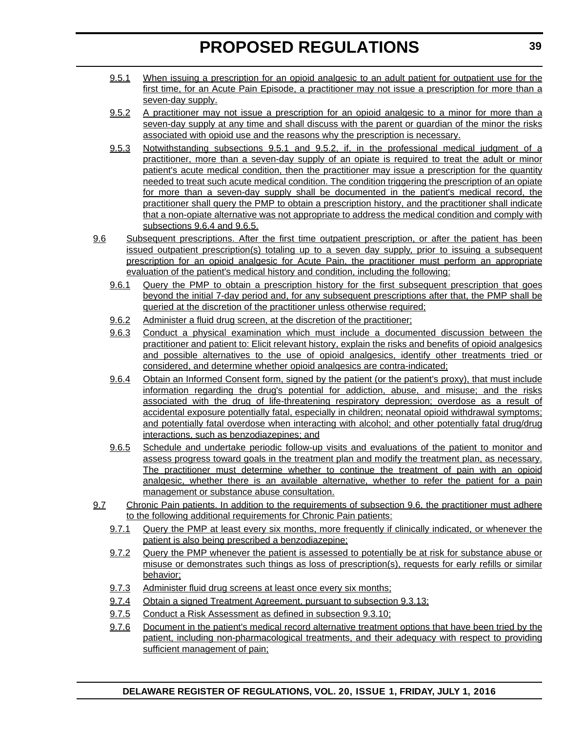- 9.5.1 When issuing a prescription for an opioid analgesic to an adult patient for outpatient use for the first time, for an Acute Pain Episode, a practitioner may not issue a prescription for more than a seven-day supply.
- 9.5.2 A practitioner may not issue a prescription for an opioid analgesic to a minor for more than a seven-day supply at any time and shall discuss with the parent or guardian of the minor the risks associated with opioid use and the reasons why the prescription is necessary.
- 9.5.3 Notwithstanding subsections 9.5.1 and 9.5.2, if, in the professional medical judgment of a practitioner, more than a seven-day supply of an opiate is required to treat the adult or minor patient's acute medical condition, then the practitioner may issue a prescription for the quantity needed to treat such acute medical condition. The condition triggering the prescription of an opiate for more than a seven-day supply shall be documented in the patient's medical record, the practitioner shall query the PMP to obtain a prescription history, and the practitioner shall indicate that a non-opiate alternative was not appropriate to address the medical condition and comply with subsections 9.6.4 and 9.6.5.
- 9.6 Subsequent prescriptions. After the first time outpatient prescription, or after the patient has been issued outpatient prescription(s) totaling up to a seven day supply, prior to issuing a subsequent prescription for an opioid analgesic for Acute Pain, the practitioner must perform an appropriate evaluation of the patient's medical history and condition, including the following:
	- 9.6.1 Query the PMP to obtain a prescription history for the first subsequent prescription that goes beyond the initial 7-day period and, for any subsequent prescriptions after that, the PMP shall be queried at the discretion of the practitioner unless otherwise required;
	- 9.6.2 Administer a fluid drug screen, at the discretion of the practitioner;
	- 9.6.3 Conduct a physical examination which must include a documented discussion between the practitioner and patient to: Elicit relevant history, explain the risks and benefits of opioid analgesics and possible alternatives to the use of opioid analgesics, identify other treatments tried or considered, and determine whether opioid analgesics are contra-indicated;
	- 9.6.4 Obtain an Informed Consent form, signed by the patient (or the patient's proxy), that must include information regarding the drug's potential for addiction, abuse, and misuse; and the risks associated with the drug of life-threatening respiratory depression; overdose as a result of accidental exposure potentially fatal, especially in children; neonatal opioid withdrawal symptoms; and potentially fatal overdose when interacting with alcohol; and other potentially fatal drug/drug interactions, such as benzodiazepines; and
	- 9.6.5 Schedule and undertake periodic follow-up visits and evaluations of the patient to monitor and assess progress toward goals in the treatment plan and modify the treatment plan, as necessary. The practitioner must determine whether to continue the treatment of pain with an opioid analgesic, whether there is an available alternative, whether to refer the patient for a pain management or substance abuse consultation.
- 9.7 Chronic Pain patients. In addition to the requirements of subsection 9.6, the practitioner must adhere to the following additional requirements for Chronic Pain patients:
	- 9.7.1 Query the PMP at least every six months, more frequently if clinically indicated, or whenever the patient is also being prescribed a benzodiazepine;
	- 9.7.2 Query the PMP whenever the patient is assessed to potentially be at risk for substance abuse or misuse or demonstrates such things as loss of prescription(s), requests for early refills or similar behavior;
	- 9.7.3 Administer fluid drug screens at least once every six months;
	- 9.7.4 Obtain a signed Treatment Agreement, pursuant to subsection 9.3.13;
	- 9.7.5 Conduct a Risk Assessment as defined in subsection 9.3.10;
	- 9.7.6 Document in the patient's medical record alternative treatment options that have been tried by the patient, including non-pharmacological treatments, and their adequacy with respect to providing sufficient management of pain;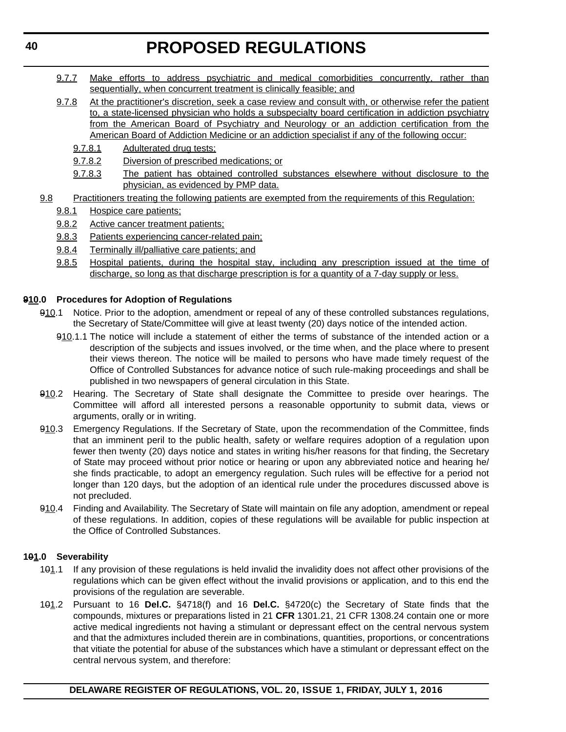- 9.7.7 Make efforts to address psychiatric and medical comorbidities concurrently, rather than sequentially, when concurrent treatment is clinically feasible; and
- 9.7.8 At the practitioner's discretion, seek a case review and consult with, or otherwise refer the patient to, a state-licensed physician who holds a subspecialty board certification in addiction psychiatry from the American Board of Psychiatry and Neurology or an addiction certification from the American Board of Addiction Medicine or an addiction specialist if any of the following occur:
	- 9.7.8.1 Adulterated drug tests;
	- 9.7.8.2 Diversion of prescribed medications; or
	- 9.7.8.3 The patient has obtained controlled substances elsewhere without disclosure to the physician, as evidenced by PMP data.
- 9.8 Practitioners treating the following patients are exempted from the requirements of this Regulation:
	- 9.8.1 Hospice care patients;
	- 9.8.2 Active cancer treatment patients;
	- 9.8.3 Patients experiencing cancer-related pain;
	- 9.8.4 Terminally ill/palliative care patients; and
	- 9.8.5 Hospital patients, during the hospital stay, including any prescription issued at the time of discharge, so long as that discharge prescription is for a quantity of a 7-day supply or less.

### **910.0 Procedures for Adoption of Regulations**

- 910.1 Notice. Prior to the adoption, amendment or repeal of any of these controlled substances regulations, the Secretary of State/Committee will give at least twenty (20) days notice of the intended action.
	- 910.1.1 The notice will include a statement of either the terms of substance of the intended action or a description of the subjects and issues involved, or the time when, and the place where to present their views thereon. The notice will be mailed to persons who have made timely request of the Office of Controlled Substances for advance notice of such rule-making proceedings and shall be published in two newspapers of general circulation in this State.
- 910.2 Hearing. The Secretary of State shall designate the Committee to preside over hearings. The Committee will afford all interested persons a reasonable opportunity to submit data, views or arguments, orally or in writing.
- 910.3 Emergency Regulations. If the Secretary of State, upon the recommendation of the Committee, finds that an imminent peril to the public health, safety or welfare requires adoption of a regulation upon fewer then twenty (20) days notice and states in writing his/her reasons for that finding, the Secretary of State may proceed without prior notice or hearing or upon any abbreviated notice and hearing he/ she finds practicable, to adopt an emergency regulation. Such rules will be effective for a period not longer than 120 days, but the adoption of an identical rule under the procedures discussed above is not precluded.
- 910.4 Finding and Availability. The Secretary of State will maintain on file any adoption, amendment or repeal of these regulations. In addition, copies of these regulations will be available for public inspection at the Office of Controlled Substances.

### **101.0 Severability**

- 101.1 If any provision of these regulations is held invalid the invalidity does not affect other provisions of the regulations which can be given effect without the invalid provisions or application, and to this end the provisions of the regulation are severable.
- 101.2 Pursuant to 16 **Del.C.** §4718(f) and 16 **Del.C.** §4720(c) the Secretary of State finds that the compounds, mixtures or preparations listed in 21 **CFR** 1301.21, 21 CFR 1308.24 contain one or more active medical ingredients not having a stimulant or depressant effect on the central nervous system and that the admixtures included therein are in combinations, quantities, proportions, or concentrations that vitiate the potential for abuse of the substances which have a stimulant or depressant effect on the central nervous system, and therefore: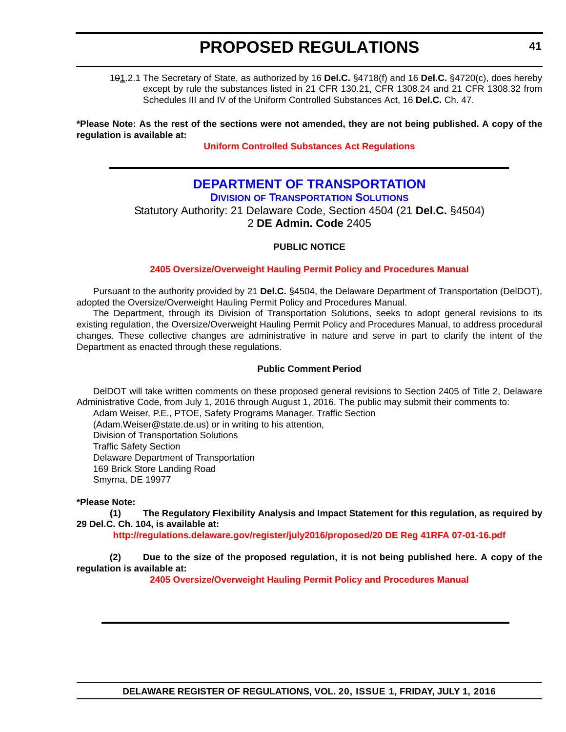101.2.1 The Secretary of State, as authorized by 16 **Del.C.** §4718(f) and 16 **Del.C.** §4720(c), does hereby except by rule the substances listed in 21 CFR 130.21, CFR 1308.24 and 21 CFR 1308.32 from Schedules III and IV of the Uniform Controlled Substances Act, 16 **Del.C.** Ch. 47.

**\*Please Note: As the rest of the sections were not amended, they are not being published. A copy of the regulation is available at:**

**[Uniform Controlled Substances Act Regulations](http://regulations.delaware.gov/register/july2016/proposed/20 DE Reg 31 07-01-16.htm)**

# **[DEPARTMENT OF TRANSPORTATION](http://www.deldot.gov/index.shtml)**

**DIVISION [OF TRANSPORTATION SOLUTIONS](http://www.deldot.gov/home/divisions/)**

Statutory Authority: 21 Delaware Code, Section 4504 (21 **Del.C.** §4504) 2 **DE Admin. Code** 2405

### **PUBLIC NOTICE**

#### **[2405 Oversize/Overweight Hauling Permit Policy and Procedures Manual](#page-3-0)**

Pursuant to the authority provided by 21 **Del.C.** §4504, the Delaware Department of Transportation (DelDOT), adopted the Oversize/Overweight Hauling Permit Policy and Procedures Manual.

The Department, through its Division of Transportation Solutions, seeks to adopt general revisions to its existing regulation, the Oversize/Overweight Hauling Permit Policy and Procedures Manual, to address procedural changes. These collective changes are administrative in nature and serve in part to clarify the intent of the Department as enacted through these regulations.

#### **Public Comment Period**

DelDOT will take written comments on these proposed general revisions to Section 2405 of Title 2, Delaware Administrative Code, from July 1, 2016 through August 1, 2016. The public may submit their comments to:

Adam Weiser, P.E., PTOE, Safety Programs Manager, Traffic Section

(Adam.Weiser@state.de.us) or in writing to his attention,

Division of Transportation Solutions

Traffic Safety Section

Delaware Department of Transportation

169 Brick Store Landing Road

Smyrna, DE 19977

#### **\*Please Note:**

**(1) The Regulatory Flexibility Analysis and Impact Statement for this regulation, as required by 29 Del.C. Ch. 104, is available at:**

**<http://regulations.delaware.gov/register/july2016/proposed/20 DE Reg 41RFA 07-01-16.pdf>**

**(2) Due to the size of the proposed regulation, it is not being published here. A copy of the regulation is available at:**

**[2405 Oversize/Overweight Hauling Permit Policy and Procedures Manual](http://regulations.delaware.gov/register/july2016/proposed/20 DE Reg 41 07-01-16.htm)**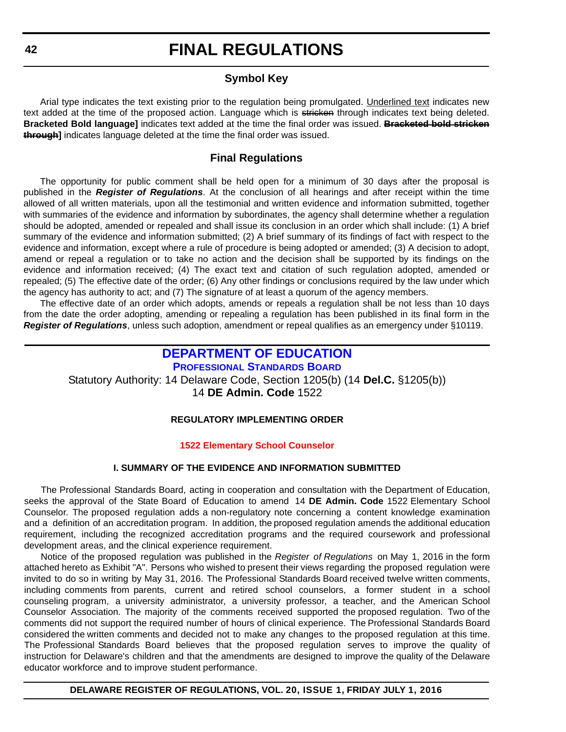## **Symbol Key**

Arial type indicates the text existing prior to the regulation being promulgated. Underlined text indicates new text added at the time of the proposed action. Language which is stricken through indicates text being deleted. **Bracketed Bold language]** indicates text added at the time the final order was issued. **Bracketed bold stricken through]** indicates language deleted at the time the final order was issued.

## **Final Regulations**

The opportunity for public comment shall be held open for a minimum of 30 days after the proposal is published in the *Register of Regulations*. At the conclusion of all hearings and after receipt within the time allowed of all written materials, upon all the testimonial and written evidence and information submitted, together with summaries of the evidence and information by subordinates, the agency shall determine whether a regulation should be adopted, amended or repealed and shall issue its conclusion in an order which shall include: (1) A brief summary of the evidence and information submitted; (2) A brief summary of its findings of fact with respect to the evidence and information, except where a rule of procedure is being adopted or amended; (3) A decision to adopt, amend or repeal a regulation or to take no action and the decision shall be supported by its findings on the evidence and information received; (4) The exact text and citation of such regulation adopted, amended or repealed; (5) The effective date of the order; (6) Any other findings or conclusions required by the law under which the agency has authority to act; and (7) The signature of at least a quorum of the agency members.

The effective date of an order which adopts, amends or repeals a regulation shall be not less than 10 days from the date the order adopting, amending or repealing a regulation has been published in its final form in the *Register of Regulations*, unless such adoption, amendment or repeal qualifies as an emergency under §10119.

### **[DEPARTMENT OF EDUCATION](http://www.doe.k12.de.us/) [PROFESSIONAL STANDARDS BOARD](https://pubapps.doe.k12.de.us/EducationalDirectoryPublic/pages/DDOE/WorkGroupStaff.aspx?page=branches&WGID=75&BID=1)**

Statutory Authority: 14 Delaware Code, Section 1205(b) (14 **Del.C.** §1205(b)) 14 **DE Admin. Code** 1522

### **REGULATORY IMPLEMENTING ORDER**

#### **[1522 Elementary School Counselor](#page-3-0)**

#### **I. SUMMARY OF THE EVIDENCE AND INFORMATION SUBMITTED**

The Professional Standards Board, acting in cooperation and consultation with the Department of Education, seeks the approval of the State Board of Education to amend 14 **DE Admin. Code** 1522 Elementary School Counselor. The proposed regulation adds a non-regulatory note concerning a content knowledge examination and a definition of an accreditation program. In addition, the proposed regulation amends the additional education requirement, including the recognized accreditation programs and the required coursework and professional development areas, and the clinical experience requirement.

Notice of the proposed regulation was published in the *Register of Regulations* on May 1, 2016 in the form attached hereto as Exhibit "A". Persons who wished to present their views regarding the proposed regulation were invited to do so in writing by May 31, 2016. The Professional Standards Board received twelve written comments, including comments from parents, current and retired school counselors, a former student in a school counseling program, a university administrator, a university professor, a teacher, and the American School Counselor Association. The majority of the comments received supported the proposed regulation. Two of the comments did not support the required number of hours of clinical experience. The Professional Standards Board considered the written comments and decided not to make any changes to the proposed regulation at this time. The Professional Standards Board believes that the proposed regulation serves to improve the quality of instruction for Delaware's children and that the amendments are designed to improve the quality of the Delaware educator workforce and to improve student performance.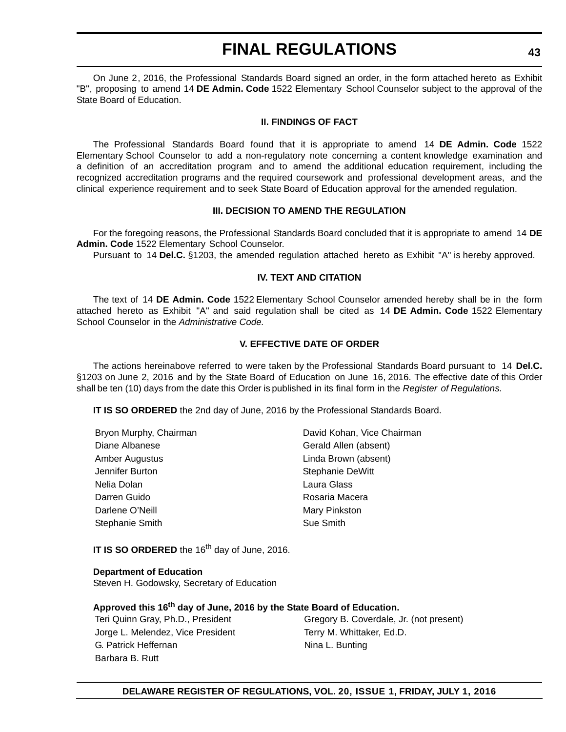On June 2, 2016, the Professional Standards Board signed an order, in the form attached hereto as Exhibit "B'', proposing to amend 14 **DE Admin. Code** 1522 Elementary School Counselor subject to the approval of the State Board of Education.

#### **II. FINDINGS OF FACT**

The Professional Standards Board found that it is appropriate to amend 14 **DE Admin. Code** 1522 Elementary School Counselor to add a non-regulatory note concerning a content knowledge examination and a definition of an accreditation program and to amend the additional education requirement, including the recognized accreditation programs and the required coursework and professional development areas, and the clinical experience requirement and to seek State Board of Education approval for the amended regulation.

#### **III. DECISION TO AMEND THE REGULATION**

For the foregoing reasons, the Professional Standards Board concluded that it is appropriate to amend 14 **DE Admin. Code** 1522 Elementary School Counselor.

Pursuant to 14 **Del.C.** §1203, the amended regulation attached hereto as Exhibit "A" is hereby approved.

#### **IV. TEXT AND CITATION**

The text of 14 **DE Admin. Code** 1522 Elementary School Counselor amended hereby shall be in the form attached hereto as Exhibit "A" and said regulation shall be cited as 14 **DE Admin. Code** 1522 Elementary School Counselor in the *Administrative Code.*

#### **V. EFFECTIVE DATE OF ORDER**

The actions hereinabove referred to were taken by the Professional Standards Board pursuant to 14 **Del.C.** §1203 on June 2, 2016 and by the State Board of Education on June 16, 2016. The effective date of this Order shall be ten (10) days from the date this Order is published in its final form in the *Register of Regulations.*

**IT IS SO ORDERED** the 2nd day of June, 2016 by the Professional Standards Board.

| Bryon Murphy, Chairman | David Kohan, Vice Chairman |
|------------------------|----------------------------|
| Diane Albanese         | Gerald Allen (absent)      |
| Amber Augustus         | Linda Brown (absent)       |
| Jennifer Burton        | Stephanie DeWitt           |
| Nelia Dolan            | Laura Glass                |
| Darren Guido           | Rosaria Macera             |
| Darlene O'Neill        | Mary Pinkston              |
| Stephanie Smith        | Sue Smith                  |
|                        |                            |

**IT IS SO ORDERED** the 16<sup>th</sup> day of June, 2016.

#### **Department of Education**

Steven H. Godowsky, Secretary of Education

### **Approved this 16th day of June, 2016 by the State Board of Education.**

Jorge L. Melendez, Vice President Terry M. Whittaker, Ed.D. G. Patrick Heffernan Nina L. Bunting Barbara B. Rutt

Teri Quinn Gray, Ph.D., President Gregory B. Coverdale, Jr. (not present)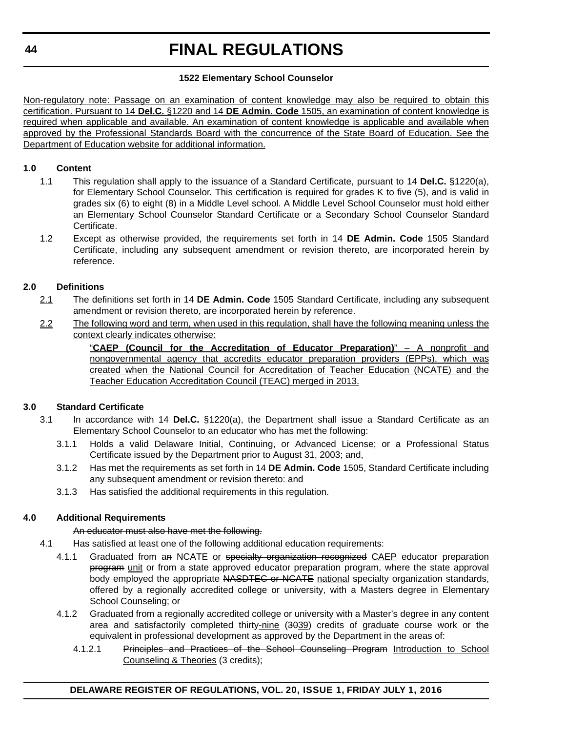### **1522 Elementary School Counselor**

Non-regulatory note: Passage on an examination of content knowledge may also be required to obtain this certification. Pursuant to 14 **Del.C.** §1220 and 14 **DE Admin. Code** 1505, an examination of content knowledge is required when applicable and available. An examination of content knowledge is applicable and available when approved by the Professional Standards Board with the concurrence of the State Board of Education. See the Department of Education website for additional information.

### **1.0 Content**

- 1.1 This regulation shall apply to the issuance of a Standard Certificate, pursuant to 14 **Del.C.** §1220(a), for Elementary School Counselor. This certification is required for grades K to five (5), and is valid in grades six (6) to eight (8) in a Middle Level school. A Middle Level School Counselor must hold either an Elementary School Counselor Standard Certificate or a Secondary School Counselor Standard Certificate.
- 1.2 Except as otherwise provided, the requirements set forth in 14 **DE Admin. Code** 1505 Standard Certificate, including any subsequent amendment or revision thereto, are incorporated herein by reference.

### **2.0 Definitions**

- 2.1 The definitions set forth in 14 **DE Admin. Code** 1505 Standard Certificate, including any subsequent amendment or revision thereto, are incorporated herein by reference.
- 2.2 The following word and term, when used in this regulation, shall have the following meaning unless the context clearly indicates otherwise:

"**CAEP (Council for the Accreditation of Educator Preparation)**" – A nonprofit and nongovernmental agency that accredits educator preparation providers (EPPs), which was created when the National Council for Accreditation of Teacher Education (NCATE) and the Teacher Education Accreditation Council (TEAC) merged in 2013.

### **3.0 Standard Certificate**

- 3.1 In accordance with 14 **Del.C.** §1220(a), the Department shall issue a Standard Certificate as an Elementary School Counselor to an educator who has met the following:
	- 3.1.1 Holds a valid Delaware Initial, Continuing, or Advanced License; or a Professional Status Certificate issued by the Department prior to August 31, 2003; and,
	- 3.1.2 Has met the requirements as set forth in 14 **DE Admin. Code** 1505, Standard Certificate including any subsequent amendment or revision thereto: and
	- 3.1.3 Has satisfied the additional requirements in this regulation.

### **4.0 Additional Requirements**

#### An educator must also have met the following.

- 4.1 Has satisfied at least one of the following additional education requirements:
	- 4.1.1 Graduated from an NCATE or specialty organization recognized CAEP educator preparation program unit or from a state approved educator preparation program, where the state approval body employed the appropriate NASDTEC or NCATE national specialty organization standards, offered by a regionally accredited college or university, with a Masters degree in Elementary School Counseling; or
	- 4.1.2 Graduated from a regionally accredited college or university with a Master's degree in any content area and satisfactorily completed thirty-nine (3039) credits of graduate course work or the equivalent in professional development as approved by the Department in the areas of:
		- 4.1.2.1 Principles and Practices of the School Counseling Program Introduction to School Counseling & Theories (3 credits);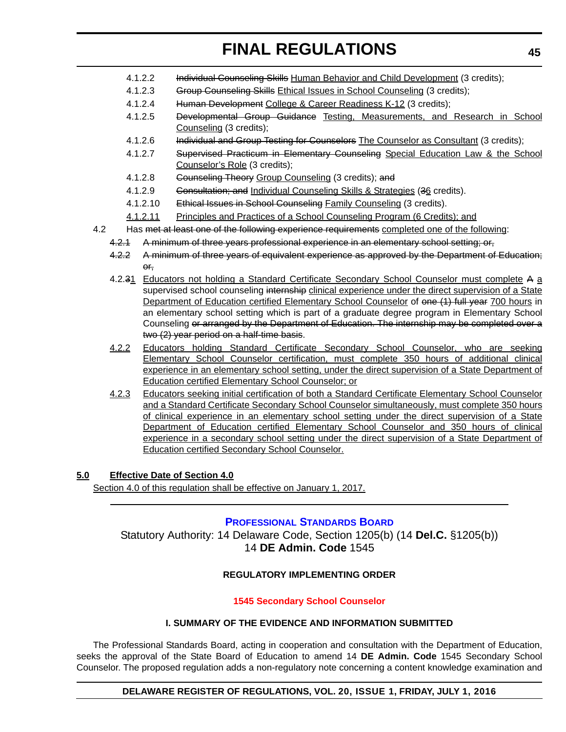- 4.1.2.2 Individual Counseling Skills Human Behavior and Child Development (3 credits);
- 4.1.2.3 Group Counseling Skills Ethical Issues in School Counseling (3 credits);
- 4.1.2.4 Human Development College & Career Readiness K-12 (3 credits);
- 4.1.2.5 Developmental Group Guidance Testing, Measurements, and Research in School Counseling (3 credits);
- 4.1.2.6 Individual and Group Testing for Counselors The Counselor as Consultant (3 credits);
- 4.1.2.7 Supervised Practicum in Elementary Counseling Special Education Law & the School Counselor's Role (3 credits);
- 4.1.2.8 Counseling Theory Group Counseling (3 credits); and
- 4.1.2.9 Consultation; and Individual Counseling Skills & Strategies (36 credits).
- 4.1.2.10 Ethical Issues in School Counseling Family Counseling (3 credits).
- 4.1.2.11 Principles and Practices of a School Counseling Program (6 Credits); and
- 4.2 Has met at least one of the following experience requirements completed one of the following:
	- 4.2.1 A minimum of three years professional experience in an elementary school setting; or,
	- 4.2.2 A minimum of three years of equivalent experience as approved by the Department of Education; or,
	- 4.2.31 Educators not holding a Standard Certificate Secondary School Counselor must complete A a supervised school counseling internship clinical experience under the direct supervision of a State Department of Education certified Elementary School Counselor of one (1) full year 700 hours in an elementary school setting which is part of a graduate degree program in Elementary School Counseling or arranged by the Department of Education. The internship may be completed over a two (2) year period on a half-time basis.
	- 4.2.2 Educators holding Standard Certificate Secondary School Counselor, who are seeking Elementary School Counselor certification, must complete 350 hours of additional clinical experience in an elementary school setting, under the direct supervision of a State Department of Education certified Elementary School Counselor; or
	- 4.2.3 Educators seeking initial certification of both a Standard Certificate Elementary School Counselor and a Standard Certificate Secondary School Counselor simultaneously, must complete 350 hours of clinical experience in an elementary school setting under the direct supervision of a State Department of Education certified Elementary School Counselor and 350 hours of clinical experience in a secondary school setting under the direct supervision of a State Department of Education certified Secondary School Counselor.

### **5.0 Effective Date of Section 4.0**

Section 4.0 of this regulation shall be effective on January 1, 2017.

#### **[PROFESSIONAL STANDARDS BOARD](https://pubapps.doe.k12.de.us/EducationalDirectoryPublic/pages/DDOE/WorkGroupStaff.aspx?page=branches&WGID=75&BID=1)**

Statutory Authority: 14 Delaware Code, Section 1205(b) (14 **Del.C.** §1205(b)) 14 **DE Admin. Code** 1545

### **REGULATORY IMPLEMENTING ORDER**

#### **[1545 Secondary School Counselor](#page-3-0)**

#### **I. SUMMARY OF THE EVIDENCE AND INFORMATION SUBMITTED**

The Professional Standards Board, acting in cooperation and consultation with the Department of Education, seeks the approval of the State Board of Education to amend 14 **DE Admin. Code** 1545 Secondary School Counselor. The proposed regulation adds a non-regulatory note concerning a content knowledge examination and

#### **DELAWARE REGISTER OF REGULATIONS, VOL. 20, ISSUE 1, FRIDAY, JULY 1, 2016**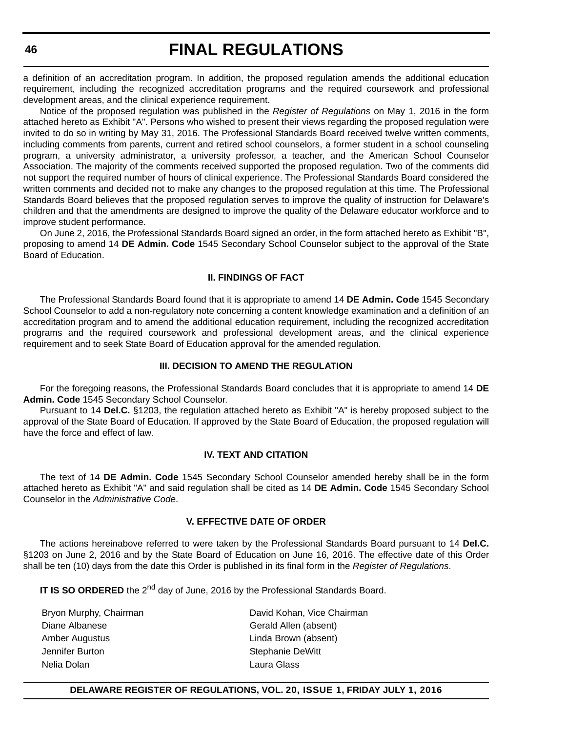a definition of an accreditation program. In addition, the proposed regulation amends the additional education requirement, including the recognized accreditation programs and the required coursework and professional development areas, and the clinical experience requirement.

Notice of the proposed regulation was published in the *Register of Regulations* on May 1, 2016 in the form attached hereto as Exhibit "A". Persons who wished to present their views regarding the proposed regulation were invited to do so in writing by May 31, 2016. The Professional Standards Board received twelve written comments, including comments from parents, current and retired school counselors, a former student in a school counseling program, a university administrator, a university professor, a teacher, and the American School Counselor Association. The majority of the comments received supported the proposed regulation. Two of the comments did not support the required number of hours of clinical experience. The Professional Standards Board considered the written comments and decided not to make any changes to the proposed regulation at this time. The Professional Standards Board believes that the proposed regulation serves to improve the quality of instruction for Delaware's children and that the amendments are designed to improve the quality of the Delaware educator workforce and to improve student performance.

On June 2, 2016, the Professional Standards Board signed an order, in the form attached hereto as Exhibit "B", proposing to amend 14 **DE Admin. Code** 1545 Secondary School Counselor subject to the approval of the State Board of Education.

#### **II. FINDINGS OF FACT**

The Professional Standards Board found that it is appropriate to amend 14 **DE Admin. Code** 1545 Secondary School Counselor to add a non-regulatory note concerning a content knowledge examination and a definition of an accreditation program and to amend the additional education requirement, including the recognized accreditation programs and the required coursework and professional development areas, and the clinical experience requirement and to seek State Board of Education approval for the amended regulation.

#### **III. DECISION TO AMEND THE REGULATION**

For the foregoing reasons, the Professional Standards Board concludes that it is appropriate to amend 14 **DE Admin. Code** 1545 Secondary School Counselor.

Pursuant to 14 **Del.C.** §1203, the regulation attached hereto as Exhibit "A" is hereby proposed subject to the approval of the State Board of Education. If approved by the State Board of Education, the proposed regulation will have the force and effect of law.

#### **IV. TEXT AND CITATION**

The text of 14 **DE Admin. Code** 1545 Secondary School Counselor amended hereby shall be in the form attached hereto as Exhibit "A" and said regulation shall be cited as 14 **DE Admin. Code** 1545 Secondary School Counselor in the *Administrative Code*.

#### **V. EFFECTIVE DATE OF ORDER**

The actions hereinabove referred to were taken by the Professional Standards Board pursuant to 14 **Del.C.** §1203 on June 2, 2016 and by the State Board of Education on June 16, 2016. The effective date of this Order shall be ten (10) days from the date this Order is published in its final form in the *Register of Regulations*.

**IT IS SO ORDERED** the 2<sup>nd</sup> day of June, 2016 by the Professional Standards Board.

Diane Albanese Gerald Allen (absent) Amber Augustus Linda Brown (absent) Jennifer Burton Stephanie DeWitt Nelia Dolan Laura Glass

Bryon Murphy, Chairman **David Kohan, Vice Chairman** 

#### **DELAWARE REGISTER OF REGULATIONS, VOL. 20, ISSUE 1, FRIDAY JULY 1, 2016**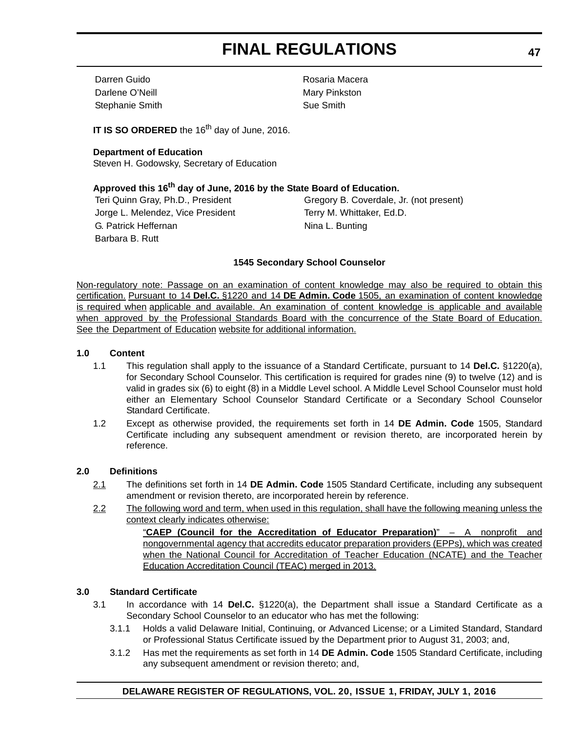Darren Guido Rosaria Macera Darlene O'Neill **Mary Pinkston** Stephanie Smith Sue Smith

**IT IS SO ORDERED** the 16<sup>th</sup> day of June, 2016.

#### **Department of Education** Steven H. Godowsky, Secretary of Education

### **Approved this 16th day of June, 2016 by the State Board of Education.**

Jorge L. Melendez, Vice President Terry M. Whittaker, Ed.D. G. Patrick Heffernan Nina L. Bunting Barbara B. Rutt

Teri Quinn Gray, Ph.D., President Gregory B. Coverdale, Jr. (not present)

#### **1545 Secondary School Counselor**

Non-regulatory note: Passage on an examination of content knowledge may also be required to obtain this certification. Pursuant to 14 **Del.C.** §1220 and 14 **DE Admin. Code** 1505, an examination of content knowledge is required when applicable and available. An examination of content knowledge is applicable and available when approved by the Professional Standards Board with the concurrence of the State Board of Education. See the Department of Education website for additional information.

#### **1.0 Content**

- 1.1 This regulation shall apply to the issuance of a Standard Certificate, pursuant to 14 **Del.C.** §1220(a), for Secondary School Counselor. This certification is required for grades nine (9) to twelve (12) and is valid in grades six (6) to eight (8) in a Middle Level school. A Middle Level School Counselor must hold either an Elementary School Counselor Standard Certificate or a Secondary School Counselor Standard Certificate.
- 1.2 Except as otherwise provided, the requirements set forth in 14 **DE Admin. Code** 1505, Standard Certificate including any subsequent amendment or revision thereto, are incorporated herein by reference.

#### **2.0 Definitions**

- 2.1 The definitions set forth in 14 **DE Admin. Code** 1505 Standard Certificate, including any subsequent amendment or revision thereto, are incorporated herein by reference.
- 2.2 The following word and term, when used in this regulation, shall have the following meaning unless the context clearly indicates otherwise:

"**CAEP (Council for the Accreditation of Educator Preparation)**" – A nonprofit and nongovernmental agency that accredits educator preparation providers (EPPs), which was created when the National Council for Accreditation of Teacher Education (NCATE) and the Teacher Education Accreditation Council (TEAC) merged in 2013.

#### **3.0 Standard Certificate**

- 3.1 In accordance with 14 **Del.C.** §1220(a), the Department shall issue a Standard Certificate as a Secondary School Counselor to an educator who has met the following:
	- 3.1.1 Holds a valid Delaware Initial, Continuing, or Advanced License; or a Limited Standard, Standard or Professional Status Certificate issued by the Department prior to August 31, 2003; and,
	- 3.1.2 Has met the requirements as set forth in 14 **DE Admin. Code** 1505 Standard Certificate, including any subsequent amendment or revision thereto; and,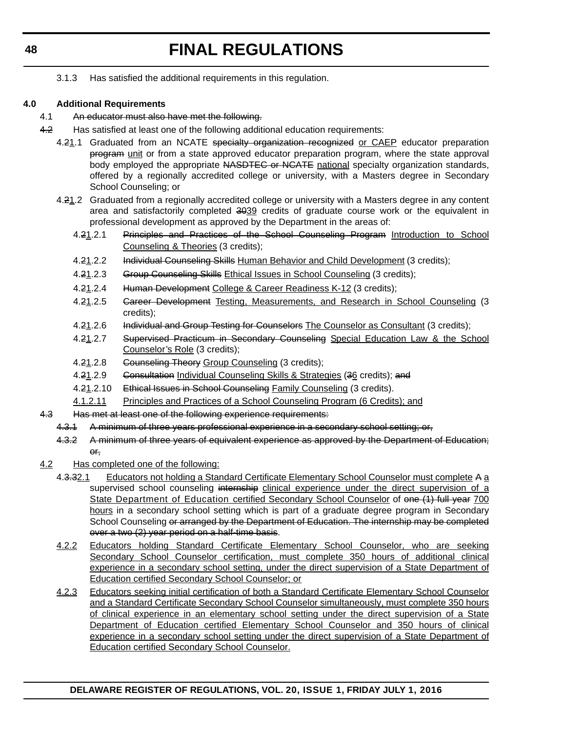3.1.3 Has satisfied the additional requirements in this regulation.

### **4.0 Additional Requirements**

- 4.1 An educator must also have met the following.
- 4.2 Has satisfied at least one of the following additional education requirements:
	- 4.21.1 Graduated from an NCATE specialty organization recognized or CAEP educator preparation program unit or from a state approved educator preparation program, where the state approval body employed the appropriate NASDTEC or NCATE national specialty organization standards, offered by a regionally accredited college or university, with a Masters degree in Secondary School Counseling; or
	- 4.21.2 Graduated from a regionally accredited college or university with a Masters degree in any content area and satisfactorily completed 3039 credits of graduate course work or the equivalent in professional development as approved by the Department in the areas of:
		- 4.21.2.1 Principles and Practices of the School Counseling Program Introduction to School Counseling & Theories (3 credits);
		- 4.21.2.2 Individual Counseling Skills Human Behavior and Child Development (3 credits);
		- 4.21.2.3 Group Counseling Skills Ethical Issues in School Counseling (3 credits);
		- 4.21.2.4 Human Development College & Career Readiness K-12 (3 credits);
		- 4.21.2.5 Gareer Development Testing, Measurements, and Research in School Counseling (3 credits);
		- 4.21.2.6 Individual and Group Testing for Counselors The Counselor as Consultant (3 credits);
		- 4.21.2.7 Supervised Practicum in Secondary Counseling Special Education Law & the School Counselor's Role (3 credits);
		- 4.21.2.8 Gounseling Theory Group Counseling (3 credits);
		- 4.21.2.9 Consultation Individual Counseling Skills & Strategies (36 credits); and
		- 4.21.2.10 Ethical Issues in School Counseling Family Counseling (3 credits).
		- 4.1.2.11 Principles and Practices of a School Counseling Program (6 Credits); and
- 4.3 Has met at least one of the following experience requirements:
	- 4.3.1 A minimum of three years professional experience in a secondary school setting; or,
	- 4.3.2 A minimum of three years of equivalent experience as approved by the Department of Education; or,
- 4.2 Has completed one of the following:
	- 4.3.32.1 Educators not holding a Standard Certificate Elementary School Counselor must complete A a supervised school counseling internship clinical experience under the direct supervision of a State Department of Education certified Secondary School Counselor of one (1) full year 700 hours in a secondary school setting which is part of a graduate degree program in Secondary School Counseling or arranged by the Department of Education. The internship may be completed over a two (2) year period on a half-time basis.
		- 4.2.2 Educators holding Standard Certificate Elementary School Counselor, who are seeking Secondary School Counselor certification, must complete 350 hours of additional clinical experience in a secondary school setting, under the direct supervision of a State Department of Education certified Secondary School Counselor; or
		- 4.2.3 Educators seeking initial certification of both a Standard Certificate Elementary School Counselor and a Standard Certificate Secondary School Counselor simultaneously, must complete 350 hours of clinical experience in an elementary school setting under the direct supervision of a State Department of Education certified Elementary School Counselor and 350 hours of clinical experience in a secondary school setting under the direct supervision of a State Department of Education certified Secondary School Counselor.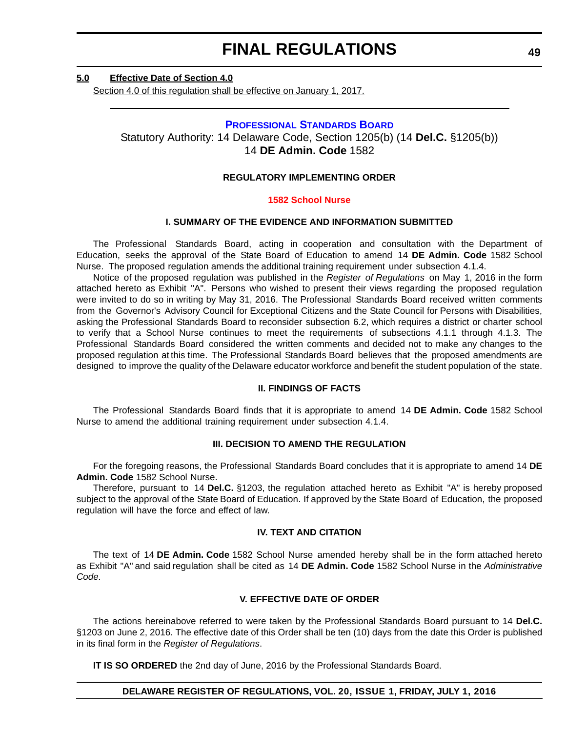#### **5.0 Effective Date of Section 4.0**

Section 4.0 of this regulation shall be effective on January 1, 2017.

#### **[PROFESSIONAL STANDARDS BOARD](https://pubapps.doe.k12.de.us/EducationalDirectoryPublic/pages/DDOE/WorkGroupStaff.aspx?page=branches&WGID=75&BID=1)**

Statutory Authority: 14 Delaware Code, Section 1205(b) (14 **Del.C.** §1205(b)) 14 **DE Admin. Code** 1582

#### **REGULATORY IMPLEMENTING ORDER**

#### **[1582 School Nurse](#page-3-0)**

#### **I. SUMMARY OF THE EVIDENCE AND INFORMATION SUBMITTED**

The Professional Standards Board, acting in cooperation and consultation with the Department of Education, seeks the approval of the State Board of Education to amend 14 **DE Admin. Code** 1582 School Nurse. The proposed regulation amends the additional training requirement under subsection 4.1.4.

Notice of the proposed regulation was published in the *Register of Regulations* on May 1, 2016 in the form attached hereto as Exhibit "A". Persons who wished to present their views regarding the proposed regulation were invited to do so in writing by May 31, 2016. The Professional Standards Board received written comments from the Governor's Advisory Council for Exceptional Citizens and the State Council for Persons with Disabilities, asking the Professional Standards Board to reconsider subsection 6.2, which requires a district or charter school to verify that a School Nurse continues to meet the requirements of subsections 4.1.1 through 4.1.3. The Professional Standards Board considered the written comments and decided not to make any changes to the proposed regulation at this time. The Professional Standards Board believes that the proposed amendments are designed to improve the quality of the Delaware educator workforce and benefit the student population of the state.

#### **II. FINDINGS OF FACTS**

The Professional Standards Board finds that it is appropriate to amend 14 **DE Admin. Code** 1582 School Nurse to amend the additional training requirement under subsection 4.1.4.

#### **III. DECISION TO AMEND THE REGULATION**

For the foregoing reasons, the Professional Standards Board concludes that it is appropriate to amend 14 **DE Admin. Code** 1582 School Nurse.

Therefore, pursuant to 14 **Del.C.** §1203, the regulation attached hereto as Exhibit "A" is hereby proposed subject to the approval of the State Board of Education. If approved by the State Board of Education, the proposed regulation will have the force and effect of law.

#### **IV. TEXT AND CITATION**

The text of 14 **DE Admin. Code** 1582 School Nurse amended hereby shall be in the form attached hereto as Exhibit "A" and said regulation shall be cited as 14 **DE Admin. Code** 1582 School Nurse in the *Administrative Code.*

#### **V. EFFECTIVE DATE OF ORDER**

The actions hereinabove referred to were taken by the Professional Standards Board pursuant to 14 **Del.C.** §1203 on June 2, 2016. The effective date of this Order shall be ten (10) days from the date this Order is published in its final form in the *Register of Regulations*.

**IT IS SO ORDERED** the 2nd day of June, 2016 by the Professional Standards Board.

#### **DELAWARE REGISTER OF REGULATIONS, VOL. 20, ISSUE 1, FRIDAY, JULY 1, 2016**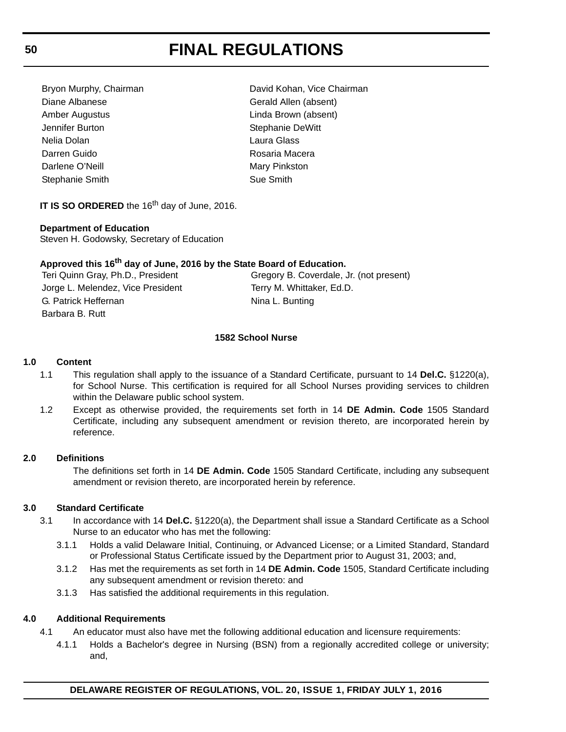Diane Albanese Gerald Allen (absent) Amber Augustus Linda Brown (absent) Jennifer Burton Stephanie DeWitt Nelia Dolan Laura Glass Darren Guido **Rosaria Macera** Darlene O'Neill **Mary Pinkston** Stephanie Smith Sue Smith

Bryon Murphy, Chairman **David Kohan, Vice Chairman** 

**IT IS SO ORDERED** the 16<sup>th</sup> day of June, 2016.

#### **Department of Education**

Steven H. Godowsky, Secretary of Education

### **Approved this 16th day of June, 2016 by the State Board of Education.**

Teri Quinn Gray, Ph.D., President Gregory B. Coverdale, Jr. (not present) Jorge L. Melendez, Vice President Terry M. Whittaker, Ed.D. G. Patrick Heffernan Nina L. Bunting Barbara B. Rutt

#### **1582 School Nurse**

### **1.0 Content**

- 1.1 This regulation shall apply to the issuance of a Standard Certificate, pursuant to 14 **Del.C.** §1220(a), for School Nurse. This certification is required for all School Nurses providing services to children within the Delaware public school system.
- 1.2 Except as otherwise provided, the requirements set forth in 14 **DE Admin. Code** 1505 Standard Certificate, including any subsequent amendment or revision thereto, are incorporated herein by reference.

#### **2.0 Definitions**

The definitions set forth in 14 **DE Admin. Code** 1505 Standard Certificate, including any subsequent amendment or revision thereto, are incorporated herein by reference.

#### **3.0 Standard Certificate**

- 3.1 In accordance with 14 **Del.C.** §1220(a), the Department shall issue a Standard Certificate as a School Nurse to an educator who has met the following:
	- 3.1.1 Holds a valid Delaware Initial, Continuing, or Advanced License; or a Limited Standard, Standard or Professional Status Certificate issued by the Department prior to August 31, 2003; and,
	- 3.1.2 Has met the requirements as set forth in 14 **DE Admin. Code** 1505, Standard Certificate including any subsequent amendment or revision thereto: and
	- 3.1.3 Has satisfied the additional requirements in this regulation.

#### **4.0 Additional Requirements**

- 4.1 An educator must also have met the following additional education and licensure requirements:
	- 4.1.1 Holds a Bachelor's degree in Nursing (BSN) from a regionally accredited college or university; and,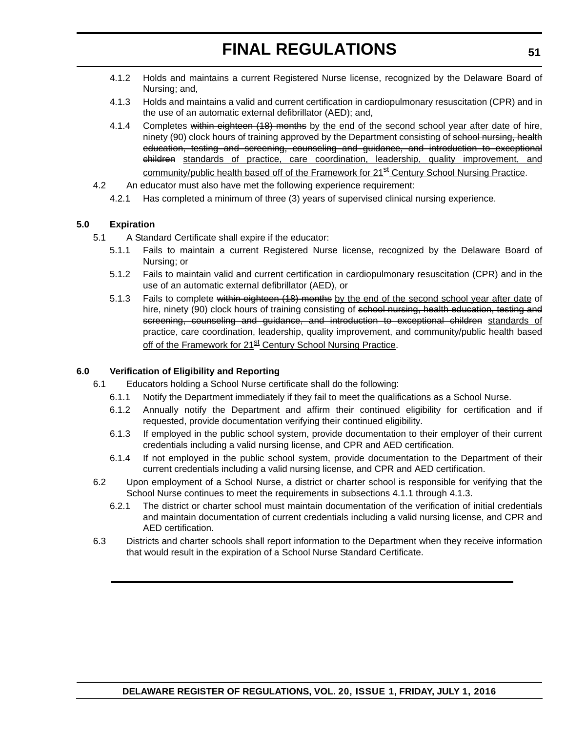- 4.1.2 Holds and maintains a current Registered Nurse license, recognized by the Delaware Board of Nursing; and,
- 4.1.3 Holds and maintains a valid and current certification in cardiopulmonary resuscitation (CPR) and in the use of an automatic external defibrillator (AED); and,
- 4.1.4 Completes within eighteen (18) months by the end of the second school year after date of hire, ninety (90) clock hours of training approved by the Department consisting of school nursing, health education, testing and screening, counseling and guidance, and introduction to exceptional children standards of practice, care coordination, leadership, quality improvement, and community/public health based off of the Framework for 21<sup>st</sup> Century School Nursing Practice.
- 4.2 An educator must also have met the following experience requirement:
	- 4.2.1 Has completed a minimum of three (3) years of supervised clinical nursing experience.

### **5.0 Expiration**

- 5.1 A Standard Certificate shall expire if the educator:
	- 5.1.1 Fails to maintain a current Registered Nurse license, recognized by the Delaware Board of Nursing; or
	- 5.1.2 Fails to maintain valid and current certification in cardiopulmonary resuscitation (CPR) and in the use of an automatic external defibrillator (AED), or
	- 5.1.3 Fails to complete within eighteen (18) months by the end of the second school year after date of hire, ninety (90) clock hours of training consisting of school nursing, health education, testing and screening, counseling and guidance, and introduction to exceptional children standards of practice, care coordination, leadership, quality improvement, and community/public health based off of the Framework for 21<sup>st</sup> Century School Nursing Practice.

#### **6.0 Verification of Eligibility and Reporting**

- 6.1 Educators holding a School Nurse certificate shall do the following:
	- 6.1.1 Notify the Department immediately if they fail to meet the qualifications as a School Nurse.
	- 6.1.2 Annually notify the Department and affirm their continued eligibility for certification and if requested, provide documentation verifying their continued eligibility.
	- 6.1.3 If employed in the public school system, provide documentation to their employer of their current credentials including a valid nursing license, and CPR and AED certification.
	- 6.1.4 If not employed in the public school system, provide documentation to the Department of their current credentials including a valid nursing license, and CPR and AED certification.
- 6.2 Upon employment of a School Nurse, a district or charter school is responsible for verifying that the School Nurse continues to meet the requirements in subsections 4.1.1 through 4.1.3.
	- 6.2.1 The district or charter school must maintain documentation of the verification of initial credentials and maintain documentation of current credentials including a valid nursing license, and CPR and AED certification.
- 6.3 Districts and charter schools shall report information to the Department when they receive information that would result in the expiration of a School Nurse Standard Certificate.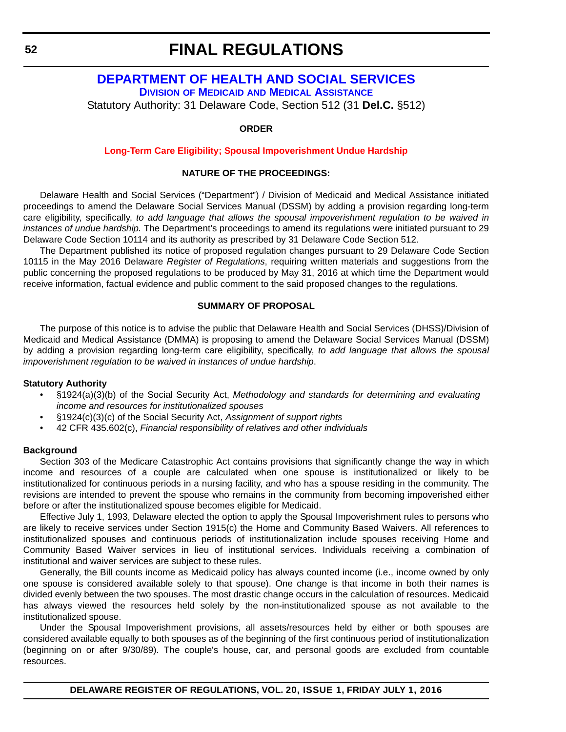### **[DEPARTMENT OF HEALTH AND SOCIAL SERVICES](http://www.dhss.delaware.gov/dhss/dmma/) DIVISION OF MEDICAID AND MEDICAL ASSISTANCE**

Statutory Authority: 31 Delaware Code, Section 512 (31 **Del.C.** §512)

**ORDER**

#### **[Long-Term Care Eligibility; Spousal Impoverishment Undue Hardship](#page-3-0)**

#### **NATURE OF THE PROCEEDINGS:**

Delaware Health and Social Services ("Department") / Division of Medicaid and Medical Assistance initiated proceedings to amend the Delaware Social Services Manual (DSSM) by adding a provision regarding long-term care eligibility, specifically, *to add language that allows the spousal impoverishment regulation to be waived in instances of undue hardship.* The Department's proceedings to amend its regulations were initiated pursuant to 29 Delaware Code Section 10114 and its authority as prescribed by 31 Delaware Code Section 512.

The Department published its notice of proposed regulation changes pursuant to 29 Delaware Code Section 10115 in the May 2016 Delaware *Register of Regulations*, requiring written materials and suggestions from the public concerning the proposed regulations to be produced by May 31, 2016 at which time the Department would receive information, factual evidence and public comment to the said proposed changes to the regulations.

#### **SUMMARY OF PROPOSAL**

The purpose of this notice is to advise the public that Delaware Health and Social Services (DHSS)/Division of Medicaid and Medical Assistance (DMMA) is proposing to amend the Delaware Social Services Manual (DSSM) by adding a provision regarding long-term care eligibility, specifically, *to add language that allows the spousal impoverishment regulation to be waived in instances of undue hardship*.

#### **Statutory Authority**

- §1924(a)(3)(b) of the Social Security Act, *Methodology and standards for determining and evaluating income and resources for institutionalized spouses*
- §1924(c)(3)(c) of the Social Security Act, *Assignment of support rights*
- 42 CFR 435.602(c), *Financial responsibility of relatives and other individuals*

#### **Background**

Section 303 of the Medicare Catastrophic Act contains provisions that significantly change the way in which income and resources of a couple are calculated when one spouse is institutionalized or likely to be institutionalized for continuous periods in a nursing facility, and who has a spouse residing in the community. The revisions are intended to prevent the spouse who remains in the community from becoming impoverished either before or after the institutionalized spouse becomes eligible for Medicaid.

Effective July 1, 1993, Delaware elected the option to apply the Spousal Impoverishment rules to persons who are likely to receive services under Section 1915(c) the Home and Community Based Waivers. All references to institutionalized spouses and continuous periods of institutionalization include spouses receiving Home and Community Based Waiver services in lieu of institutional services. Individuals receiving a combination of institutional and waiver services are subject to these rules.

Generally, the Bill counts income as Medicaid policy has always counted income (i.e., income owned by only one spouse is considered available solely to that spouse). One change is that income in both their names is divided evenly between the two spouses. The most drastic change occurs in the calculation of resources. Medicaid has always viewed the resources held solely by the non-institutionalized spouse as not available to the institutionalized spouse.

Under the Spousal Impoverishment provisions, all assets/resources held by either or both spouses are considered available equally to both spouses as of the beginning of the first continuous period of institutionalization (beginning on or after 9/30/89). The couple's house, car, and personal goods are excluded from countable resources.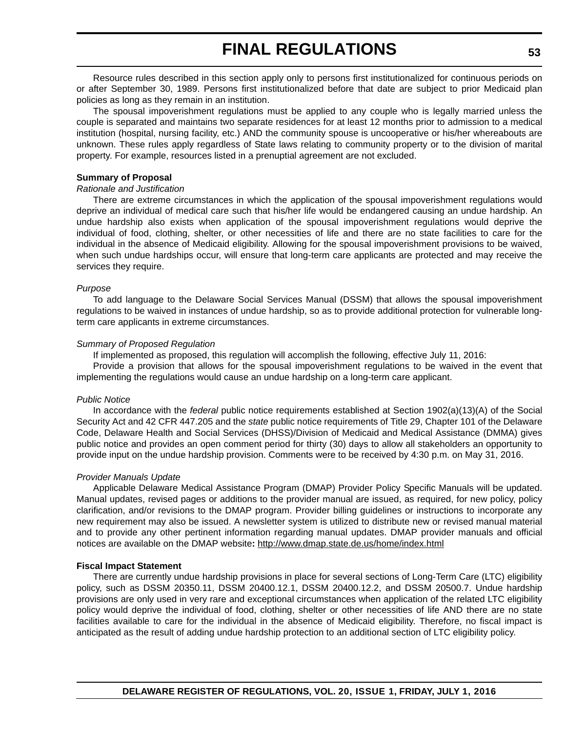Resource rules described in this section apply only to persons first institutionalized for continuous periods on or after September 30, 1989. Persons first institutionalized before that date are subject to prior Medicaid plan policies as long as they remain in an institution.

The spousal impoverishment regulations must be applied to any couple who is legally married unless the couple is separated and maintains two separate residences for at least 12 months prior to admission to a medical institution (hospital, nursing facility, etc.) AND the community spouse is uncooperative or his/her whereabouts are unknown. These rules apply regardless of State laws relating to community property or to the division of marital property. For example, resources listed in a prenuptial agreement are not excluded.

#### **Summary of Proposal**

#### *Rationale and Justification*

There are extreme circumstances in which the application of the spousal impoverishment regulations would deprive an individual of medical care such that his/her life would be endangered causing an undue hardship. An undue hardship also exists when application of the spousal impoverishment regulations would deprive the individual of food, clothing, shelter, or other necessities of life and there are no state facilities to care for the individual in the absence of Medicaid eligibility. Allowing for the spousal impoverishment provisions to be waived, when such undue hardships occur, will ensure that long-term care applicants are protected and may receive the services they require.

#### *Purpose*

To add language to the Delaware Social Services Manual (DSSM) that allows the spousal impoverishment regulations to be waived in instances of undue hardship, so as to provide additional protection for vulnerable longterm care applicants in extreme circumstances.

#### *Summary of Proposed Regulation*

If implemented as proposed, this regulation will accomplish the following, effective July 11, 2016:

Provide a provision that allows for the spousal impoverishment regulations to be waived in the event that implementing the regulations would cause an undue hardship on a long-term care applicant.

#### *Public Notice*

In accordance with the *federal* public notice requirements established at Section 1902(a)(13)(A) of the Social Security Act and 42 CFR 447.205 and the *state* public notice requirements of Title 29, Chapter 101 of the Delaware Code, Delaware Health and Social Services (DHSS)/Division of Medicaid and Medical Assistance (DMMA) gives public notice and provides an open comment period for thirty (30) days to allow all stakeholders an opportunity to provide input on the undue hardship provision. Comments were to be received by 4:30 p.m. on May 31, 2016.

#### *Provider Manuals Update*

Applicable Delaware Medical Assistance Program (DMAP) Provider Policy Specific Manuals will be updated. Manual updates, revised pages or additions to the provider manual are issued, as required, for new policy, policy clarification, and/or revisions to the DMAP program. Provider billing guidelines or instructions to incorporate any new requirement may also be issued. A newsletter system is utilized to distribute new or revised manual material and to provide any other pertinent information regarding manual updates. DMAP provider manuals and official notices are available on the DMAP website**:** http://www.dmap.state.de.us/home/index.html

#### **Fiscal Impact Statement**

There are currently undue hardship provisions in place for several sections of Long-Term Care (LTC) eligibility policy, such as DSSM 20350.11, DSSM 20400.12.1, DSSM 20400.12.2, and DSSM 20500.7. Undue hardship provisions are only used in very rare and exceptional circumstances when application of the related LTC eligibility policy would deprive the individual of food, clothing, shelter or other necessities of life AND there are no state facilities available to care for the individual in the absence of Medicaid eligibility. Therefore, no fiscal impact is anticipated as the result of adding undue hardship protection to an additional section of LTC eligibility policy.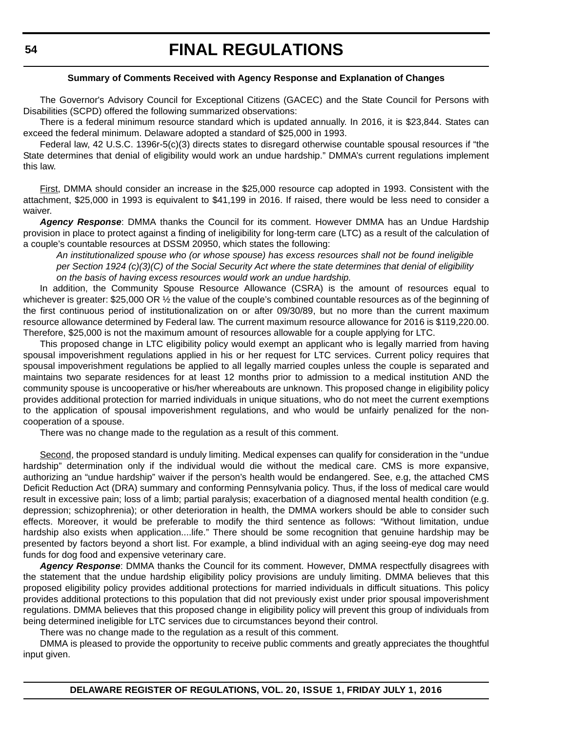#### **Summary of Comments Received with Agency Response and Explanation of Changes**

The Governor's Advisory Council for Exceptional Citizens (GACEC) and the State Council for Persons with Disabilities (SCPD) offered the following summarized observations:

There is a federal minimum resource standard which is updated annually. In 2016, it is \$23,844. States can exceed the federal minimum. Delaware adopted a standard of \$25,000 in 1993.

Federal law, 42 U.S.C. 1396r-5(c)(3) directs states to disregard otherwise countable spousal resources if "the State determines that denial of eligibility would work an undue hardship." DMMA's current regulations implement this law.

First, DMMA should consider an increase in the \$25,000 resource cap adopted in 1993. Consistent with the attachment, \$25,000 in 1993 is equivalent to \$41,199 in 2016. If raised, there would be less need to consider a waiver.

*Agency Response*: DMMA thanks the Council for its comment. However DMMA has an Undue Hardship provision in place to protect against a finding of ineligibility for long-term care (LTC) as a result of the calculation of a couple's countable resources at DSSM 20950, which states the following:

*An institutionalized spouse who (or whose spouse) has excess resources shall not be found ineligible per Section 1924 (c)(3)(C) of the Social Security Act where the state determines that denial of eligibility on the basis of having excess resources would work an undue hardship.*

In addition, the Community Spouse Resource Allowance (CSRA) is the amount of resources equal to whichever is greater: \$25,000 OR  $\frac{1}{2}$  the value of the couple's combined countable resources as of the beginning of the first continuous period of institutionalization on or after 09/30/89, but no more than the current maximum resource allowance determined by Federal law. The current maximum resource allowance for 2016 is \$119,220.00. Therefore, \$25,000 is not the maximum amount of resources allowable for a couple applying for LTC.

This proposed change in LTC eligibility policy would exempt an applicant who is legally married from having spousal impoverishment regulations applied in his or her request for LTC services. Current policy requires that spousal impoverishment regulations be applied to all legally married couples unless the couple is separated and maintains two separate residences for at least 12 months prior to admission to a medical institution AND the community spouse is uncooperative or his/her whereabouts are unknown. This proposed change in eligibility policy provides additional protection for married individuals in unique situations, who do not meet the current exemptions to the application of spousal impoverishment regulations, and who would be unfairly penalized for the noncooperation of a spouse.

There was no change made to the regulation as a result of this comment.

Second, the proposed standard is unduly limiting. Medical expenses can qualify for consideration in the "undue hardship" determination only if the individual would die without the medical care. CMS is more expansive, authorizing an "undue hardship" waiver if the person's health would be endangered. See, e.g, the attached CMS Deficit Reduction Act (DRA) summary and conforming Pennsylvania policy. Thus, if the loss of medical care would result in excessive pain; loss of a limb; partial paralysis; exacerbation of a diagnosed mental health condition (e.g. depression; schizophrenia); or other deterioration in health, the DMMA workers should be able to consider such effects. Moreover, it would be preferable to modify the third sentence as follows: "Without limitation, undue hardship also exists when application....life." There should be some recognition that genuine hardship may be presented by factors beyond a short list. For example, a blind individual with an aging seeing-eye dog may need funds for dog food and expensive veterinary care.

*Agency Response*: DMMA thanks the Council for its comment. However, DMMA respectfully disagrees with the statement that the undue hardship eligibility policy provisions are unduly limiting. DMMA believes that this proposed eligibility policy provides additional protections for married individuals in difficult situations. This policy provides additional protections to this population that did not previously exist under prior spousal impoverishment regulations. DMMA believes that this proposed change in eligibility policy will prevent this group of individuals from being determined ineligible for LTC services due to circumstances beyond their control.

There was no change made to the regulation as a result of this comment.

DMMA is pleased to provide the opportunity to receive public comments and greatly appreciates the thoughtful input given.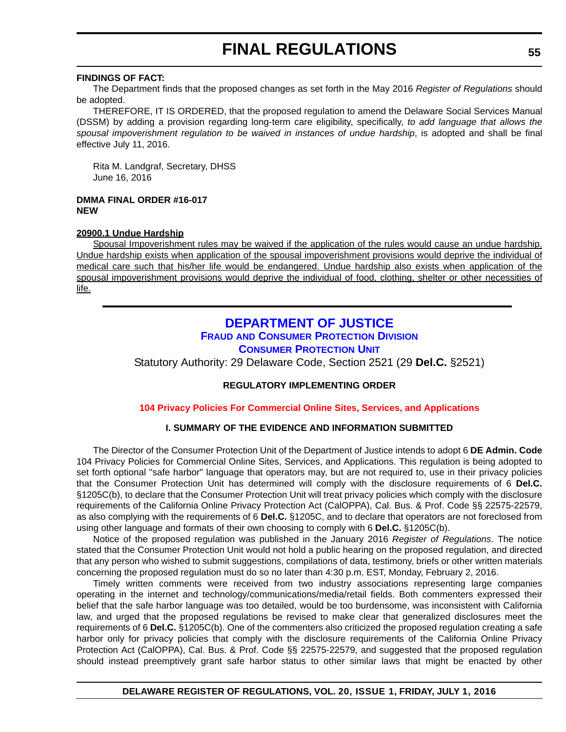#### **FINDINGS OF FACT:**

The Department finds that the proposed changes as set forth in the May 2016 *Register of Regulations* should be adopted.

THEREFORE, IT IS ORDERED, that the proposed regulation to amend the Delaware Social Services Manual (DSSM) by adding a provision regarding long-term care eligibility, specifically, *to add language that allows the* spousal impoverishment regulation to be waived in instances of undue hardship, is adopted and shall be final effective July 11, 2016.

Rita M. Landgraf, Secretary, DHSS June 16, 2016

**DMMA FINAL ORDER #16-017 NEW**

#### **20900.1 Undue Hardship**

Spousal Impoverishment rules may be waived if the application of the rules would cause an undue hardship. Undue hardship exists when application of the spousal impoverishment provisions would deprive the individual of medical care such that his/her life would be endangered. Undue hardship also exists when application of the spousal impoverishment provisions would deprive the individual of food, clothing, shelter or other necessities of life.

## **[DEPARTMENT OF JUSTICE](http://attorneygeneral.delaware.gov/) FRAUD [AND CONSUMER PROTECTION DIVISION](http://attorneygeneral.delaware.gov/fraud/index.shtml) [CONSUMER PROTECTION UNIT](http://attorneygeneral.delaware.gov/fraud/cpu/index.shtml)**

Statutory Authority: 29 Delaware Code, Section 2521 (29 **Del.C.** §2521)

### **REGULATORY IMPLEMENTING ORDER**

**[104 Privacy Policies For Commercial Online Sites, Services, and Applications](#page-3-0)**

#### **I. SUMMARY OF THE EVIDENCE AND INFORMATION SUBMITTED**

The Director of the Consumer Protection Unit of the Department of Justice intends to adopt 6 **DE Admin. Code** 104 Privacy Policies for Commercial Online Sites, Services, and Applications. This regulation is being adopted to set forth optional "safe harbor" language that operators may, but are not required to, use in their privacy policies that the Consumer Protection Unit has determined will comply with the disclosure requirements of 6 **Del.C.** §1205C(b), to declare that the Consumer Protection Unit will treat privacy policies which comply with the disclosure requirements of the California Online Privacy Protection Act (CalOPPA), Cal. Bus. & Prof. Code §§ 22575-22579, as also complying with the requirements of 6 **Del.C.** §1205C, and to declare that operators are not foreclosed from using other language and formats of their own choosing to comply with 6 **Del.C.** §1205C(b).

Notice of the proposed regulation was published in the January 2016 *Register of Regulations*. The notice stated that the Consumer Protection Unit would not hold a public hearing on the proposed regulation, and directed that any person who wished to submit suggestions, compilations of data, testimony, briefs or other written materials concerning the proposed regulation must do so no later than 4:30 p.m. EST, Monday, February 2, 2016.

Timely written comments were received from two industry associations representing large companies operating in the internet and technology/communications/media/retail fields. Both commenters expressed their belief that the safe harbor language was too detailed, would be too burdensome, was inconsistent with California law, and urged that the proposed regulations be revised to make clear that generalized disclosures meet the requirements of 6 **Del.C.** §1205C(b). One of the commenters also criticized the proposed regulation creating a safe harbor only for privacy policies that comply with the disclosure requirements of the California Online Privacy Protection Act (CalOPPA), Cal. Bus. & Prof. Code §§ 22575-22579, and suggested that the proposed regulation should instead preemptively grant safe harbor status to other similar laws that might be enacted by other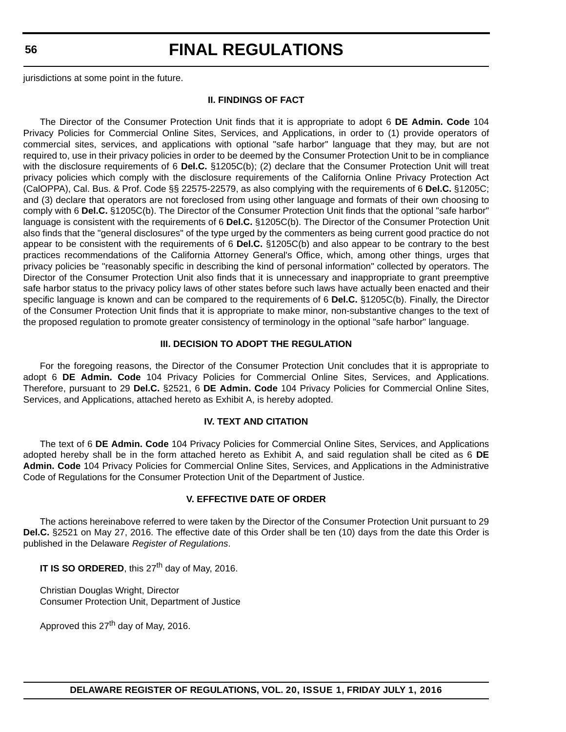**56**

# **FINAL REGULATIONS**

jurisdictions at some point in the future.

#### **II. FINDINGS OF FACT**

The Director of the Consumer Protection Unit finds that it is appropriate to adopt 6 **DE Admin. Code** 104 Privacy Policies for Commercial Online Sites, Services, and Applications, in order to (1) provide operators of commercial sites, services, and applications with optional "safe harbor" language that they may, but are not required to, use in their privacy policies in order to be deemed by the Consumer Protection Unit to be in compliance with the disclosure requirements of 6 **Del.C.** §1205C(b); (2) declare that the Consumer Protection Unit will treat privacy policies which comply with the disclosure requirements of the California Online Privacy Protection Act (CalOPPA), Cal. Bus. & Prof. Code §§ 22575-22579, as also complying with the requirements of 6 **Del.C.** §1205C; and (3) declare that operators are not foreclosed from using other language and formats of their own choosing to comply with 6 **Del.C.** §1205C(b). The Director of the Consumer Protection Unit finds that the optional "safe harbor" language is consistent with the requirements of 6 **Del.C.** §1205C(b). The Director of the Consumer Protection Unit also finds that the "general disclosures" of the type urged by the commenters as being current good practice do not appear to be consistent with the requirements of 6 **Del.C.** §1205C(b) and also appear to be contrary to the best practices recommendations of the California Attorney General's Office, which, among other things, urges that privacy policies be "reasonably specific in describing the kind of personal information" collected by operators. The Director of the Consumer Protection Unit also finds that it is unnecessary and inappropriate to grant preemptive safe harbor status to the privacy policy laws of other states before such laws have actually been enacted and their specific language is known and can be compared to the requirements of 6 **Del.C.** §1205C(b). Finally, the Director of the Consumer Protection Unit finds that it is appropriate to make minor, non-substantive changes to the text of the proposed regulation to promote greater consistency of terminology in the optional "safe harbor" language.

#### **III. DECISION TO ADOPT THE REGULATION**

For the foregoing reasons, the Director of the Consumer Protection Unit concludes that it is appropriate to adopt 6 **DE Admin. Code** 104 Privacy Policies for Commercial Online Sites, Services, and Applications. Therefore, pursuant to 29 **Del.C.** §2521, 6 **DE Admin. Code** 104 Privacy Policies for Commercial Online Sites, Services, and Applications, attached hereto as Exhibit A, is hereby adopted.

#### **IV. TEXT AND CITATION**

The text of 6 **DE Admin. Code** 104 Privacy Policies for Commercial Online Sites, Services, and Applications adopted hereby shall be in the form attached hereto as Exhibit A, and said regulation shall be cited as 6 **DE Admin. Code** 104 Privacy Policies for Commercial Online Sites, Services, and Applications in the Administrative Code of Regulations for the Consumer Protection Unit of the Department of Justice.

#### **V. EFFECTIVE DATE OF ORDER**

The actions hereinabove referred to were taken by the Director of the Consumer Protection Unit pursuant to 29 **Del.C.** §2521 on May 27, 2016. The effective date of this Order shall be ten (10) days from the date this Order is published in the Delaware *Register of Regulations*.

**IT IS SO ORDERED**, this 27<sup>th</sup> day of May, 2016.

Christian Douglas Wright, Director Consumer Protection Unit, Department of Justice

Approved this 27<sup>th</sup> day of May, 2016.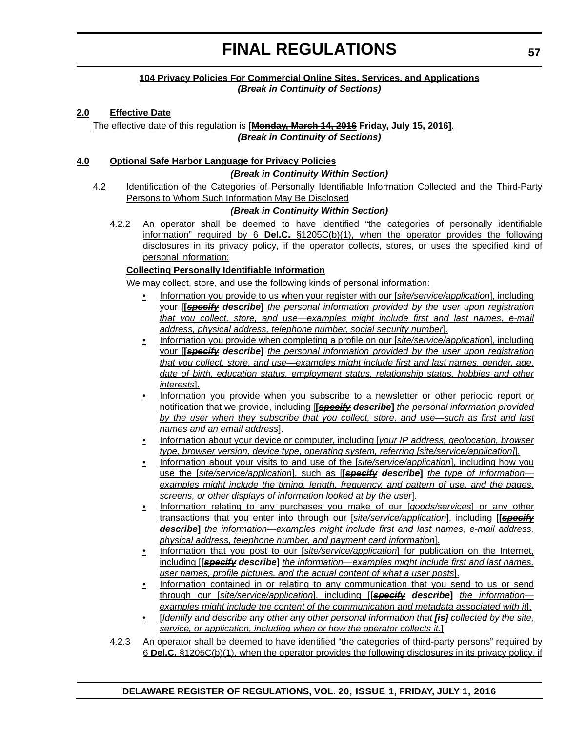#### **104 Privacy Policies For Commercial Online Sites, Services, and Applications** *(Break in Continuity of Sections)*

### **2.0 Effective Date**

The effective date of this regulation is **[Monday, March 14, 2016 Friday, July 15, 2016]**. *(Break in Continuity of Sections)*

#### **4.0 Optional Safe Harbor Language for Privacy Policies**

#### *(Break in Continuity Within Section)*

4.2 Identification of the Categories of Personally Identifiable Information Collected and the Third-Party Persons to Whom Such Information May Be Disclosed

#### *(Break in Continuity Within Section)*

4.2.2 An operator shall be deemed to have identified "the categories of personally identifiable information" required by 6 **Del.C.** §1205C(b)(1), when the operator provides the following disclosures in its privacy policy, if the operator collects, stores, or uses the specified kind of personal information:

### **Collecting Personally Identifiable Information**

We may collect, store, and use the following kinds of personal information:

- Information you provide to us when your register with our [*site/service/application*], including your [**[***specify describe***]** *the personal information provided by the user upon registration that you collect, store, and use—examples might include first and last names, e-mail address, physical address, telephone number, social security number*].
- Information you provide when completing a profile on our [*site/service/application*], including your [**[***specify describe***]** *the personal information provided by the user upon registration that you collect, store, and use—examples might include first and last names, gender, age, date of birth, education status, employment status, relationship status, hobbies and other interests*].
- Information you provide when you subscribe to a newsletter or other periodic report or notification that we provide, including [**[***specify describe***]** *the personal information provided by the user when they subscribe that you collect, store, and use—such as first and last names and an email address*].
- Information about your device or computer, including [*your IP address, geolocation, browser type, browser version, device type, operating system, referring [site/service/application]*].
- Information about your visits to and use of the [*site/service/application*], including how you use the [*site/service/application*], such as [**[***specify describe***]** *the type of information examples might include the timing, length, frequency, and pattern of use, and the pages, screens, or other displays of information looked at by the user*].
- Information relating to any purchases you make of our [*goods/services*] or any other transactions that you enter into through our [*site/service/application*], including [**[***specify describe***]** *the information—examples might include first and last names, e-mail address, physical address, telephone number, and payment card information*].
- Information that you post to our [*site/service/application*] for publication on the Internet, including [**[***specify describe***]** *the information—examples might include first and last names, user names, profile pictures, and the actual content of what a user posts*].
- Information contained in or relating to any communication that you send to us or send through our [*site/service/application*], including [**[***specify describe***]** *the information examples might include the content of the communication and metadata associated with it*].
- [*Identify and describe any other any other personal information that [is] collected by the site, service, or application, including when or how the operator collects it.*]

4.2.3 An operator shall be deemed to have identified "the categories of third-party persons" required by 6 **Del.C.** §1205C(b)(1), when the operator provides the following disclosures in its privacy policy, if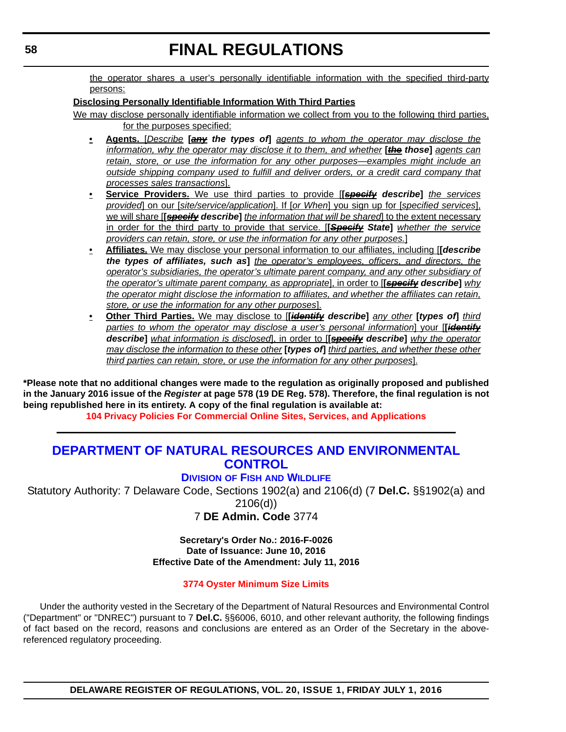the operator shares a user's personally identifiable information with the specified third-party persons:

### **Disclosing Personally Identifiable Information With Third Parties**

- We may disclose personally identifiable information we collect from you to the following third parties, for the purposes specified:
	- **Agents.** [*Describe* **[***any the types of***]** *agents to whom the operator may disclose the information, why the operator may disclose it to them, and whether* **[***the those***]** *agents can retain, store, or use the information for any other purposes—examples might include an outside shipping company used to fulfill and deliver orders, or a credit card company that processes sales transactions*].
	- **Service Providers.** We use third parties to provide [**[***specify describe***]** *the services provided*] on our [*site/service/application*]. If [*or When*] you sign up for [*specified services*], we will share [**[***specify describe***]** *the information that will be shared*] to the extent necessary in order for the third party to provide that service. [**[***Specify State***]** *whether the service providers can retain, store, or use the information for any other purposes.*]
	- **Affiliates.** We may disclose your personal information to our affiliates, including [**[***describe the types of affiliates, such as***]** *the operator's employees, officers, and directors, the operator's subsidiaries, the operator's ultimate parent company, and any other subsidiary of the operator's ultimate parent company, as appropriate*], in order to [**[***specify describe***]** *why the operator might disclose the information to affiliates, and whether the affiliates can retain, store, or use the information for any other purposes*].
	- **Other Third Parties.** We may disclose to [**[***identify describe***]** *any other* **[***types of***]** *third parties to whom the operator may disclose a user's personal information*] your [**[***identify describe***]** *what information is disclosed*], in order to [**[***specify describe***]** *why the operator may disclose the information to these other* **[***types of***]** *third parties, and whether these other third parties can retain, store, or use the information for any other purposes*].

**\*Please note that no additional changes were made to the regulation as originally proposed and published in the January 2016 issue of the** *Register* **at page 578 (19 DE Reg. 578). Therefore, the final regulation is not being republished here in its entirety. A copy of the final regulation is available at:**

**[104 Privacy Policies For Commercial Online Sites, Services, and Applications](http://regulations.delaware.gov/register/july2016/final/20 DE Reg 55 07-01-16.htm)**

# **[DEPARTMENT OF NATURAL RESOURCES AND ENVIRONMENTAL](http://www.dnrec.delaware.gov/Pages/Portal.aspx)  CONTROL**

### **DIVISION OF FISH [AND WILDLIFE](http://www.dnrec.delaware.gov/fw/Pages/DFW-Portal.aspx)**

Statutory Authority: 7 Delaware Code, Sections 1902(a) and 2106(d) (7 **Del.C.** §§1902(a) and

2106(d))

7 **DE Admin. Code** 3774

**Secretary's Order No.: 2016-F-0026 Date of Issuance: June 10, 2016 Effective Date of the Amendment: July 11, 2016**

### **[3774 Oyster Minimum Size Limits](#page-4-0)**

Under the authority vested in the Secretary of the Department of Natural Resources and Environmental Control ("Department" or "DNREC") pursuant to 7 **Del.C.** §§6006, 6010, and other relevant authority, the following findings of fact based on the record, reasons and conclusions are entered as an Order of the Secretary in the abovereferenced regulatory proceeding.

**DELAWARE REGISTER OF REGULATIONS, VOL. 20, ISSUE 1, FRIDAY JULY 1, 2016**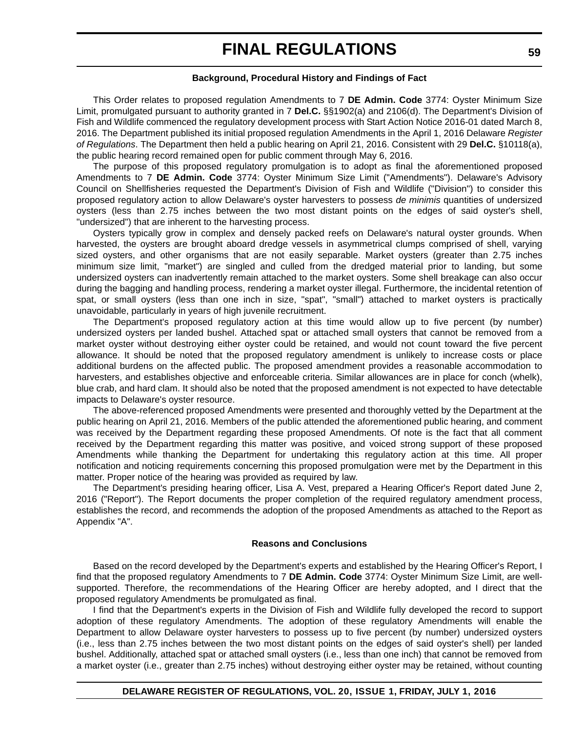#### **Background, Procedural History and Findings of Fact**

This Order relates to proposed regulation Amendments to 7 **DE Admin. Code** 3774: Oyster Minimum Size Limit, promulgated pursuant to authority granted in 7 **Del.C.** §§1902(a) and 2106(d). The Department's Division of Fish and Wildlife commenced the regulatory development process with Start Action Notice 2016-01 dated March 8, 2016. The Department published its initial proposed regulation Amendments in the April 1, 2016 Delaware *Register of Regulations*. The Department then held a public hearing on April 21, 2016. Consistent with 29 **Del.C.** §10118(a), the public hearing record remained open for public comment through May 6, 2016.

The purpose of this proposed regulatory promulgation is to adopt as final the aforementioned proposed Amendments to 7 **DE Admin. Code** 3774: Oyster Minimum Size Limit ("Amendments"). Delaware's Advisory Council on Shellfisheries requested the Department's Division of Fish and Wildlife ("Division") to consider this proposed regulatory action to allow Delaware's oyster harvesters to possess *de minimis* quantities of undersized oysters (less than 2.75 inches between the two most distant points on the edges of said oyster's shell, "undersized") that are inherent to the harvesting process.

Oysters typically grow in complex and densely packed reefs on Delaware's natural oyster grounds. When harvested, the oysters are brought aboard dredge vessels in asymmetrical clumps comprised of shell, varying sized oysters, and other organisms that are not easily separable. Market oysters (greater than 2.75 inches minimum size limit, "market") are singled and culled from the dredged material prior to landing, but some undersized oysters can inadvertently remain attached to the market oysters. Some shell breakage can also occur during the bagging and handling process, rendering a market oyster illegal. Furthermore, the incidental retention of spat, or small oysters (less than one inch in size, "spat", "small") attached to market oysters is practically unavoidable, particularly in years of high juvenile recruitment.

The Department's proposed regulatory action at this time would allow up to five percent (by number) undersized oysters per landed bushel. Attached spat or attached small oysters that cannot be removed from a market oyster without destroying either oyster could be retained, and would not count toward the five percent allowance. It should be noted that the proposed regulatory amendment is unlikely to increase costs or place additional burdens on the affected public. The proposed amendment provides a reasonable accommodation to harvesters, and establishes objective and enforceable criteria. Similar allowances are in place for conch (whelk), blue crab, and hard clam. It should also be noted that the proposed amendment is not expected to have detectable impacts to Delaware's oyster resource.

The above-referenced proposed Amendments were presented and thoroughly vetted by the Department at the public hearing on April 21, 2016. Members of the public attended the aforementioned public hearing, and comment was received by the Department regarding these proposed Amendments. Of note is the fact that all comment received by the Department regarding this matter was positive, and voiced strong support of these proposed Amendments while thanking the Department for undertaking this regulatory action at this time. All proper notification and noticing requirements concerning this proposed promulgation were met by the Department in this matter. Proper notice of the hearing was provided as required by law.

The Department's presiding hearing officer, Lisa A. Vest, prepared a Hearing Officer's Report dated June 2, 2016 ("Report"). The Report documents the proper completion of the required regulatory amendment process, establishes the record, and recommends the adoption of the proposed Amendments as attached to the Report as Appendix "A".

#### **Reasons and Conclusions**

Based on the record developed by the Department's experts and established by the Hearing Officer's Report, I find that the proposed regulatory Amendments to 7 **DE Admin. Code** 3774: Oyster Minimum Size Limit, are wellsupported. Therefore, the recommendations of the Hearing Officer are hereby adopted, and I direct that the proposed regulatory Amendments be promulgated as final.

I find that the Department's experts in the Division of Fish and Wildlife fully developed the record to support adoption of these regulatory Amendments. The adoption of these regulatory Amendments will enable the Department to allow Delaware oyster harvesters to possess up to five percent (by number) undersized oysters (i.e., less than 2.75 inches between the two most distant points on the edges of said oyster's shell) per landed bushel. Additionally, attached spat or attached small oysters (i.e., less than one inch) that cannot be removed from a market oyster (i.e., greater than 2.75 inches) without destroying either oyster may be retained, without counting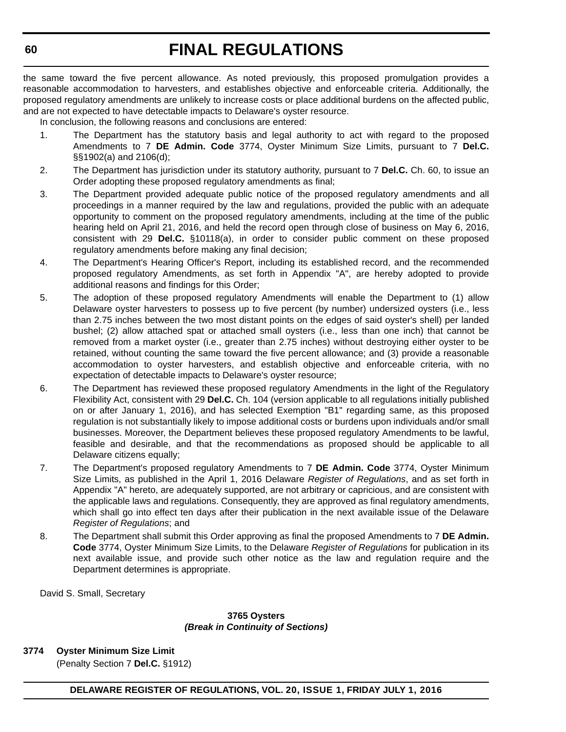the same toward the five percent allowance. As noted previously, this proposed promulgation provides a reasonable accommodation to harvesters, and establishes objective and enforceable criteria. Additionally, the proposed regulatory amendments are unlikely to increase costs or place additional burdens on the affected public, and are not expected to have detectable impacts to Delaware's oyster resource.

In conclusion, the following reasons and conclusions are entered:

- 1. The Department has the statutory basis and legal authority to act with regard to the proposed Amendments to 7 **DE Admin. Code** 3774, Oyster Minimum Size Limits, pursuant to 7 **Del.C.** §§1902(a) and 2106(d);
- 2. The Department has jurisdiction under its statutory authority, pursuant to 7 **Del.C.** Ch. 60, to issue an Order adopting these proposed regulatory amendments as final;
- 3. The Department provided adequate public notice of the proposed regulatory amendments and all proceedings in a manner required by the law and regulations, provided the public with an adequate opportunity to comment on the proposed regulatory amendments, including at the time of the public hearing held on April 21, 2016, and held the record open through close of business on May 6, 2016, consistent with 29 **Del.C.** §10118(a), in order to consider public comment on these proposed regulatory amendments before making any final decision;
- 4. The Department's Hearing Officer's Report, including its established record, and the recommended proposed regulatory Amendments, as set forth in Appendix "A", are hereby adopted to provide additional reasons and findings for this Order;
- 5. The adoption of these proposed regulatory Amendments will enable the Department to (1) allow Delaware oyster harvesters to possess up to five percent (by number) undersized oysters (i.e., less than 2.75 inches between the two most distant points on the edges of said oyster's shell) per landed bushel; (2) allow attached spat or attached small oysters (i.e., less than one inch) that cannot be removed from a market oyster (i.e., greater than 2.75 inches) without destroying either oyster to be retained, without counting the same toward the five percent allowance; and (3) provide a reasonable accommodation to oyster harvesters, and establish objective and enforceable criteria, with no expectation of detectable impacts to Delaware's oyster resource;
- 6. The Department has reviewed these proposed regulatory Amendments in the light of the Regulatory Flexibility Act, consistent with 29 **Del.C.** Ch. 104 (version applicable to all regulations initially published on or after January 1, 2016), and has selected Exemption "B1" regarding same, as this proposed regulation is not substantially likely to impose additional costs or burdens upon individuals and/or small businesses. Moreover, the Department believes these proposed regulatory Amendments to be lawful, feasible and desirable, and that the recommendations as proposed should be applicable to all Delaware citizens equally;
- 7. The Department's proposed regulatory Amendments to 7 **DE Admin. Code** 3774, Oyster Minimum Size Limits, as published in the April 1, 2016 Delaware *Register of Regulations*, and as set forth in Appendix "A" hereto, are adequately supported, are not arbitrary or capricious, and are consistent with the applicable laws and regulations. Consequently, they are approved as final regulatory amendments, which shall go into effect ten days after their publication in the next available issue of the Delaware *Register of Regulations*; and
- 8. The Department shall submit this Order approving as final the proposed Amendments to 7 **DE Admin. Code** 3774, Oyster Minimum Size Limits, to the Delaware *Register of Regulations* for publication in its next available issue, and provide such other notice as the law and regulation require and the Department determines is appropriate.

David S. Small, Secretary

#### **3765 Oysters** *(Break in Continuity of Sections)*

**3774 Oyster Minimum Size Limit**  (Penalty Section 7 **Del.C.** §1912)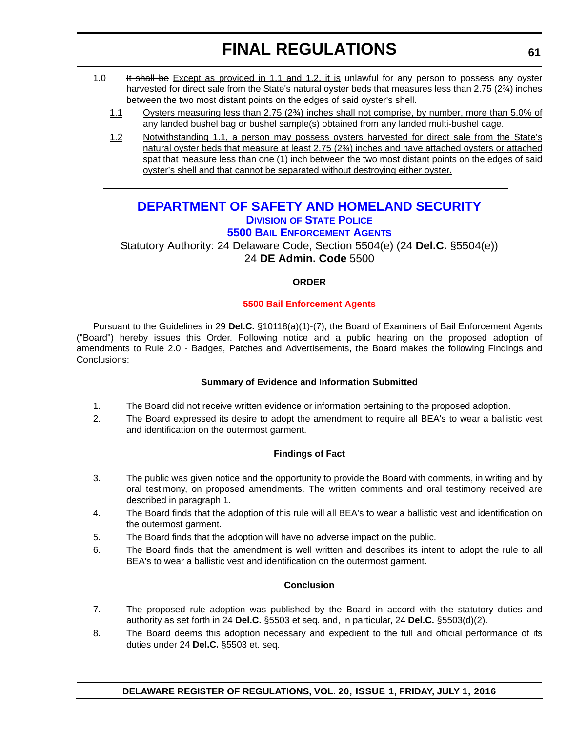- 1.0 It shall be Except as provided in 1.1 and 1.2, it is unlawful for any person to possess any oyster harvested for direct sale from the State's natural oyster beds that measures less than 2.75 ( $2\frac{3}{4}$ ) inches between the two most distant points on the edges of said oyster's shell.
	- 1.1 Oysters measuring less than 2.75 (2¾) inches shall not comprise, by number, more than 5.0% of any landed bushel bag or bushel sample(s) obtained from any landed multi-bushel cage.
	- 1.2 Notwithstanding 1.1, a person may possess oysters harvested for direct sale from the State's natural oyster beds that measure at least 2.75 (2¾) inches and have attached oysters or attached spat that measure less than one (1) inch between the two most distant points on the edges of said oyster's shell and that cannot be separated without destroying either oyster.

# **[DEPARTMENT OF SAFETY AND HOMELAND SECURITY](http://dshs.delaware.gov/) DIVISION [OF STATE POLICE](http://dsp.delaware.gov/) [5500 BAIL ENFORCEMENT AGENTS](http://dsp.delaware.gov/bail_enforcement_agents.shtml)**

## Statutory Authority: 24 Delaware Code, Section 5504(e) (24 **Del.C.** §5504(e)) 24 **DE Admin. Code** 5500

### **ORDER**

### **[5500 Bail Enforcement Agents](#page-4-0)**

Pursuant to the Guidelines in 29 **Del.C.** §10118(a)(1)-(7), the Board of Examiners of Bail Enforcement Agents ("Board") hereby issues this Order. Following notice and a public hearing on the proposed adoption of amendments to Rule 2.0 - Badges, Patches and Advertisements, the Board makes the following Findings and Conclusions:

### **Summary of Evidence and Information Submitted**

- 1. The Board did not receive written evidence or information pertaining to the proposed adoption.
- 2. The Board expressed its desire to adopt the amendment to require all BEA's to wear a ballistic vest and identification on the outermost garment.

### **Findings of Fact**

- 3. The public was given notice and the opportunity to provide the Board with comments, in writing and by oral testimony, on proposed amendments. The written comments and oral testimony received are described in paragraph 1.
- 4. The Board finds that the adoption of this rule will all BEA's to wear a ballistic vest and identification on the outermost garment.
- 5. The Board finds that the adoption will have no adverse impact on the public.
- 6. The Board finds that the amendment is well written and describes its intent to adopt the rule to all BEA's to wear a ballistic vest and identification on the outermost garment.

#### **Conclusion**

- 7. The proposed rule adoption was published by the Board in accord with the statutory duties and authority as set forth in 24 **Del.C.** §5503 et seq. and, in particular, 24 **Del.C.** §5503(d)(2).
- 8. The Board deems this adoption necessary and expedient to the full and official performance of its duties under 24 **Del.C.** §5503 et. seq.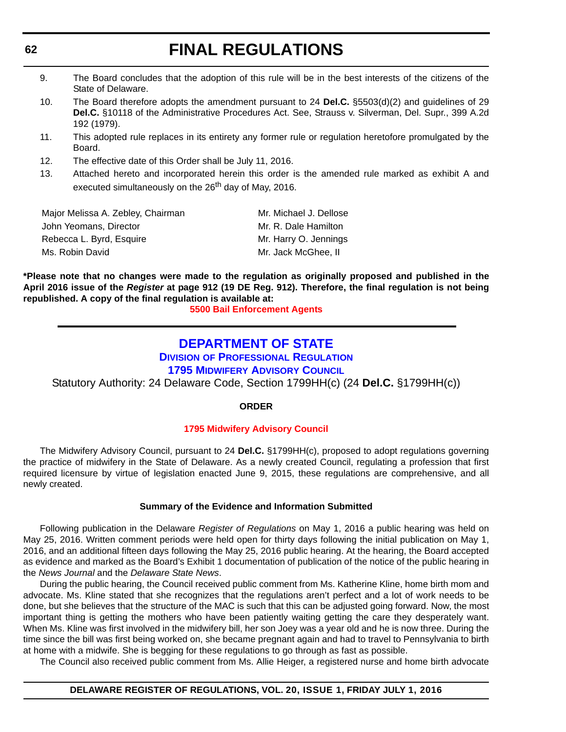- 9. The Board concludes that the adoption of this rule will be in the best interests of the citizens of the State of Delaware.
- 10. The Board therefore adopts the amendment pursuant to 24 **Del.C.** §5503(d)(2) and guidelines of 29 **Del.C.** §10118 of the Administrative Procedures Act. See, Strauss v. Silverman, Del. Supr., 399 A.2d 192 (1979).
- 11. This adopted rule replaces in its entirety any former rule or regulation heretofore promulgated by the Board.
- 12. The effective date of this Order shall be July 11, 2016.
- 13. Attached hereto and incorporated herein this order is the amended rule marked as exhibit A and executed simultaneously on the 26<sup>th</sup> day of May, 2016.

| Major Melissa A. Zebley, Chairman | Mr. Michael J. Dellose |
|-----------------------------------|------------------------|
| John Yeomans, Director            | Mr. R. Dale Hamilton   |
| Rebecca L. Byrd, Esquire          | Mr. Harry O. Jennings  |
| Ms. Robin David                   | Mr. Jack McGhee. II    |

**\*Please note that no changes were made to the regulation as originally proposed and published in the April 2016 issue of the** *Register* **at page 912 (19 DE Reg. 912). Therefore, the final regulation is not being republished. A copy of the final regulation is available at:**

**[5500 Bail Enforcement Agents](http://regulations.delaware.gov/register/july2016/final/20 DE Reg 61 07-01-16.htm)**

# **[DEPARTMENT OF STATE](http://sos.delaware.gov/)**

**DIVISION [OF PROFESSIONAL REGULATION](http://dpr.delaware.gov/)**

**[1795 MIDWIFERY ADVISORY COUNCIL](http://dpr.delaware.gov/boards/medicalpractice/index.shtml)**

Statutory Authority: 24 Delaware Code, Section 1799HH(c) (24 **Del.C.** §1799HH(c))

#### **ORDER**

#### **[1795 Midwifery Advisory Council](#page-4-0)**

The Midwifery Advisory Council, pursuant to 24 **Del.C.** §1799HH(c), proposed to adopt regulations governing the practice of midwifery in the State of Delaware. As a newly created Council, regulating a profession that first required licensure by virtue of legislation enacted June 9, 2015, these regulations are comprehensive, and all newly created.

#### **Summary of the Evidence and Information Submitted**

Following publication in the Delaware *Register of Regulations* on May 1, 2016 a public hearing was held on May 25, 2016. Written comment periods were held open for thirty days following the initial publication on May 1, 2016, and an additional fifteen days following the May 25, 2016 public hearing. At the hearing, the Board accepted as evidence and marked as the Board's Exhibit 1 documentation of publication of the notice of the public hearing in the *News Journal* and the *Delaware State News*.

During the public hearing, the Council received public comment from Ms. Katherine Kline, home birth mom and advocate. Ms. Kline stated that she recognizes that the regulations aren't perfect and a lot of work needs to be done, but she believes that the structure of the MAC is such that this can be adjusted going forward. Now, the most important thing is getting the mothers who have been patiently waiting getting the care they desperately want. When Ms. Kline was first involved in the midwifery bill, her son Joey was a year old and he is now three. During the time since the bill was first being worked on, she became pregnant again and had to travel to Pennsylvania to birth at home with a midwife. She is begging for these regulations to go through as fast as possible.

The Council also received public comment from Ms. Allie Heiger, a registered nurse and home birth advocate

#### **DELAWARE REGISTER OF REGULATIONS, VOL. 20, ISSUE 1, FRIDAY JULY 1, 2016**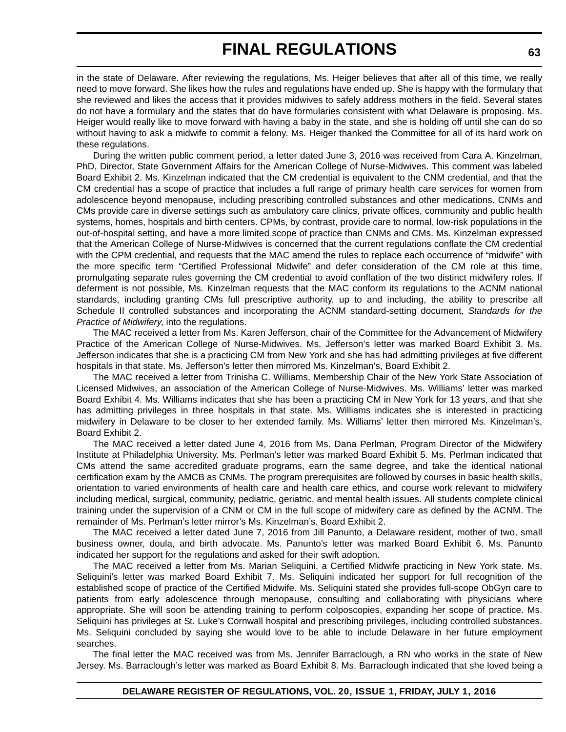in the state of Delaware. After reviewing the regulations, Ms. Heiger believes that after all of this time, we really need to move forward. She likes how the rules and regulations have ended up. She is happy with the formulary that she reviewed and likes the access that it provides midwives to safely address mothers in the field. Several states do not have a formulary and the states that do have formularies consistent with what Delaware is proposing. Ms. Heiger would really like to move forward with having a baby in the state, and she is holding off until she can do so without having to ask a midwife to commit a felony. Ms. Heiger thanked the Committee for all of its hard work on these regulations.

During the written public comment period, a letter dated June 3, 2016 was received from Cara A. Kinzelman, PhD, Director, State Government Affairs for the American College of Nurse-Midwives. This comment was labeled Board Exhibit 2. Ms. Kinzelman indicated that the CM credential is equivalent to the CNM credential, and that the CM credential has a scope of practice that includes a full range of primary health care services for women from adolescence beyond menopause, including prescribing controlled substances and other medications. CNMs and CMs provide care in diverse settings such as ambulatory care clinics, private offices, community and public health systems, homes, hospitals and birth centers. CPMs, by contrast, provide care to normal, low-risk populations in the out-of-hospital setting, and have a more limited scope of practice than CNMs and CMs. Ms. Kinzelman expressed that the American College of Nurse-Midwives is concerned that the current regulations conflate the CM credential with the CPM credential, and requests that the MAC amend the rules to replace each occurrence of "midwife" with the more specific term "Certified Professional Midwife" and defer consideration of the CM role at this time, promulgating separate rules governing the CM credential to avoid conflation of the two distinct midwifery roles. If deferment is not possible, Ms. Kinzelman requests that the MAC conform its regulations to the ACNM national standards, including granting CMs full prescriptive authority, up to and including, the ability to prescribe all Schedule II controlled substances and incorporating the ACNM standard-setting document, *Standards for the Practice of Midwifery*, into the regulations.

The MAC received a letter from Ms. Karen Jefferson, chair of the Committee for the Advancement of Midwifery Practice of the American College of Nurse-Midwives. Ms. Jefferson's letter was marked Board Exhibit 3. Ms. Jefferson indicates that she is a practicing CM from New York and she has had admitting privileges at five different hospitals in that state. Ms. Jefferson's letter then mirrored Ms. Kinzelman's, Board Exhibit 2.

The MAC received a letter from Trinisha C. Williams, Membership Chair of the New York State Association of Licensed Midwives, an association of the American College of Nurse-Midwives. Ms. Williams' letter was marked Board Exhibit 4. Ms. Williams indicates that she has been a practicing CM in New York for 13 years, and that she has admitting privileges in three hospitals in that state. Ms. Williams indicates she is interested in practicing midwifery in Delaware to be closer to her extended family. Ms. Williams' letter then mirrored Ms. Kinzelman's, Board Exhibit 2.

The MAC received a letter dated June 4, 2016 from Ms. Dana Perlman, Program Director of the Midwifery Institute at Philadelphia University. Ms. Perlman's letter was marked Board Exhibit 5. Ms. Perlman indicated that CMs attend the same accredited graduate programs, earn the same degree, and take the identical national certification exam by the AMCB as CNMs. The program prerequisites are followed by courses in basic health skills, orientation to varied environments of health care and health care ethics, and course work relevant to midwifery including medical, surgical, community, pediatric, geriatric, and mental health issues. All students complete clinical training under the supervision of a CNM or CM in the full scope of midwifery care as defined by the ACNM. The remainder of Ms. Perlman's letter mirror's Ms. Kinzelman's, Board Exhibit 2.

The MAC received a letter dated June 7, 2016 from Jill Panunto, a Delaware resident, mother of two, small business owner, doula, and birth advocate. Ms. Panunto's letter was marked Board Exhibit 6. Ms. Panunto indicated her support for the regulations and asked for their swift adoption.

The MAC received a letter from Ms. Marian Seliquini, a Certified Midwife practicing in New York state. Ms. Seliquini's letter was marked Board Exhibit 7. Ms. Seliquini indicated her support for full recognition of the established scope of practice of the Certified Midwife. Ms. Seliquini stated she provides full-scope ObGyn care to patients from early adolescence through menopause, consulting and collaborating with physicians where appropriate. She will soon be attending training to perform colposcopies, expanding her scope of practice. Ms. Seliquini has privileges at St. Luke's Cornwall hospital and prescribing privileges, including controlled substances. Ms. Seliquini concluded by saying she would love to be able to include Delaware in her future employment searches.

The final letter the MAC received was from Ms. Jennifer Barraclough, a RN who works in the state of New Jersey. Ms. Barraclough's letter was marked as Board Exhibit 8. Ms. Barraclough indicated that she loved being a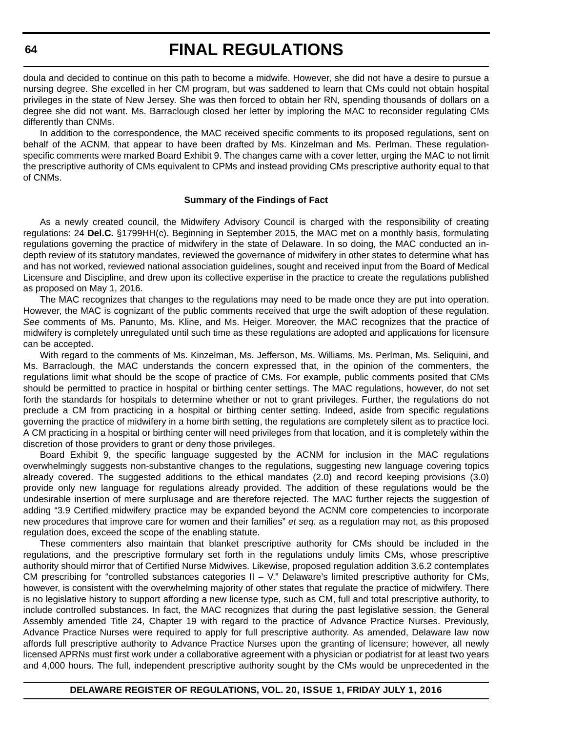doula and decided to continue on this path to become a midwife. However, she did not have a desire to pursue a nursing degree. She excelled in her CM program, but was saddened to learn that CMs could not obtain hospital privileges in the state of New Jersey. She was then forced to obtain her RN, spending thousands of dollars on a degree she did not want. Ms. Barraclough closed her letter by imploring the MAC to reconsider regulating CMs differently than CNMs.

In addition to the correspondence, the MAC received specific comments to its proposed regulations, sent on behalf of the ACNM, that appear to have been drafted by Ms. Kinzelman and Ms. Perlman. These regulationspecific comments were marked Board Exhibit 9. The changes came with a cover letter, urging the MAC to not limit the prescriptive authority of CMs equivalent to CPMs and instead providing CMs prescriptive authority equal to that of CNMs.

#### **Summary of the Findings of Fact**

As a newly created council, the Midwifery Advisory Council is charged with the responsibility of creating regulations: 24 **Del.C.** §1799HH(c). Beginning in September 2015, the MAC met on a monthly basis, formulating regulations governing the practice of midwifery in the state of Delaware. In so doing, the MAC conducted an indepth review of its statutory mandates, reviewed the governance of midwifery in other states to determine what has and has not worked, reviewed national association guidelines, sought and received input from the Board of Medical Licensure and Discipline, and drew upon its collective expertise in the practice to create the regulations published as proposed on May 1, 2016.

The MAC recognizes that changes to the regulations may need to be made once they are put into operation. However, the MAC is cognizant of the public comments received that urge the swift adoption of these regulation. *See* comments of Ms. Panunto, Ms. Kline, and Ms. Heiger. Moreover, the MAC recognizes that the practice of midwifery is completely unregulated until such time as these regulations are adopted and applications for licensure can be accepted.

With regard to the comments of Ms. Kinzelman, Ms. Jefferson, Ms. Williams, Ms. Perlman, Ms. Seliquini, and Ms. Barraclough, the MAC understands the concern expressed that, in the opinion of the commenters, the regulations limit what should be the scope of practice of CMs. For example, public comments posited that CMs should be permitted to practice in hospital or birthing center settings. The MAC regulations, however, do not set forth the standards for hospitals to determine whether or not to grant privileges. Further, the regulations do not preclude a CM from practicing in a hospital or birthing center setting. Indeed, aside from specific regulations governing the practice of midwifery in a home birth setting, the regulations are completely silent as to practice loci. A CM practicing in a hospital or birthing center will need privileges from that location, and it is completely within the discretion of those providers to grant or deny those privileges.

Board Exhibit 9, the specific language suggested by the ACNM for inclusion in the MAC regulations overwhelmingly suggests non-substantive changes to the regulations, suggesting new language covering topics already covered. The suggested additions to the ethical mandates (2.0) and record keeping provisions (3.0) provide only new language for regulations already provided. The addition of these regulations would be the undesirable insertion of mere surplusage and are therefore rejected. The MAC further rejects the suggestion of adding "3.9 Certified midwifery practice may be expanded beyond the ACNM core competencies to incorporate new procedures that improve care for women and their families" *et seq.* as a regulation may not, as this proposed regulation does, exceed the scope of the enabling statute.

These commenters also maintain that blanket prescriptive authority for CMs should be included in the regulations, and the prescriptive formulary set forth in the regulations unduly limits CMs, whose prescriptive authority should mirror that of Certified Nurse Midwives. Likewise, proposed regulation addition 3.6.2 contemplates CM prescribing for "controlled substances categories  $II - V$ ." Delaware's limited prescriptive authority for CMs, however, is consistent with the overwhelming majority of other states that regulate the practice of midwifery. There is no legislative history to support affording a new license type, such as CM, full and total prescriptive authority, to include controlled substances. In fact, the MAC recognizes that during the past legislative session, the General Assembly amended Title 24, Chapter 19 with regard to the practice of Advance Practice Nurses. Previously, Advance Practice Nurses were required to apply for full prescriptive authority. As amended, Delaware law now affords full prescriptive authority to Advance Practice Nurses upon the granting of licensure; however, all newly licensed APRNs must first work under a collaborative agreement with a physician or podiatrist for at least two years and 4,000 hours. The full, independent prescriptive authority sought by the CMs would be unprecedented in the

**64**

#### **DELAWARE REGISTER OF REGULATIONS, VOL. 20, ISSUE 1, FRIDAY JULY 1, 2016**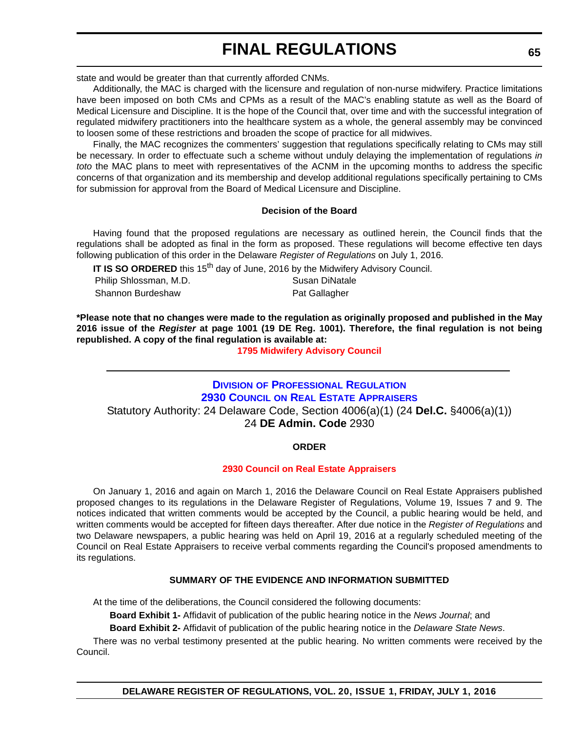state and would be greater than that currently afforded CNMs.

Additionally, the MAC is charged with the licensure and regulation of non-nurse midwifery. Practice limitations have been imposed on both CMs and CPMs as a result of the MAC's enabling statute as well as the Board of Medical Licensure and Discipline. It is the hope of the Council that, over time and with the successful integration of regulated midwifery practitioners into the healthcare system as a whole, the general assembly may be convinced to loosen some of these restrictions and broaden the scope of practice for all midwives.

Finally, the MAC recognizes the commenters' suggestion that regulations specifically relating to CMs may still be necessary. In order to effectuate such a scheme without unduly delaying the implementation of regulations *in toto* the MAC plans to meet with representatives of the ACNM in the upcoming months to address the specific concerns of that organization and its membership and develop additional regulations specifically pertaining to CMs for submission for approval from the Board of Medical Licensure and Discipline.

#### **Decision of the Board**

Having found that the proposed regulations are necessary as outlined herein, the Council finds that the regulations shall be adopted as final in the form as proposed. These regulations will become effective ten days following publication of this order in the Delaware *Register of Regulations* on July 1, 2016.

**IT IS SO ORDERED** this 15<sup>th</sup> day of June, 2016 by the Midwifery Advisory Council.

Philip Shlossman, M.D. Susan DiNatale Shannon Burdeshaw **Pat Gallagher** Pat Gallagher

**\*Please note that no changes were made to the regulation as originally proposed and published in the May 2016 issue of the** *Register* **at page 1001 (19 DE Reg. 1001). Therefore, the final regulation is not being republished. A copy of the final regulation is available at:**

**[1795 Midwifery Advisory Council](http://regulations.delaware.gov/register/july2016/final/20 DE Reg 62 07-01-16.htm)**

# **DIVISION [OF PROFESSIONAL REGULATION](http://dpr.delaware.gov/) 2930 COUNCIL [ON REAL ESTATE APPRAISERS](http://dpr.delaware.gov/boards/realestateappraisers/index.shtml)**

Statutory Authority: 24 Delaware Code, Section 4006(a)(1) (24 **Del.C.** §4006(a)(1)) 24 **DE Admin. Code** 2930

#### **ORDER**

#### **[2930 Council on Real Estate Appraisers](#page-4-0)**

On January 1, 2016 and again on March 1, 2016 the Delaware Council on Real Estate Appraisers published proposed changes to its regulations in the Delaware Register of Regulations, Volume 19, Issues 7 and 9. The notices indicated that written comments would be accepted by the Council, a public hearing would be held, and written comments would be accepted for fifteen days thereafter. After due notice in the *Register of Regulations* and two Delaware newspapers, a public hearing was held on April 19, 2016 at a regularly scheduled meeting of the Council on Real Estate Appraisers to receive verbal comments regarding the Council's proposed amendments to its regulations.

#### **SUMMARY OF THE EVIDENCE AND INFORMATION SUBMITTED**

At the time of the deliberations, the Council considered the following documents:

**Board Exhibit 1-** Affidavit of publication of the public hearing notice in the *News Journal*; and

**Board Exhibit 2-** Affidavit of publication of the public hearing notice in the *Delaware State News*.

There was no verbal testimony presented at the public hearing. No written comments were received by the Council.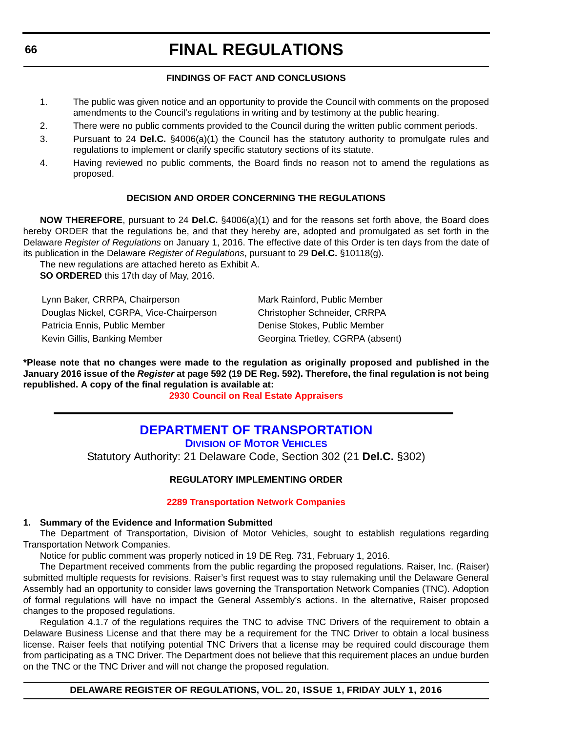### **FINDINGS OF FACT AND CONCLUSIONS**

- 1. The public was given notice and an opportunity to provide the Council with comments on the proposed amendments to the Council's regulations in writing and by testimony at the public hearing.
- 2. There were no public comments provided to the Council during the written public comment periods.
- 3. Pursuant to 24 **Del.C.** §4006(a)(1) the Council has the statutory authority to promulgate rules and regulations to implement or clarify specific statutory sections of its statute.
- 4. Having reviewed no public comments, the Board finds no reason not to amend the regulations as proposed.

### **DECISION AND ORDER CONCERNING THE REGULATIONS**

**NOW THEREFORE**, pursuant to 24 **Del.C.** §4006(a)(1) and for the reasons set forth above, the Board does hereby ORDER that the regulations be, and that they hereby are, adopted and promulgated as set forth in the Delaware *Register of Regulations* on January 1, 2016. The effective date of this Order is ten days from the date of its publication in the Delaware *Register of Regulations*, pursuant to 29 **Del.C.** §10118(g).

The new regulations are attached hereto as Exhibit A. **SO ORDERED** this 17th day of May, 2016.

Lynn Baker, CRRPA, Chairperson Mark Rainford, Public Member Douglas Nickel, CGRPA, Vice-Chairperson Christopher Schneider, CRRPA Patricia Ennis, Public Member Denise Stokes, Public Member Kevin Gillis, Banking Member Georgina Trietley, CGRPA (absent)

**\*Please note that no changes were made to the regulation as originally proposed and published in the January 2016 issue of the** *Register* **at page 592 (19 DE Reg. 592). Therefore, the final regulation is not being republished. A copy of the final regulation is available at:**

**[2930 Council on Real Estate Appraisers](http://regulations.delaware.gov/register/july2016/final/20 DE Reg 65 07-01-16.htm)**

## **[DEPARTMENT OF TRANSPORTATION](http://www.deldot.gov/index.shtml) DIVISION [OF MOTOR VEHICLES](http://dmv.de.gov/)**

Statutory Authority: 21 Delaware Code, Section 302 (21 **Del.C.** §302)

### **REGULATORY IMPLEMENTING ORDER**

#### **[2289 Transportation Network Companies](#page-4-0)**

#### **1. Summary of the Evidence and Information Submitted**

The Department of Transportation, Division of Motor Vehicles, sought to establish regulations regarding Transportation Network Companies.

Notice for public comment was properly noticed in 19 DE Reg. 731, February 1, 2016.

The Department received comments from the public regarding the proposed regulations. Raiser, Inc. (Raiser) submitted multiple requests for revisions. Raiser's first request was to stay rulemaking until the Delaware General Assembly had an opportunity to consider laws governing the Transportation Network Companies (TNC). Adoption of formal regulations will have no impact the General Assembly's actions. In the alternative, Raiser proposed changes to the proposed regulations.

Regulation 4.1.7 of the regulations requires the TNC to advise TNC Drivers of the requirement to obtain a Delaware Business License and that there may be a requirement for the TNC Driver to obtain a local business license. Raiser feels that notifying potential TNC Drivers that a license may be required could discourage them from participating as a TNC Driver. The Department does not believe that this requirement places an undue burden on the TNC or the TNC Driver and will not change the proposed regulation.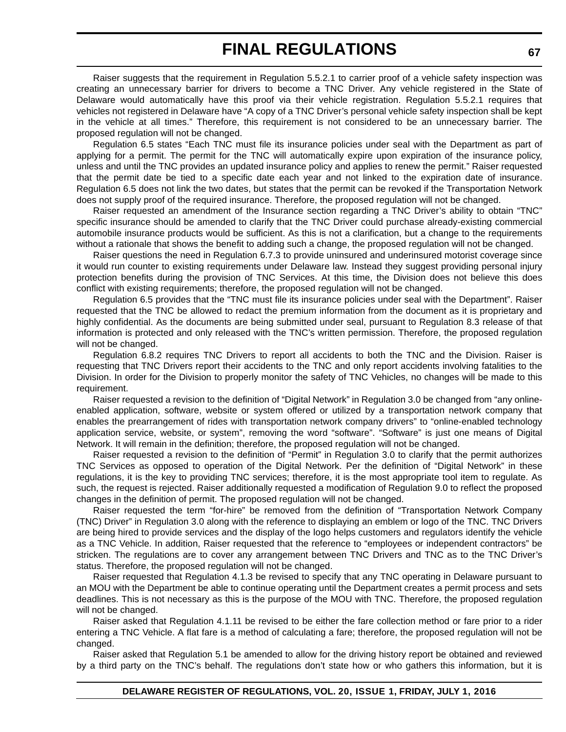Raiser suggests that the requirement in Regulation 5.5.2.1 to carrier proof of a vehicle safety inspection was creating an unnecessary barrier for drivers to become a TNC Driver. Any vehicle registered in the State of Delaware would automatically have this proof via their vehicle registration. Regulation 5.5.2.1 requires that vehicles not registered in Delaware have "A copy of a TNC Driver's personal vehicle safety inspection shall be kept in the vehicle at all times." Therefore, this requirement is not considered to be an unnecessary barrier. The proposed regulation will not be changed.

Regulation 6.5 states "Each TNC must file its insurance policies under seal with the Department as part of applying for a permit. The permit for the TNC will automatically expire upon expiration of the insurance policy, unless and until the TNC provides an updated insurance policy and applies to renew the permit." Raiser requested that the permit date be tied to a specific date each year and not linked to the expiration date of insurance. Regulation 6.5 does not link the two dates, but states that the permit can be revoked if the Transportation Network does not supply proof of the required insurance. Therefore, the proposed regulation will not be changed.

Raiser requested an amendment of the Insurance section regarding a TNC Driver's ability to obtain "TNC" specific insurance should be amended to clarify that the TNC Driver could purchase already-existing commercial automobile insurance products would be sufficient. As this is not a clarification, but a change to the requirements without a rationale that shows the benefit to adding such a change, the proposed regulation will not be changed.

Raiser questions the need in Regulation 6.7.3 to provide uninsured and underinsured motorist coverage since it would run counter to existing requirements under Delaware law. Instead they suggest providing personal injury protection benefits during the provision of TNC Services. At this time, the Division does not believe this does conflict with existing requirements; therefore, the proposed regulation will not be changed.

Regulation 6.5 provides that the "TNC must file its insurance policies under seal with the Department". Raiser requested that the TNC be allowed to redact the premium information from the document as it is proprietary and highly confidential. As the documents are being submitted under seal, pursuant to Regulation 8.3 release of that information is protected and only released with the TNC's written permission. Therefore, the proposed regulation will not be changed.

Regulation 6.8.2 requires TNC Drivers to report all accidents to both the TNC and the Division. Raiser is requesting that TNC Drivers report their accidents to the TNC and only report accidents involving fatalities to the Division. In order for the Division to properly monitor the safety of TNC Vehicles, no changes will be made to this requirement.

Raiser requested a revision to the definition of "Digital Network" in Regulation 3.0 be changed from "any onlineenabled application, software, website or system offered or utilized by a transportation network company that enables the prearrangement of rides with transportation network company drivers" to "online-enabled technology application service, website, or system", removing the word "software". "Software" is just one means of Digital Network. It will remain in the definition; therefore, the proposed regulation will not be changed.

Raiser requested a revision to the definition of "Permit" in Regulation 3.0 to clarify that the permit authorizes TNC Services as opposed to operation of the Digital Network. Per the definition of "Digital Network" in these regulations, it is the key to providing TNC services; therefore, it is the most appropriate tool item to regulate. As such, the request is rejected. Raiser additionally requested a modification of Regulation 9.0 to reflect the proposed changes in the definition of permit. The proposed regulation will not be changed.

Raiser requested the term "for-hire" be removed from the definition of "Transportation Network Company (TNC) Driver" in Regulation 3.0 along with the reference to displaying an emblem or logo of the TNC. TNC Drivers are being hired to provide services and the display of the logo helps customers and regulators identify the vehicle as a TNC Vehicle. In addition, Raiser requested that the reference to "employees or independent contractors" be stricken. The regulations are to cover any arrangement between TNC Drivers and TNC as to the TNC Driver's status. Therefore, the proposed regulation will not be changed.

Raiser requested that Regulation 4.1.3 be revised to specify that any TNC operating in Delaware pursuant to an MOU with the Department be able to continue operating until the Department creates a permit process and sets deadlines. This is not necessary as this is the purpose of the MOU with TNC. Therefore, the proposed regulation will not be changed.

Raiser asked that Regulation 4.1.11 be revised to be either the fare collection method or fare prior to a rider entering a TNC Vehicle. A flat fare is a method of calculating a fare; therefore, the proposed regulation will not be changed.

Raiser asked that Regulation 5.1 be amended to allow for the driving history report be obtained and reviewed by a third party on the TNC's behalf. The regulations don't state how or who gathers this information, but it is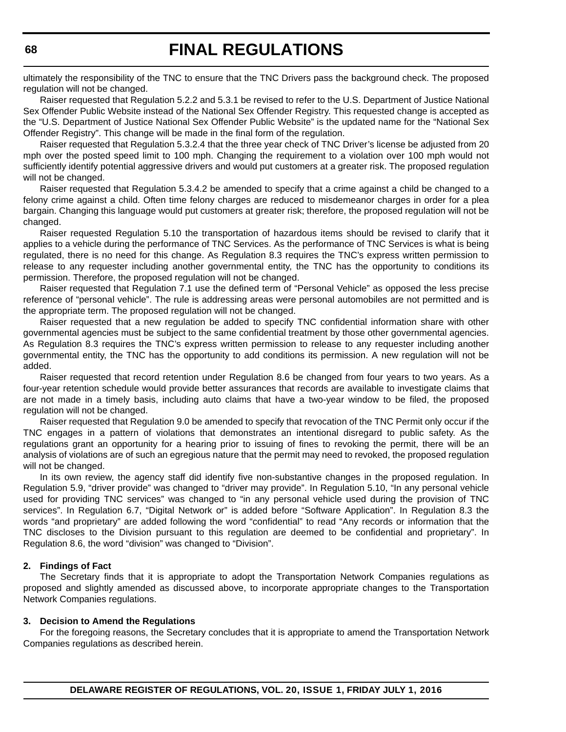ultimately the responsibility of the TNC to ensure that the TNC Drivers pass the background check. The proposed regulation will not be changed.

Raiser requested that Regulation 5.2.2 and 5.3.1 be revised to refer to the U.S. Department of Justice National Sex Offender Public Website instead of the National Sex Offender Registry. This requested change is accepted as the "U.S. Department of Justice National Sex Offender Public Website" is the updated name for the "National Sex Offender Registry". This change will be made in the final form of the regulation.

Raiser requested that Regulation 5.3.2.4 that the three year check of TNC Driver's license be adjusted from 20 mph over the posted speed limit to 100 mph. Changing the requirement to a violation over 100 mph would not sufficiently identify potential aggressive drivers and would put customers at a greater risk. The proposed regulation will not be changed.

Raiser requested that Regulation 5.3.4.2 be amended to specify that a crime against a child be changed to a felony crime against a child. Often time felony charges are reduced to misdemeanor charges in order for a plea bargain. Changing this language would put customers at greater risk; therefore, the proposed regulation will not be changed.

Raiser requested Regulation 5.10 the transportation of hazardous items should be revised to clarify that it applies to a vehicle during the performance of TNC Services. As the performance of TNC Services is what is being regulated, there is no need for this change. As Regulation 8.3 requires the TNC's express written permission to release to any requester including another governmental entity, the TNC has the opportunity to conditions its permission. Therefore, the proposed regulation will not be changed.

Raiser requested that Regulation 7.1 use the defined term of "Personal Vehicle" as opposed the less precise reference of "personal vehicle". The rule is addressing areas were personal automobiles are not permitted and is the appropriate term. The proposed regulation will not be changed.

Raiser requested that a new regulation be added to specify TNC confidential information share with other governmental agencies must be subject to the same confidential treatment by those other governmental agencies. As Regulation 8.3 requires the TNC's express written permission to release to any requester including another governmental entity, the TNC has the opportunity to add conditions its permission. A new regulation will not be added.

Raiser requested that record retention under Regulation 8.6 be changed from four years to two years. As a four-year retention schedule would provide better assurances that records are available to investigate claims that are not made in a timely basis, including auto claims that have a two-year window to be filed, the proposed regulation will not be changed.

Raiser requested that Regulation 9.0 be amended to specify that revocation of the TNC Permit only occur if the TNC engages in a pattern of violations that demonstrates an intentional disregard to public safety. As the regulations grant an opportunity for a hearing prior to issuing of fines to revoking the permit, there will be an analysis of violations are of such an egregious nature that the permit may need to revoked, the proposed regulation will not be changed.

In its own review, the agency staff did identify five non-substantive changes in the proposed regulation. In Regulation 5.9, "driver provide" was changed to "driver may provide". In Regulation 5.10, "In any personal vehicle used for providing TNC services" was changed to "in any personal vehicle used during the provision of TNC services". In Regulation 6.7, "Digital Network or" is added before "Software Application". In Regulation 8.3 the words "and proprietary" are added following the word "confidential" to read "Any records or information that the TNC discloses to the Division pursuant to this regulation are deemed to be confidential and proprietary". In Regulation 8.6, the word "division" was changed to "Division".

#### **2. Findings of Fact**

The Secretary finds that it is appropriate to adopt the Transportation Network Companies regulations as proposed and slightly amended as discussed above, to incorporate appropriate changes to the Transportation Network Companies regulations.

#### **3. Decision to Amend the Regulations**

For the foregoing reasons, the Secretary concludes that it is appropriate to amend the Transportation Network Companies regulations as described herein.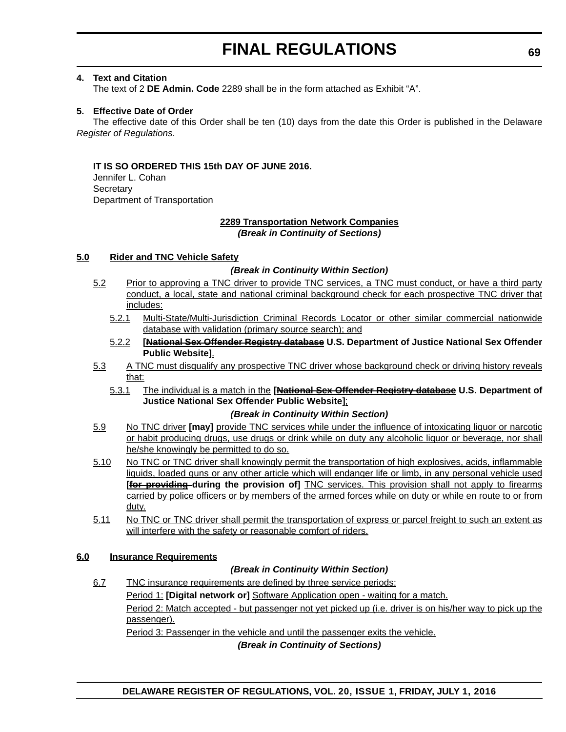#### **4. Text and Citation**

The text of 2 **DE Admin. Code** 2289 shall be in the form attached as Exhibit "A".

#### **5. Effective Date of Order**

The effective date of this Order shall be ten (10) days from the date this Order is published in the Delaware *Register of Regulations*.

#### **IT IS SO ORDERED THIS 15th DAY OF JUNE 2016.**

Jennifer L. Cohan **Secretary** Department of Transportation

# **2289 Transportation Network Companies**

*(Break in Continuity of Sections)*

#### **5.0 Rider and TNC Vehicle Safety**

#### *(Break in Continuity Within Section)*

- 5.2 Prior to approving a TNC driver to provide TNC services, a TNC must conduct, or have a third party conduct, a local, state and national criminal background check for each prospective TNC driver that includes:
	- 5.2.1 Multi-State/Multi-Jurisdiction Criminal Records Locator or other similar commercial nationwide database with validation (primary source search); and
	- 5.2.2 **[National Sex Offender Registry database U.S. Department of Justice National Sex Offender Public Website]**.
- 5.3 A TNC must disqualify any prospective TNC driver whose background check or driving history reveals that:
	- 5.3.1 The individual is a match in the **[National Sex Offender Registry database U.S. Department of Justice National Sex Offender Public Website]**;

#### *(Break in Continuity Within Section)*

- 5.9 No TNC driver **[may]** provide TNC services while under the influence of intoxicating liquor or narcotic or habit producing drugs, use drugs or drink while on duty any alcoholic liquor or beverage, nor shall he/she knowingly be permitted to do so.
- 5.10 No TNC or TNC driver shall knowingly permit the transportation of high explosives, acids, inflammable liquids, loaded guns or any other article which will endanger life or limb, in any personal vehicle used **[for providing during the provision of]** TNC services. This provision shall not apply to firearms carried by police officers or by members of the armed forces while on duty or while en route to or from duty.
- 5.11 No TNC or TNC driver shall permit the transportation of express or parcel freight to such an extent as will interfere with the safety or reasonable comfort of riders.

#### **6.0 Insurance Requirements**

#### *(Break in Continuity Within Section)*

6.7 TNC insurance requirements are defined by three service periods: Period 1: **[Digital network or]** Software Application open - waiting for a match. Period 2: Match accepted - but passenger not yet picked up (i.e. driver is on his/her way to pick up the passenger).

Period 3: Passenger in the vehicle and until the passenger exits the vehicle.

*(Break in Continuity of Sections)*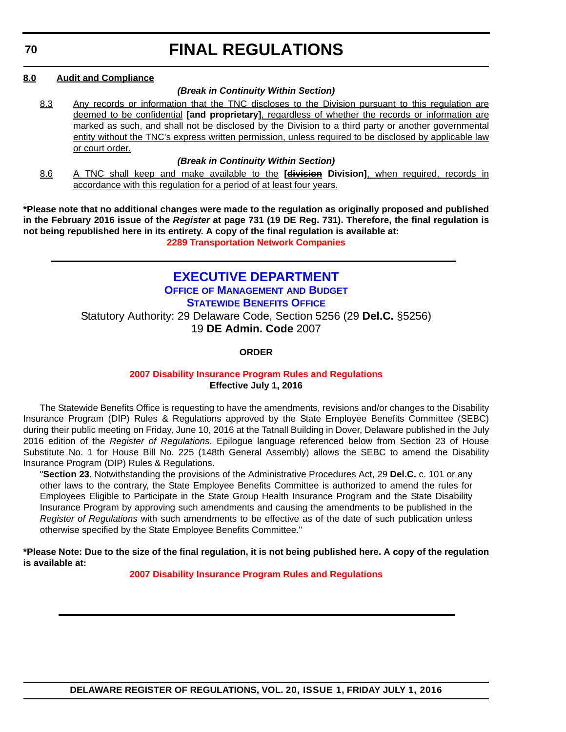#### **8.0 Audit and Compliance**

#### *(Break in Continuity Within Section)*

8.3 Any records or information that the TNC discloses to the Division pursuant to this regulation are deemed to be confidential **[and proprietary]**, regardless of whether the records or information are marked as such, and shall not be disclosed by the Division to a third party or another governmental entity without the TNC's express written permission, unless required to be disclosed by applicable law or court order.

### *(Break in Continuity Within Section)*

8.6 A TNC shall keep and make available to the **[division Division]**, when required, records in accordance with this regulation for a period of at least four years.

**\*Please note that no additional changes were made to the regulation as originally proposed and published in the February 2016 issue of the** *Register* **at page 731 (19 DE Reg. 731). Therefore, the final regulation is not being republished here in its entirety. A copy of the final regulation is available at: [2289 Transportation Network Companies](http://regulations.delaware.gov/register/july2016/final/20 DE Reg 66 07-01-16.htm)**

## **[EXECUTIVE DEPARTMENT](http://governor.delaware.gov/index.shtml)**

**OFFICE [OF MANAGEMENT](http://governor.delaware.gov/boards-comms-omb.shtml) AND BUDGET [STATEWIDE BENEFITS OFFICE](http://ben.omb.delaware.gov/)** Statutory Authority: 29 Delaware Code, Section 5256 (29 **Del.C.** §5256) 19 **DE Admin. Code** 2007

**ORDER**

### **[2007 Disability Insurance Program Rules and Regulations](#page-4-0) Effective July 1, 2016**

The Statewide Benefits Office is requesting to have the amendments, revisions and/or changes to the Disability Insurance Program (DIP) Rules & Regulations approved by the State Employee Benefits Committee (SEBC) during their public meeting on Friday, June 10, 2016 at the Tatnall Building in Dover, Delaware published in the July 2016 edition of the *Register of Regulations*. Epilogue language referenced below from Section 23 of House Substitute No. 1 for House Bill No. 225 (148th General Assembly) allows the SEBC to amend the Disability Insurance Program (DIP) Rules & Regulations.

"**Section 23**. Notwithstanding the provisions of the Administrative Procedures Act, 29 **Del.C.** c. 101 or any other laws to the contrary, the State Employee Benefits Committee is authorized to amend the rules for Employees Eligible to Participate in the State Group Health Insurance Program and the State Disability Insurance Program by approving such amendments and causing the amendments to be published in the *Register of Regulations* with such amendments to be effective as of the date of such publication unless otherwise specified by the State Employee Benefits Committee."

**\*Please Note: Due to the size of the final regulation, it is not being published here. A copy of the regulation is available at:**

**[2007 Disability Insurance Program Rules and Regulations](http://regulations.delaware.gov/register/july2016/final/20 DE Reg 70 07-01-16.htm)**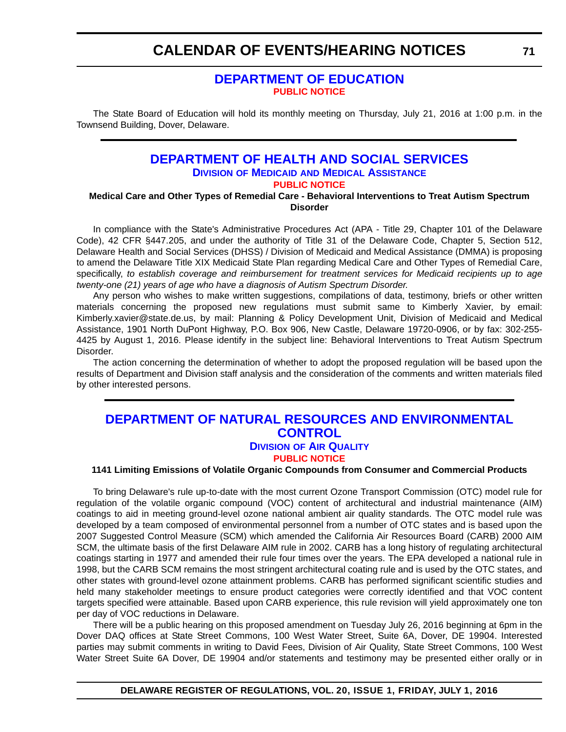# **CALENDAR OF EVENTS/HEARING NOTICES**

## **[DEPARTMENT OF EDUCATION](http://www.doe.k12.de.us/) [PUBLIC NOTICE](#page-4-0)**

The State Board of Education will hold its monthly meeting on Thursday, July 21, 2016 at 1:00 p.m. in the Townsend Building, Dover, Delaware.

### **[DEPARTMENT OF HEALTH AND SOCIAL SERVICES](http://www.dhss.delaware.gov/dhss/dmma/) DIVISION OF MEDICAID AND MEDICAL ASSISTANCE [PUBLIC NOTICE](#page-4-0)**

**Medical Care and Other Types of Remedial Care - Behavioral Interventions to Treat Autism Spectrum Disorder**

In compliance with the State's Administrative Procedures Act (APA - Title 29, Chapter 101 of the Delaware Code), 42 CFR §447.205, and under the authority of Title 31 of the Delaware Code, Chapter 5, Section 512, Delaware Health and Social Services (DHSS) / Division of Medicaid and Medical Assistance (DMMA) is proposing to amend the Delaware Title XIX Medicaid State Plan regarding Medical Care and Other Types of Remedial Care, specifically, *to establish coverage and reimbursement for treatment services for Medicaid recipients up to age twenty-one (21) years of age who have a diagnosis of Autism Spectrum Disorder.*

Any person who wishes to make written suggestions, compilations of data, testimony, briefs or other written materials concerning the proposed new regulations must submit same to Kimberly Xavier, by email: Kimberly.xavier@state.de.us, by mail: Planning & Policy Development Unit, Division of Medicaid and Medical Assistance, 1901 North DuPont Highway, P.O. Box 906, New Castle, Delaware 19720-0906, or by fax: 302-255- 4425 by August 1, 2016. Please identify in the subject line: Behavioral Interventions to Treat Autism Spectrum Disorder.

The action concerning the determination of whether to adopt the proposed regulation will be based upon the results of Department and Division staff analysis and the consideration of the comments and written materials filed by other interested persons.

## **[DEPARTMENT OF NATURAL RESOURCES AND ENVIRONMENTAL](http://www.dnrec.delaware.gov/Pages/Portal.aspx)  CONTROL DIVISION [OF AIR QUALITY](http://www.dnrec.delaware.gov/air/Pages/Default.aspx)**

# **[PUBLIC NOTICE](#page-4-0)**

#### **1141 Limiting Emissions of Volatile Organic Compounds from Consumer and Commercial Products**

To bring Delaware's rule up-to-date with the most current Ozone Transport Commission (OTC) model rule for regulation of the volatile organic compound (VOC) content of architectural and industrial maintenance (AIM) coatings to aid in meeting ground-level ozone national ambient air quality standards. The OTC model rule was developed by a team composed of environmental personnel from a number of OTC states and is based upon the 2007 Suggested Control Measure (SCM) which amended the California Air Resources Board (CARB) 2000 AIM SCM, the ultimate basis of the first Delaware AIM rule in 2002. CARB has a long history of regulating architectural coatings starting in 1977 and amended their rule four times over the years. The EPA developed a national rule in 1998, but the CARB SCM remains the most stringent architectural coating rule and is used by the OTC states, and other states with ground-level ozone attainment problems. CARB has performed significant scientific studies and held many stakeholder meetings to ensure product categories were correctly identified and that VOC content targets specified were attainable. Based upon CARB experience, this rule revision will yield approximately one ton per day of VOC reductions in Delaware.

There will be a public hearing on this proposed amendment on Tuesday July 26, 2016 beginning at 6pm in the Dover DAQ offices at State Street Commons, 100 West Water Street, Suite 6A, Dover, DE 19904. Interested parties may submit comments in writing to David Fees, Division of Air Quality, State Street Commons, 100 West Water Street Suite 6A Dover, DE 19904 and/or statements and testimony may be presented either orally or in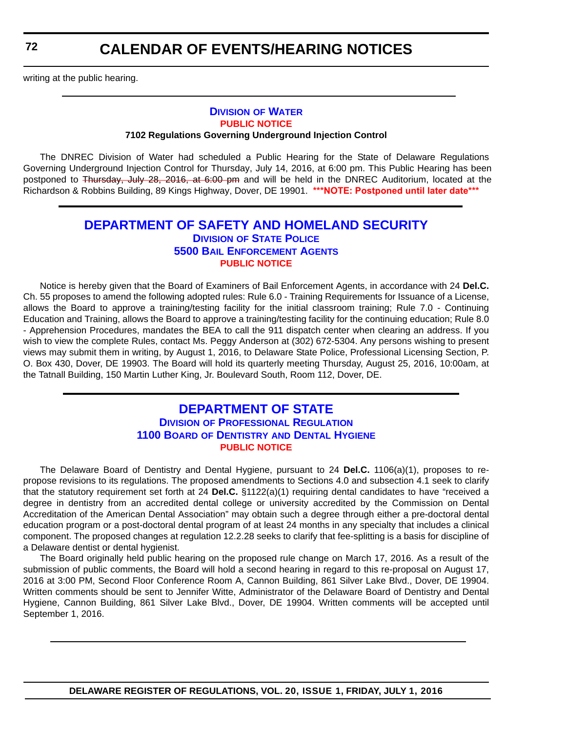**72**

writing at the public hearing.

#### **DIVISION [OF WATER](http://www.dnrec.delaware.gov/wr/Pages/Default.aspx) [PUBLIC NOTICE](#page-4-0) 7102 Regulations Governing Underground Injection Control**

The DNREC Division of Water had scheduled a Public Hearing for the State of Delaware Regulations Governing Underground Injection Control for Thursday, July 14, 2016, at 6:00 pm. This Public Hearing has been postponed to Thursday, July 28, 2016, at 6:00 pm and will be held in the DNREC Auditorium, located at the Richardson & Robbins Building, 89 Kings Highway, Dover, DE 19901. **\*\*\*NOTE: Postponed until later date\*\*\***

## **[DEPARTMENT OF SAFETY AND HOMELAND SECURITY](http://dshs.delaware.gov/) DIVISION [OF STATE POLICE](http://dsp.delaware.gov/) [5500 BAIL ENFORCEMENT AGENTS](http://dsp.delaware.gov/bail_enforcement_agents.shtml) [PUBLIC NOTICE](#page-4-0)**

Notice is hereby given that the Board of Examiners of Bail Enforcement Agents, in accordance with 24 **Del.C.** Ch. 55 proposes to amend the following adopted rules: Rule 6.0 - Training Requirements for Issuance of a License, allows the Board to approve a training/testing facility for the initial classroom training; Rule 7.0 - Continuing Education and Training, allows the Board to approve a training/testing facility for the continuing education; Rule 8.0 - Apprehension Procedures, mandates the BEA to call the 911 dispatch center when clearing an address. If you wish to view the complete Rules, contact Ms. Peggy Anderson at (302) 672-5304. Any persons wishing to present views may submit them in writing, by August 1, 2016, to Delaware State Police, Professional Licensing Section, P. O. Box 430, Dover, DE 19903. The Board will hold its quarterly meeting Thursday, August 25, 2016, 10:00am, at the Tatnall Building, 150 Martin Luther King, Jr. Boulevard South, Room 112, Dover, DE.

## **[DEPARTMENT OF STATE](http://sos.delaware.gov/) DIVISION [OF PROFESSIONAL REGULATION](http://dpr.delaware.gov/) 1100 BOARD OF DENTISTRY [AND DENTAL HYGIENE](http://dpr.delaware.gov/boards/dental/index.shtml) [PUBLIC NOTICE](#page-4-0)**

The Delaware Board of Dentistry and Dental Hygiene, pursuant to 24 **Del.C.** 1106(a)(1), proposes to repropose revisions to its regulations. The proposed amendments to Sections 4.0 and subsection 4.1 seek to clarify that the statutory requirement set forth at 24 **Del.C.** §1122(a)(1) requiring dental candidates to have "received a degree in dentistry from an accredited dental college or university accredited by the Commission on Dental Accreditation of the American Dental Association" may obtain such a degree through either a pre-doctoral dental education program or a post-doctoral dental program of at least 24 months in any specialty that includes a clinical component. The proposed changes at regulation 12.2.28 seeks to clarify that fee-splitting is a basis for discipline of a Delaware dentist or dental hygienist.

The Board originally held public hearing on the proposed rule change on March 17, 2016. As a result of the submission of public comments, the Board will hold a second hearing in regard to this re-proposal on August 17, 2016 at 3:00 PM, Second Floor Conference Room A, Cannon Building, 861 Silver Lake Blvd., Dover, DE 19904. Written comments should be sent to Jennifer Witte, Administrator of the Delaware Board of Dentistry and Dental Hygiene, Cannon Building, 861 Silver Lake Blvd., Dover, DE 19904. Written comments will be accepted until September 1, 2016.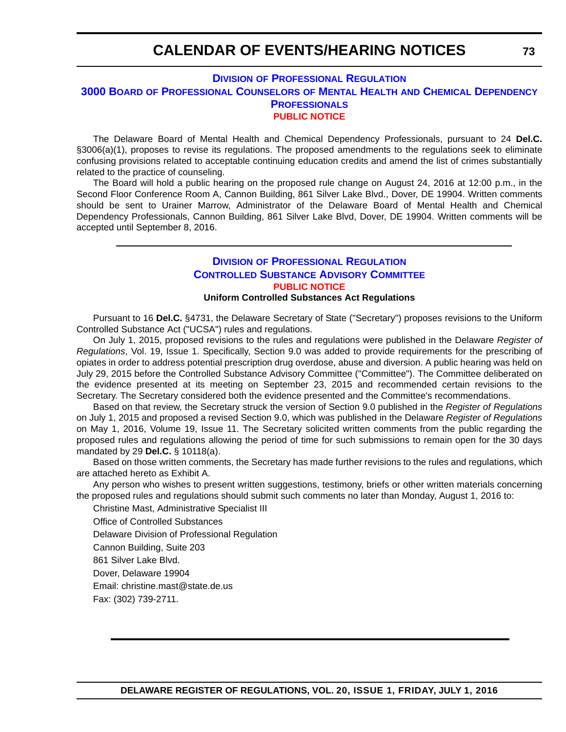# **CALENDAR OF EVENTS/HEARING NOTICES**

### **DIVISION [OF PROFESSIONAL REGULATION](http://dpr.delaware.gov/) 3000 BOARD [OF PROFESSIONAL COUNSELORS](http://dpr.delaware.gov/boards/profcounselors/index.shtml) OF MENTAL HEALTH AND CHEMICAL DEPENDENCY PROFESSIONALS [PUBLIC NOTICE](#page-4-0)**

The Delaware Board of Mental Health and Chemical Dependency Professionals, pursuant to 24 **Del.C.** §3006(a)(1), proposes to revise its regulations. The proposed amendments to the regulations seek to eliminate confusing provisions related to acceptable continuing education credits and amend the list of crimes substantially related to the practice of counseling.

The Board will hold a public hearing on the proposed rule change on August 24, 2016 at 12:00 p.m., in the Second Floor Conference Room A, Cannon Building, 861 Silver Lake Blvd., Dover, DE 19904. Written comments should be sent to Urainer Marrow, Administrator of the Delaware Board of Mental Health and Chemical Dependency Professionals, Cannon Building, 861 Silver Lake Blvd, Dover, DE 19904. Written comments will be accepted until September 8, 2016.

## **DIVISION [OF PROFESSIONAL REGULATION](http://dpr.delaware.gov/) [CONTROLLED SUBSTANCE ADVISORY COMMITTEE](http://dpr.delaware.gov/boards/controlledsubstances/index.shtml) [PUBLIC NOTICE](#page-4-0)**

#### **Uniform Controlled Substances Act Regulations**

Pursuant to 16 **Del.C.** §4731, the Delaware Secretary of State ("Secretary") proposes revisions to the Uniform Controlled Substance Act ("UCSA") rules and regulations.

On July 1, 2015, proposed revisions to the rules and regulations were published in the Delaware *Register of Regulations*, Vol. 19, Issue 1. Specifically, Section 9.0 was added to provide requirements for the prescribing of opiates in order to address potential prescription drug overdose, abuse and diversion. A public hearing was held on July 29, 2015 before the Controlled Substance Advisory Committee ("Committee"). The Committee deliberated on the evidence presented at its meeting on September 23, 2015 and recommended certain revisions to the Secretary. The Secretary considered both the evidence presented and the Committee's recommendations.

Based on that review, the Secretary struck the version of Section 9.0 published in the *Register of Regulations* on July 1, 2015 and proposed a revised Section 9.0, which was published in the Delaware *Register of Regulations* on May 1, 2016, Volume 19, Issue 11. The Secretary solicited written comments from the public regarding the proposed rules and regulations allowing the period of time for such submissions to remain open for the 30 days mandated by 29 **Del.C.** § 10118(a).

Based on those written comments, the Secretary has made further revisions to the rules and regulations, which are attached hereto as Exhibit A.

Any person who wishes to present written suggestions, testimony, briefs or other written materials concerning the proposed rules and regulations should submit such comments no later than Monday, August 1, 2016 to:

Christine Mast, Administrative Specialist III

Office of Controlled Substances

Delaware Division of Professional Regulation

Cannon Building, Suite 203

861 Silver Lake Blvd.

Dover, Delaware 19904

Email: christine.mast@state.de.us

Fax: (302) 739-2711.